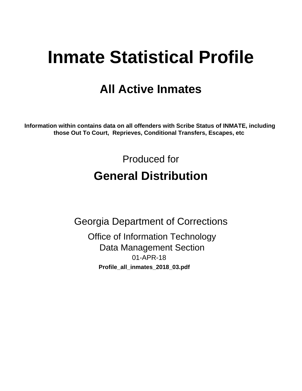# **Inmate Statistical Profile**

## **All Active Inmates**

Information within contains data on all offenders with Scribe Status of INMATE, including those Out To Court, Reprieves, Conditional Transfers, Escapes, etc

> Produced for **General Distribution**

**Georgia Department of Corrections Office of Information Technology Data Management Section** 01-APR-18 Profile\_all\_inmates\_2018\_03.pdf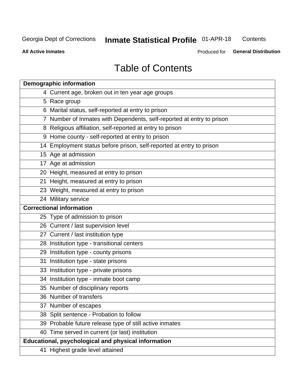#### **Inmate Statistical Profile 01-APR-18** Contents

**All Active Inmates** 

Produced for General Distribution

## **Table of Contents**

| <b>Demographic information</b>                                        |
|-----------------------------------------------------------------------|
| 4 Current age, broken out in ten year age groups                      |
| 5 Race group                                                          |
| 6 Marital status, self-reported at entry to prison                    |
| 7 Number of Inmates with Dependents, self-reported at entry to prison |
| 8 Religious affiliation, self-reported at entry to prison             |
| 9 Home county - self-reported at entry to prison                      |
| 14 Employment status before prison, self-reported at entry to prison  |
| 15 Age at admission                                                   |
| 17 Age at admission                                                   |
| 20 Height, measured at entry to prison                                |
| 21 Height, measured at entry to prison                                |
| 23 Weight, measured at entry to prison                                |
| 24 Military service                                                   |
| <b>Correctional information</b>                                       |
| 25 Type of admission to prison                                        |
| 26 Current / last supervision level                                   |
| 27 Current / last institution type                                    |
| 28 Institution type - transitional centers                            |
| 29 Institution type - county prisons                                  |
| 31 Institution type - state prisons                                   |
| 33 Institution type - private prisons                                 |
| 34 Institution type - inmate boot camp                                |
| 35 Number of disciplinary reports                                     |
| 36 Number of transfers                                                |
| 37 Number of escapes                                                  |
| 38 Split sentence - Probation to follow                               |
| 39 Probable future release type of still active inmates               |
| 40 Time served in current (or last) institution                       |
| Educational, psychological and physical information                   |
| 41 Highest grade level attained                                       |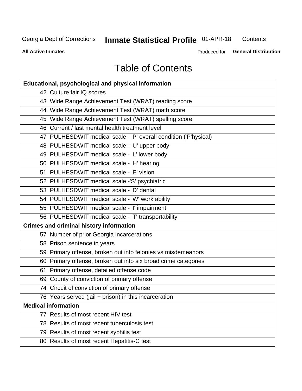## **Inmate Statistical Profile 01-APR-18**

Contents

**All Active Inmates** 

Produced for General Distribution

## **Table of Contents**

| <b>Educational, psychological and physical information</b>       |
|------------------------------------------------------------------|
| 42 Culture fair IQ scores                                        |
| 43 Wide Range Achievement Test (WRAT) reading score              |
| 44 Wide Range Achievement Test (WRAT) math score                 |
| 45 Wide Range Achievement Test (WRAT) spelling score             |
| 46 Current / last mental health treatment level                  |
| 47 PULHESDWIT medical scale - 'P' overall condition ('P'hysical) |
| 48 PULHESDWIT medical scale - 'U' upper body                     |
| 49 PULHESDWIT medical scale - 'L' lower body                     |
| 50 PULHESDWIT medical scale - 'H' hearing                        |
| 51 PULHESDWIT medical scale - 'E' vision                         |
| 52 PULHESDWIT medical scale -'S' psychiatric                     |
| 53 PULHESDWIT medical scale - 'D' dental                         |
| 54 PULHESDWIT medical scale - 'W' work ability                   |
| 55 PULHESDWIT medical scale - 'I' impairment                     |
| 56 PULHESDWIT medical scale - 'T' transportability               |
| <b>Crimes and criminal history information</b>                   |
| 57 Number of prior Georgia incarcerations                        |
| 58 Prison sentence in years                                      |
| 59 Primary offense, broken out into felonies vs misdemeanors     |
| 60 Primary offense, broken out into six broad crime categories   |
| 61 Primary offense, detailed offense code                        |
| 69 County of conviction of primary offense                       |
| 74 Circuit of conviction of primary offense                      |
| 76 Years served (jail + prison) in this incarceration            |
| <b>Medical information</b>                                       |
| 77 Results of most recent HIV test                               |
| 78 Results of most recent tuberculosis test                      |
| 79 Results of most recent syphilis test                          |
| 80 Results of most recent Hepatitis-C test                       |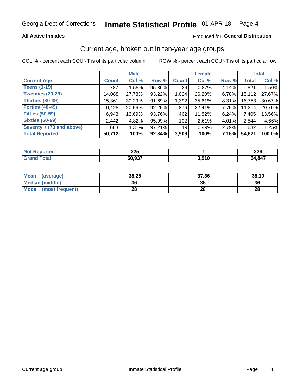#### **All Active Inmates**

#### Produced for General Distribution

### Current age, broken out in ten-year age groups

COL % - percent each COUNT is of its particular column

|                          | <b>Male</b>  |        |        | <b>Female</b>   |        |          | <b>Total</b> |        |
|--------------------------|--------------|--------|--------|-----------------|--------|----------|--------------|--------|
| <b>Current Age</b>       | <b>Count</b> | Col %  | Row %  | <b>Count</b>    | Col %  | Row %    | <b>Total</b> | Col %  |
| <b>Teens (1-19)</b>      | 787          | 1.55%  | 95.86% | 34              | 0.87%  | 4.14%    | 821          | 1.50%  |
| <b>Twenties (20-29)</b>  | 14,088       | 27.78% | 93.22% | 1,024           | 26.20% | $6.78\%$ | 15,112       | 27.67% |
| Thirties (30-39)         | 15,361       | 30.29% | 91.69% | 1,392           | 35.61% | $8.31\%$ | 16,753       | 30.67% |
| <b>Forties (40-49)</b>   | 10,428       | 20.56% | 92.25% | 876             | 22.41% | 7.75%    | 11,304       | 20.70% |
| <b>Fifties (50-59)</b>   | 6,943        | 13.69% | 93.76% | 462             | 11.82% | 6.24%    | 7,405        | 13.56% |
| <b>Sixties (60-69)</b>   | 2.442        | 4.82%  | 95.99% | 102             | 2.61%  | 4.01%    | 2.544        | 4.66%  |
| Seventy + (70 and above) | 663          | 1.31%  | 97.21% | 19 <sup>1</sup> | 0.49%  | 2.79%    | 682          | 1.25%  |
| <b>Total Reported</b>    | 50,712       | 100%   | 92.84% | 3,909           | 100%   | 7.16%    | 54,621       | 100.0% |

| <b>Not Reported</b> | つつに<br>LLJ |       | <b>COC</b><br>ZZU |
|---------------------|------------|-------|-------------------|
| <b>Total</b>        | 50,937     | 3,910 | 54,847            |

| <b>Mean</b><br>(average) | 38.25 | 37.36 | 38.19 |
|--------------------------|-------|-------|-------|
| Median (middle)          | 36    | 36    | 36    |
| Mode<br>(most frequent)  | 28    | 28    | 28    |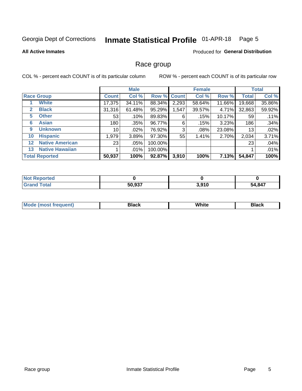#### Inmate Statistical Profile 01-APR-18 Page 5

#### **All Active Inmates**

#### Produced for General Distribution

#### Race group

COL % - percent each COUNT is of its particular column

|                   |                        |              | <b>Male</b> |         |             | <b>Female</b> |        |              | <b>Total</b> |  |
|-------------------|------------------------|--------------|-------------|---------|-------------|---------------|--------|--------------|--------------|--|
|                   | <b>Race Group</b>      | <b>Count</b> | Col %       |         | Row % Count | Col %         | Row %  | <b>Total</b> | Col %        |  |
|                   | <b>White</b>           | 17,375       | 34.11%      | 88.34%  | 2,293       | 58.64%        | 11.66% | 19,668       | 35.86%       |  |
| $\mathbf{2}$      | <b>Black</b>           | 31,316       | 61.48%      | 95.29%  | 1,547       | 39.57%        | 4.71%  | 32,863       | 59.92%       |  |
| 5.                | <b>Other</b>           | 53           | .10%        | 89.83%  | 6           | .15%          | 10.17% | 59           | .11%         |  |
| 6                 | <b>Asian</b>           | 180          | .35%        | 96.77%  | 6           | .15%          | 3.23%  | 186          | .34%         |  |
| 9                 | <b>Unknown</b>         | 10           | $.02\%$     | 76.92%  | 3           | .08%          | 23.08% | 13           | .02%         |  |
| 10                | <b>Hispanic</b>        | 1,979        | 3.89%       | 97.30%  | 55          | 1.41%         | 2.70%  | 2,034        | 3.71%        |  |
| $12 \overline{ }$ | <b>Native American</b> | 23           | $.05\%$     | 100.00% |             |               |        | 23           | .04%         |  |
| 13                | <b>Native Hawaiian</b> |              | .01%        | 100.00% |             |               |        |              | .01%         |  |
|                   | <b>Total Reported</b>  | 50,937       | 100%        | 92.87%  | 3,910       | 100%          | 7.13%  | 54,847       | 100%         |  |

| <b>Not Reported</b> |        |       |        |
|---------------------|--------|-------|--------|
| <b>Fotal</b>        | 50,937 | 3,910 | 54,847 |

| ' Mode | Black | .<br>vvnite | Black |
|--------|-------|-------------|-------|
|        |       |             |       |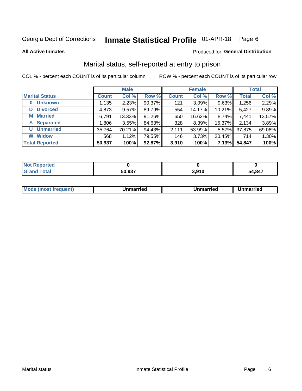#### Inmate Statistical Profile 01-APR-18 Page 6

**All Active Inmates** 

#### Produced for General Distribution

## Marital status, self-reported at entry to prison

COL % - percent each COUNT is of its particular column

|                            | <b>Male</b>  |          |        |              | <b>Female</b> | <b>Total</b> |              |        |
|----------------------------|--------------|----------|--------|--------------|---------------|--------------|--------------|--------|
| <b>Marital Status</b>      | <b>Count</b> | Col %    | Row %  | <b>Count</b> | Col %         | Row %        | <b>Total</b> | Col %  |
| <b>Unknown</b><br>$\bf{0}$ | 1,135        | 2.23%    | 90.37% | 121          | 3.09%         | 9.63%        | 1,256        | 2.29%  |
| <b>Divorced</b><br>D       | 4,873        | $9.57\%$ | 89.79% | 554          | 14.17%        | 10.21%       | 5,427        | 9.89%  |
| <b>Married</b><br>М        | 6,791        | 13.33%   | 91.26% | 650          | 16.62%        | 8.74%        | 7,441        | 13.57% |
| <b>Separated</b><br>S      | 1,806        | 3.55%    | 84.63% | 328          | 8.39%         | 15.37%       | 2,134        | 3.89%  |
| <b>Unmarried</b><br>U      | 35,764       | 70.21%   | 94.43% | 2,111        | 53.99%        | 5.57%        | 37,875       | 69.06% |
| <b>Widow</b><br>W          | 568          | 1.12%    | 79.55% | 146          | 3.73%         | 20.45%       | 714          | 1.30%  |
| <b>Total Reported</b>      | 50,937       | 100%     | 92.87% | 3,910        | 100%          | 7.13%        | 54,847       | 100%   |

| ™orted<br>NOT |        |                 |        |
|---------------|--------|-----------------|--------|
| Гоtal         | こへ ヘクフ | ה גם כ<br>J.JIV | 54.847 |

|--|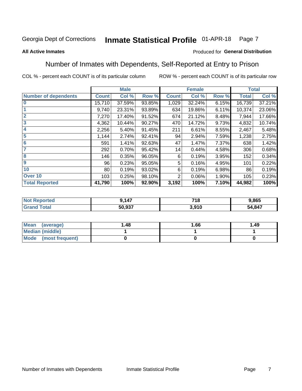#### Inmate Statistical Profile 01-APR-18 Page 7

#### **All Active Inmates**

#### Produced for General Distribution

### Number of Inmates with Dependents, Self-Reported at Entry to Prison

COL % - percent each COUNT is of its particular column

|                             |                 | <b>Male</b> |        |              | <b>Female</b> |       |              | <b>Total</b> |
|-----------------------------|-----------------|-------------|--------|--------------|---------------|-------|--------------|--------------|
| <b>Number of dependents</b> | <b>Count</b>    | Col %       | Row %  | <b>Count</b> | Col %         | Row % | <b>Total</b> | Col %        |
| l 0                         | 15,710          | 37.59%      | 93.85% | 1,029        | 32.24%        | 6.15% | 16,739       | 37.21%       |
|                             | 9,740           | 23.31%      | 93.89% | 634          | 19.86%        | 6.11% | 10,374       | 23.06%       |
| $\overline{2}$              | 7,270           | 17.40%      | 91.52% | 674          | 21.12%        | 8.48% | 7,944        | 17.66%       |
| $\overline{3}$              | 4,362           | 10.44%      | 90.27% | 470          | 14.72%        | 9.73% | 4,832        | 10.74%       |
| 4                           | 2,256           | 5.40%       | 91.45% | 211          | 6.61%         | 8.55% | 2,467        | 5.48%        |
| 5                           | 1,144           | 2.74%       | 92.41% | 94           | 2.94%         | 7.59% | 1,238        | 2.75%        |
| 6                           | 591             | 1.41%       | 92.63% | 47           | 1.47%         | 7.37% | 638          | 1.42%        |
| 7                           | 292             | 0.70%       | 95.42% | 14           | 0.44%         | 4.58% | 306          | 0.68%        |
| 8                           | 146             | 0.35%       | 96.05% | 6            | 0.19%         | 3.95% | 152          | 0.34%        |
| 9                           | 96              | 0.23%       | 95.05% | 5            | 0.16%         | 4.95% | 101          | 0.22%        |
| 10                          | 80 <sub>1</sub> | 0.19%       | 93.02% | 6            | 0.19%         | 6.98% | 86           | 0.19%        |
| Over 10                     | 103             | 0.25%       | 98.10% | 2            | 0.06%         | 1.90% | 105          | 0.23%        |
| <b>Total Reported</b>       | 41,790          | 100%        | 92.90% | 3,192        | 100%          | 7.10% | 44,982       | 100%         |

| 117           | <b>740</b><br>10 | 1,865  |
|---------------|------------------|--------|
| <b>50.027</b> | 3.910            | 54,847 |

| Mean (average)         | l.48 | 1.66 | 1.49 |
|------------------------|------|------|------|
| <b>Median (middle)</b> |      |      |      |
| Mode (most frequent)   |      |      |      |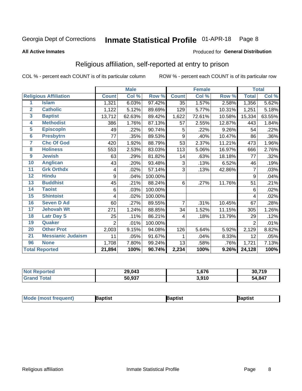#### Inmate Statistical Profile 01-APR-18 Page 8

#### **All Active Inmates**

#### Produced for General Distribution

## Religious affiliation, self-reported at entry to prison

COL % - percent each COUNT is of its particular column

|                         |                              |                | <b>Male</b> |         |              | <b>Female</b> |        |                     | <b>Total</b> |
|-------------------------|------------------------------|----------------|-------------|---------|--------------|---------------|--------|---------------------|--------------|
|                         | <b>Religious Affiliation</b> | <b>Count</b>   | Col %       | Row %   | <b>Count</b> | Col %         | Row %  | <b>Total</b>        | Col %        |
| 1                       | <b>Islam</b>                 | 1,321          | 6.03%       | 97.42%  | 35           | 1.57%         | 2.58%  | 1,356               | 5.62%        |
| $\overline{2}$          | <b>Catholic</b>              | 1,122          | 5.12%       | 89.69%  | 129          | 5.77%         | 10.31% | 1,251               | 5.18%        |
| $\overline{\mathbf{3}}$ | <b>Baptist</b>               | 13,712         | 62.63%      | 89.42%  | 1,622        | 72.61%        | 10.58% | 15,334              | 63.55%       |
| 4                       | <b>Methodist</b>             | 386            | 1.76%       | 87.13%  | 57           | 2.55%         | 12.87% | 443                 | 1.84%        |
| $\overline{5}$          | <b>EpiscopIn</b>             | 49             | .22%        | 90.74%  | 5            | .22%          | 9.26%  | 54                  | .22%         |
| $6\phantom{1}6$         | <b>Presbytrn</b>             | 77             | .35%        | 89.53%  | 9            | .40%          | 10.47% | 86                  | .36%         |
| 7                       | <b>Chc Of God</b>            | 420            | 1.92%       | 88.79%  | 53           | 2.37%         | 11.21% | 473                 | 1.96%        |
| 8                       | <b>Holiness</b>              | 553            | 2.53%       | 83.03%  | 113          | 5.06%         | 16.97% | 666                 | 2.76%        |
| $\boldsymbol{9}$        | <b>Jewish</b>                | 63             | .29%        | 81.82%  | 14           | .63%          | 18.18% | 77                  | .32%         |
| 10                      | <b>Anglican</b>              | 43             | .20%        | 93.48%  | 3            | .13%          | 6.52%  | 46                  | .19%         |
| 11                      | <b>Grk Orthdx</b>            | 4              | .02%        | 57.14%  | 3            | .13%          | 42.86% | 7                   | .03%         |
| 12                      | <b>Hindu</b>                 | 9              | .04%        | 100.00% |              |               |        | 9                   | .04%         |
| 13                      | <b>Buddhist</b>              | 45             | .21%        | 88.24%  | 6            | .27%          | 11.76% | 51                  | .21%         |
| 14                      | <b>Taoist</b>                | 6              | .03%        | 100.00% |              |               |        | 6                   | .02%         |
| 15                      | <b>Shintoist</b>             | 4              | .02%        | 100.00% |              |               |        | 4                   | .02%         |
| 16                      | <b>Seven D Ad</b>            | 60             | .27%        | 89.55%  | 7            | .31%          | 10.45% | 67                  | .28%         |
| 17                      | <b>Jehovah Wt</b>            | 271            | 1.24%       | 88.85%  | 34           | 1.52%         | 11.15% | 305                 | 1.26%        |
| 18                      | <b>Latr Day S</b>            | 25             | .11%        | 86.21%  | 4            | .18%          | 13.79% | 29                  | .12%         |
| 19                      | Quaker                       | $\overline{2}$ | .01%        | 100.00% |              |               |        | 2                   | .01%         |
| 20                      | <b>Other Prot</b>            | 2,003          | 9.15%       | 94.08%  | 126          | 5.64%         | 5.92%  | 2,129               | 8.82%        |
| $\overline{21}$         | <b>Messianic Judaism</b>     | 11             | .05%        | 91.67%  | 1            | .04%          | 8.33%  | 12                  | .05%         |
| 96                      | <b>None</b>                  | 1,708          | 7.80%       | 99.24%  | 13           | .58%          | .76%   | 1,721               | 7.13%        |
|                         | <b>Total Reported</b>        | 21,894         | 100%        | 90.74%  | 2,234        | 100%          | 9.26%  | $\overline{24,}128$ | 100%         |

|                       | 29,043 | .676  | 30,719 |
|-----------------------|--------|-------|--------|
| $f \wedge f \wedge f$ | 50,937 | 3.910 | 54,847 |

| <b>Mode (most frequent)</b> | <b>Japtist</b> | Baptist | Baptist |
|-----------------------------|----------------|---------|---------|
|-----------------------------|----------------|---------|---------|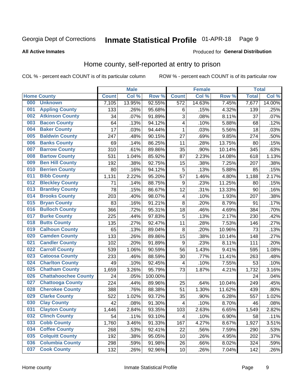#### Inmate Statistical Profile 01-APR-18 Page 9

#### **All Active Inmates**

#### Produced for General Distribution

## Home county, self-reported at entry to prison

COL % - percent each COUNT is of its particular column

|     |                             |              | <b>Male</b> |                  |                         | <b>Female</b> |        | <b>Total</b> |        |
|-----|-----------------------------|--------------|-------------|------------------|-------------------------|---------------|--------|--------------|--------|
|     | <b>Home County</b>          | <b>Count</b> | Col %       | Row <sup>%</sup> | <b>Count</b>            | Col %         | Row %  | <b>Total</b> | Col %  |
| 000 | <b>Unknown</b>              | 7,105        | 13.95%      | 92.55%           | 572                     | 14.63%        | 7.45%  | 7,677        | 14.00% |
| 001 | <b>Appling County</b>       | 133          | .26%        | 95.68%           | 6                       | .15%          | 4.32%  | 139          | .25%   |
| 002 | <b>Atkinson County</b>      | 34           | .07%        | 91.89%           | 3                       | .08%          | 8.11%  | 37           | .07%   |
| 003 | <b>Bacon County</b>         | 64           | .13%        | 94.12%           | $\overline{\mathbf{4}}$ | .10%          | 5.88%  | 68           | .12%   |
| 004 | <b>Baker County</b>         | 17           | .03%        | 94.44%           | 1                       | .03%          | 5.56%  | 18           | .03%   |
| 005 | <b>Baldwin County</b>       | 247          | .48%        | 90.15%           | 27                      | .69%          | 9.85%  | 274          | .50%   |
| 006 | <b>Banks County</b>         | 69           | .14%        | 86.25%           | 11                      | .28%          | 13.75% | 80           | .15%   |
| 007 | <b>Barrow County</b>        | 310          | .61%        | 89.86%           | 35                      | .90%          | 10.14% | 345          | .63%   |
| 008 | <b>Bartow County</b>        | 531          | 1.04%       | 85.92%           | 87                      | 2.23%         | 14.08% | 618          | 1.13%  |
| 009 | <b>Ben Hill County</b>      | 192          | .38%        | 92.75%           | 15                      | .38%          | 7.25%  | 207          | .38%   |
| 010 | <b>Berrien County</b>       | 80           | .16%        | 94.12%           | 5                       | .13%          | 5.88%  | 85           | .15%   |
| 011 | <b>Bibb County</b>          | 1,131        | 2.22%       | 95.20%           | 57                      | 1.46%         | 4.80%  | 1,188        | 2.17%  |
| 012 | <b>Bleckley County</b>      | 71           | .14%        | 88.75%           | 9                       | .23%          | 11.25% | 80           | .15%   |
| 013 | <b>Brantley County</b>      | 78           | .15%        | 86.67%           | 12                      | .31%          | 13.33% | 90           | .16%   |
| 014 | <b>Brooks County</b>        | 203          | .40%        | 98.07%           | 4                       | .10%          | 1.93%  | 207          | .38%   |
| 015 | <b>Bryan County</b>         | 83           | .16%        | 91.21%           | 8                       | .20%          | 8.79%  | 91           | .17%   |
| 016 | <b>Bulloch County</b>       | 366          | .72%        | 95.31%           | 18                      | .46%          | 4.69%  | 384          | .70%   |
| 017 | <b>Burke County</b>         | 225          | .44%        | 97.83%           | 5                       | .13%          | 2.17%  | 230          | .42%   |
| 018 | <b>Butts County</b>         | 135          | .27%        | 92.47%           | 11                      | .28%          | 7.53%  | 146          | .27%   |
| 019 | <b>Calhoun County</b>       | 65           | .13%        | 89.04%           | 8                       | .20%          | 10.96% | 73           | .13%   |
| 020 | <b>Camden County</b>        | 133          | .26%        | 89.86%           | 15                      | .38%          | 10.14% | 148          | .27%   |
| 021 | <b>Candler County</b>       | 102          | .20%        | 91.89%           | $\boldsymbol{9}$        | .23%          | 8.11%  | 111          | .20%   |
| 022 | <b>Carroll County</b>       | 539          | 1.06%       | 90.59%           | 56                      | 1.43%         | 9.41%  | 595          | 1.08%  |
| 023 | <b>Catoosa County</b>       | 233          | .46%        | 88.59%           | 30                      | .77%          | 11.41% | 263          | .48%   |
| 024 | <b>Charlton County</b>      | 49           | .10%        | 92.45%           | 4                       | .10%          | 7.55%  | 53           | .10%   |
| 025 | <b>Chatham County</b>       | 1,659        | 3.26%       | 95.79%           | 73                      | 1.87%         | 4.21%  | 1,732        | 3.16%  |
| 026 | <b>Chattahoochee County</b> | 24           | .05%        | 100.00%          |                         |               |        | 24           | .04%   |
| 027 | <b>Chattooga County</b>     | 224          | .44%        | 89.96%           | 25                      | .64%          | 10.04% | 249          | .45%   |
| 028 | <b>Cherokee County</b>      | 388          | .76%        | 88.38%           | 51                      | 1.30%         | 11.62% | 439          | .80%   |
| 029 | <b>Clarke County</b>        | 522          | 1.02%       | 93.72%           | 35                      | .90%          | 6.28%  | 557          | 1.02%  |
| 030 | <b>Clay County</b>          | 42           | .08%        | 91.30%           | $\overline{\mathbf{4}}$ | .10%          | 8.70%  | 46           | .08%   |
| 031 | <b>Clayton County</b>       | 1,446        | 2.84%       | 93.35%           | 103                     | 2.63%         | 6.65%  | 1,549        | 2.82%  |
| 032 | <b>Clinch County</b>        | 54           | .11%        | 93.10%           | 4                       | .10%          | 6.90%  | 58           | .11%   |
| 033 | <b>Cobb County</b>          | 1,760        | 3.46%       | 91.33%           | 167                     | 4.27%         | 8.67%  | 1,927        | 3.51%  |
| 034 | <b>Coffee County</b>        | 268          | .53%        | 92.41%           | 22                      | .56%          | 7.59%  | 290          | .53%   |
| 035 | <b>Colquitt County</b>      | 192          | .38%        | 95.05%           | 10                      | .26%          | 4.95%  | 202          | .37%   |
| 036 | <b>Columbia County</b>      | 298          | .59%        | 91.98%           | 26                      | .66%          | 8.02%  | 324          | .59%   |
| 037 | <b>Cook County</b>          | 132          | .26%        | 92.96%           | $10$                    | .26%          | 7.04%  | 142          | .26%   |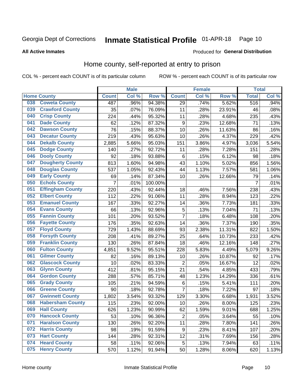#### Inmate Statistical Profile 01-APR-18 Page 10

#### **All Active Inmates**

#### Produced for General Distribution

### Home county, self-reported at entry to prison

COL % - percent each COUNT is of its particular column

|     |                         |                    | <b>Male</b> |         |                  | <b>Female</b> |        | <b>Total</b>   |       |
|-----|-------------------------|--------------------|-------------|---------|------------------|---------------|--------|----------------|-------|
|     | <b>Home County</b>      | <b>Count</b>       | Col%        | Row %   | <b>Count</b>     | Col %         | Row %  | <b>Total</b>   | Col % |
| 038 | <b>Coweta County</b>    | 487                | .96%        | 94.38%  | 29               | .74%          | 5.62%  | 516            | .94%  |
| 039 | <b>Crawford County</b>  | 35                 | .07%        | 76.09%  | 11               | .28%          | 23.91% | 46             | .08%  |
| 040 | <b>Crisp County</b>     | 224                | .44%        | 95.32%  | 11               | .28%          | 4.68%  | 235            | .43%  |
| 041 | <b>Dade County</b>      | 62                 | .12%        | 87.32%  | $\boldsymbol{9}$ | .23%          | 12.68% | 71             | .13%  |
| 042 | <b>Dawson County</b>    | 76                 | .15%        | 88.37%  | 10               | .26%          | 11.63% | 86             | .16%  |
| 043 | <b>Decatur County</b>   | 219                | .43%        | 95.63%  | 10               | .26%          | 4.37%  | 229            | .42%  |
| 044 | <b>Dekalb County</b>    | 2,885              | 5.66%       | 95.03%  | 151              | 3.86%         | 4.97%  | 3,036          | 5.54% |
| 045 | <b>Dodge County</b>     | 140                | .27%        | 92.72%  | 11               | .28%          | 7.28%  | 151            | .28%  |
| 046 | <b>Dooly County</b>     | 92                 | .18%        | 93.88%  | 6                | .15%          | 6.12%  | 98             | .18%  |
| 047 | <b>Dougherty County</b> | 813                | 1.60%       | 94.98%  | 43               | 1.10%         | 5.02%  | 856            | 1.56% |
| 048 | <b>Douglas County</b>   | 537                | 1.05%       | 92.43%  | 44               | 1.13%         | 7.57%  | 581            | 1.06% |
| 049 | <b>Early County</b>     | 69                 | .14%        | 87.34%  | 10               | .26%          | 12.66% | 79             | .14%  |
| 050 | <b>Echols County</b>    | $\overline{7}$     | .01%        | 100.00% |                  |               |        | $\overline{7}$ | .01%  |
| 051 | <b>Effingham County</b> | 220                | .43%        | 92.44%  | 18               | .46%          | 7.56%  | 238            | .43%  |
| 052 | <b>Elbert County</b>    | 112                | .22%        | 91.06%  | 11               | .28%          | 8.94%  | 123            | .22%  |
| 053 | <b>Emanuel County</b>   | 167                | .33%        | 92.27%  | 14               | .36%          | 7.73%  | 181            | .33%  |
| 054 | <b>Evans County</b>     | 66                 | .13%        | 92.96%  | 5                | .13%          | 7.04%  | 71             | .13%  |
| 055 | <b>Fannin County</b>    | 101                | .20%        | 93.52%  | $\overline{7}$   | .18%          | 6.48%  | 108            | .20%  |
| 056 | <b>Fayette County</b>   | 176                | .35%        | 92.63%  | 14               | .36%          | 7.37%  | 190            | .35%  |
| 057 | <b>Floyd County</b>     | 729                | 1.43%       | 88.69%  | 93               | 2.38%         | 11.31% | 822            | 1.50% |
| 058 | <b>Forsyth County</b>   | 208                | .41%        | 89.27%  | 25               | .64%          | 10.73% | 233            | .42%  |
| 059 | <b>Franklin County</b>  | 130                | .26%        | 87.84%  | 18               | .46%          | 12.16% | 148            | .27%  |
| 060 | <b>Fulton County</b>    | 4,851              | 9.52%       | 95.51%  | 228              | 5.83%         | 4.49%  | 5,079          | 9.26% |
| 061 | <b>Gilmer County</b>    | 82                 | .16%        | 89.13%  | 10               | .26%          | 10.87% | 92             | .17%  |
| 062 | <b>Glascock County</b>  | 10                 | .02%        | 83.33%  | $\overline{2}$   | .05%          | 16.67% | 12             | .02%  |
| 063 | <b>Glynn County</b>     | 412                | .81%        | 95.15%  | 21               | .54%          | 4.85%  | 433            | .79%  |
| 064 | <b>Gordon County</b>    | 288                | .57%        | 85.71%  | 48               | 1.23%         | 14.29% | 336            | .61%  |
| 065 | <b>Grady County</b>     | 105                | .21%        | 94.59%  | $\,6$            | .15%          | 5.41%  | 111            | .20%  |
| 066 | <b>Greene County</b>    | 90                 | .18%        | 92.78%  | $\overline{7}$   | .18%          | 7.22%  | 97             | .18%  |
| 067 | <b>Gwinnett County</b>  | $\overline{1,802}$ | 3.54%       | 93.32%  | 129              | 3.30%         | 6.68%  | 1,931          | 3.52% |
| 068 | <b>Habersham County</b> | 115                | .23%        | 92.00%  | 10               | .26%          | 8.00%  | 125            | .23%  |
| 069 | <b>Hall County</b>      | 626                | 1.23%       | 90.99%  | 62               | 1.59%         | 9.01%  | 688            | 1.25% |
| 070 | <b>Hancock County</b>   | 53                 | .10%        | 96.36%  | $\overline{2}$   | .05%          | 3.64%  | 55             | .10%  |
| 071 | <b>Haralson County</b>  | 130                | .26%        | 92.20%  | 11               | .28%          | 7.80%  | 141            | .26%  |
| 072 | <b>Harris County</b>    | 98                 | .19%        | 91.59%  | 9                | .23%          | 8.41%  | 107            | .20%  |
| 073 | <b>Hart County</b>      | 144                | .28%        | 92.31%  | 12               | .31%          | 7.69%  | 156            | .28%  |
| 074 | <b>Heard County</b>     | 58                 | .11%        | 92.06%  | 5                | .13%          | 7.94%  | 63             | .11%  |
| 075 | <b>Henry County</b>     | 570                | 1.12%       | 91.94%  | 50               | 1.28%         | 8.06%  | 620            | 1.13% |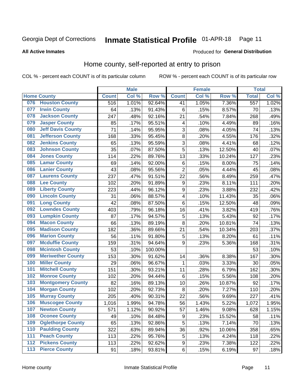#### Inmate Statistical Profile 01-APR-18 Page 11

**All Active Inmates** 

#### Produced for General Distribution

### Home county, self-reported at entry to prison

COL % - percent each COUNT is of its particular column

|     |                          |              | <b>Male</b> |         |                         | <b>Female</b> |        | <b>Total</b>     |       |
|-----|--------------------------|--------------|-------------|---------|-------------------------|---------------|--------|------------------|-------|
|     | <b>Home County</b>       | <b>Count</b> | Col %       | Row %   | <b>Count</b>            | Col %         | Row %  | <b>Total</b>     | Col % |
| 076 | <b>Houston County</b>    | 516          | 1.01%       | 92.64%  | 41                      | 1.05%         | 7.36%  | $\overline{557}$ | 1.02% |
| 077 | <b>Irwin County</b>      | 64           | .13%        | 91.43%  | 6                       | .15%          | 8.57%  | 70               | .13%  |
| 078 | <b>Jackson County</b>    | 247          | .48%        | 92.16%  | 21                      | .54%          | 7.84%  | 268              | .49%  |
| 079 | <b>Jasper County</b>     | 85           | .17%        | 95.51%  | 4                       | .10%          | 4.49%  | 89               | .16%  |
| 080 | <b>Jeff Davis County</b> | 71           | .14%        | 95.95%  | 3                       | .08%          | 4.05%  | 74               | .13%  |
| 081 | <b>Jefferson County</b>  | 168          | .33%        | 95.45%  | 8                       | .20%          | 4.55%  | 176              | .32%  |
| 082 | <b>Jenkins County</b>    | 65           | .13%        | 95.59%  | $\overline{3}$          | .08%          | 4.41%  | 68               | .12%  |
| 083 | <b>Johnson County</b>    | 35           | .07%        | 87.50%  | 5                       | .13%          | 12.50% | 40               | .07%  |
| 084 | <b>Jones County</b>      | 114          | .22%        | 89.76%  | 13                      | .33%          | 10.24% | 127              | .23%  |
| 085 | <b>Lamar County</b>      | 69           | .14%        | 92.00%  | 6                       | .15%          | 8.00%  | 75               | .14%  |
| 086 | <b>Lanier County</b>     | 43           | .08%        | 95.56%  | $\overline{2}$          | .05%          | 4.44%  | 45               | .08%  |
| 087 | <b>Laurens County</b>    | 237          | .47%        | 91.51%  | 22                      | .56%          | 8.49%  | 259              | .47%  |
| 088 | <b>Lee County</b>        | 102          | .20%        | 91.89%  | 9                       | .23%          | 8.11%  | 111              | .20%  |
| 089 | <b>Liberty County</b>    | 223          | .44%        | 96.12%  | 9                       | .23%          | 3.88%  | 232              | .42%  |
| 090 | <b>Lincoln County</b>    | 31           | .06%        | 88.57%  | $\overline{\mathbf{4}}$ | .10%          | 11.43% | 35               | .06%  |
| 091 | <b>Long County</b>       | 42           | .08%        | 87.50%  | 6                       | .15%          | 12.50% | 48               | .09%  |
| 092 | <b>Lowndes County</b>    | 403          | .79%        | 96.18%  | 16                      | .41%          | 3.82%  | 419              | .76%  |
| 093 | <b>Lumpkin County</b>    | 87           | .17%        | 94.57%  | 5                       | .13%          | 5.43%  | 92               | .17%  |
| 094 | <b>Macon County</b>      | 66           | .13%        | 89.19%  | 8                       | .20%          | 10.81% | 74               | .13%  |
| 095 | <b>Madison County</b>    | 182          | .36%        | 89.66%  | 21                      | .54%          | 10.34% | 203              | .37%  |
| 096 | <b>Marion County</b>     | 56           | .11%        | 91.80%  | 5                       | .13%          | 8.20%  | 61               | .11%  |
| 097 | <b>Mcduffie County</b>   | 159          | .31%        | 94.64%  | 9                       | .23%          | 5.36%  | 168              | .31%  |
| 098 | <b>Mcintosh County</b>   | 53           | .10%        | 100.00% |                         |               |        | 53               | .10%  |
| 099 | <b>Meriwether County</b> | 153          | .30%        | 91.62%  | 14                      | .36%          | 8.38%  | 167              | .30%  |
| 100 | <b>Miller County</b>     | 29           | .06%        | 96.67%  | $\mathbf{1}$            | .03%          | 3.33%  | 30               | .05%  |
| 101 | <b>Mitchell County</b>   | 151          | .30%        | 93.21%  | 11                      | .28%          | 6.79%  | 162              | .30%  |
| 102 | <b>Monroe County</b>     | 102          | .20%        | 94.44%  | 6                       | .15%          | 5.56%  | 108              | .20%  |
| 103 | <b>Montgomery County</b> | 82           | .16%        | 89.13%  | 10                      | .26%          | 10.87% | 92               | .17%  |
| 104 | <b>Morgan County</b>     | 102          | .20%        | 92.73%  | 8                       | .20%          | 7.27%  | 110              | .20%  |
| 105 | <b>Murray County</b>     | 205          | .40%        | 90.31%  | 22                      | .56%          | 9.69%  | 227              | .41%  |
| 106 | <b>Muscogee County</b>   | 1,016        | 1.99%       | 94.78%  | 56                      | 1.43%         | 5.22%  | 1,072            | 1.95% |
| 107 | <b>Newton County</b>     | 571          | 1.12%       | 90.92%  | 57                      | 1.46%         | 9.08%  | 628              | 1.15% |
| 108 | <b>Oconee County</b>     | 49           | .10%        | 84.48%  | $\boldsymbol{9}$        | .23%          | 15.52% | 58               | .11%  |
| 109 | <b>Oglethorpe County</b> | 65           | .13%        | 92.86%  | 5                       | .13%          | 7.14%  | 70               | .13%  |
| 110 | <b>Paulding County</b>   | 322          | .63%        | 89.94%  | 36                      | .92%          | 10.06% | 358              | .65%  |
| 111 | <b>Peach County</b>      | 113          | .22%        | 95.76%  | 5                       | .13%          | 4.24%  | 118              | .22%  |
| 112 | <b>Pickens County</b>    | 113          | .22%        | 92.62%  | $\boldsymbol{9}$        | .23%          | 7.38%  | 122              | .22%  |
| 113 | <b>Pierce County</b>     | 91           | .18%        | 93.81%  | $\,6$                   | .15%          | 6.19%  | 97               | .18%  |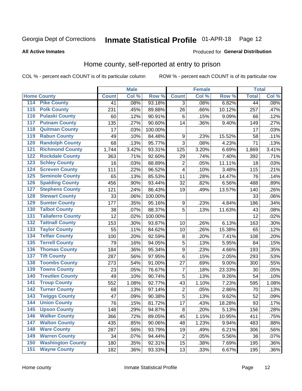#### Inmate Statistical Profile 01-APR-18 Page 12

Produced for General Distribution

#### **All Active Inmates**

### Home county, self-reported at entry to prison

COL % - percent each COUNT is of its particular column

|                  |                          |              | <b>Male</b> |                  |                         | <b>Female</b> |        | <b>Total</b> |       |
|------------------|--------------------------|--------------|-------------|------------------|-------------------------|---------------|--------|--------------|-------|
|                  | <b>Home County</b>       | <b>Count</b> | Col %       | Row <sup>%</sup> | <b>Count</b>            | Col %         | Row %  | <b>Total</b> | Col % |
| 114              | <b>Pike County</b>       | 41           | .08%        | 93.18%           | 3                       | .08%          | 6.82%  | 44           | .08%  |
| 115              | <b>Polk County</b>       | 231          | .45%        | 89.88%           | 26                      | .66%          | 10.12% | 257          | .47%  |
| 116              | <b>Pulaski County</b>    | 60           | .12%        | 90.91%           | 6                       | .15%          | 9.09%  | 66           | .12%  |
| 117              | <b>Putnam County</b>     | 135          | .27%        | 90.60%           | 14                      | .36%          | 9.40%  | 149          | .27%  |
| 118              | <b>Quitman County</b>    | 17           | .03%        | 100.00%          |                         |               |        | 17           | .03%  |
| 119              | <b>Rabun County</b>      | 49           | .10%        | 84.48%           | 9                       | .23%          | 15.52% | 58           | .11%  |
| 120              | <b>Randolph County</b>   | 68           | .13%        | 95.77%           | 3                       | .08%          | 4.23%  | 71           | .13%  |
| $\overline{121}$ | <b>Richmond County</b>   | 1,744        | 3.42%       | 93.31%           | 125                     | 3.20%         | 6.69%  | 1,869        | 3.41% |
| 122              | <b>Rockdale County</b>   | 363          | .71%        | 92.60%           | 29                      | .74%          | 7.40%  | 392          | .71%  |
| 123              | <b>Schley County</b>     | 16           | .03%        | 88.89%           | $\overline{c}$          | .05%          | 11.11% | 18           | .03%  |
| 124              | <b>Screven County</b>    | 111          | .22%        | 96.52%           | 4                       | .10%          | 3.48%  | 115          | .21%  |
| 125              | <b>Seminole County</b>   | 65           | .13%        | 85.53%           | 11                      | .28%          | 14.47% | 76           | .14%  |
| 126              | <b>Spalding County</b>   | 456          | .90%        | 93.44%           | 32                      | .82%          | 6.56%  | 488          | .89%  |
| 127              | <b>Stephens County</b>   | 121          | .24%        | 86.43%           | 19                      | .49%          | 13.57% | 140          | .26%  |
| 128              | <b>Stewart County</b>    | 33           | .06%        | 100.00%          |                         |               |        | 33           | .06%  |
| 129              | <b>Sumter County</b>     | 177          | .35%        | 95.16%           | 9                       | .23%          | 4.84%  | 186          | .34%  |
| 130              | <b>Talbot County</b>     | 38           | .07%        | 88.37%           | 5                       | .13%          | 11.63% | 43           | .08%  |
| 131              | <b>Taliaferro County</b> | 12           | .02%        | 100.00%          |                         |               |        | 12           | .02%  |
| 132              | <b>Tattnall County</b>   | 153          | .30%        | 93.87%           | 10                      | .26%          | 6.13%  | 163          | .30%  |
| 133              | <b>Taylor County</b>     | 55           | .11%        | 84.62%           | 10                      | .26%          | 15.38% | 65           | .12%  |
| 134              | <b>Telfair County</b>    | 100          | .20%        | 92.59%           | 8                       | .20%          | 7.41%  | 108          | .20%  |
| 135              | <b>Terrell County</b>    | 79           | .16%        | 94.05%           | 5                       | .13%          | 5.95%  | 84           | .15%  |
| 136              | <b>Thomas County</b>     | 184          | .36%        | 95.34%           | 9                       | .23%          | 4.66%  | 193          | .35%  |
| 137              | <b>Tift County</b>       | 287          | .56%        | 97.95%           | 6                       | .15%          | 2.05%  | 293          | .53%  |
| 138              | <b>Toombs County</b>     | 273          | .54%        | 91.00%           | 27                      | .69%          | 9.00%  | 300          | .55%  |
| 139              | <b>Towns County</b>      | 23           | .05%        | 76.67%           | 7                       | .18%          | 23.33% | 30           | .05%  |
| 140              | <b>Treutlen County</b>   | 49           | .10%        | 90.74%           | 5                       | .13%          | 9.26%  | 54           | .10%  |
| 141              | <b>Troup County</b>      | 552          | 1.08%       | 92.77%           | 43                      | 1.10%         | 7.23%  | 595          | 1.08% |
| $\overline{142}$ | <b>Turner County</b>     | 68           | .13%        | 97.14%           | $\overline{\mathbf{c}}$ | .05%          | 2.86%  | 70           | .13%  |
| 143              | <b>Twiggs County</b>     | 47           | .09%        | 90.38%           | 5                       | .13%          | 9.62%  | 52           | .09%  |
| 144              | <b>Union County</b>      | 76           | .15%        | 81.72%           | 17                      | .43%          | 18.28% | 93           | .17%  |
| 145              | <b>Upson County</b>      | 148          | .29%        | 94.87%           | 8                       | .20%          | 5.13%  | 156          | .28%  |
| 146              | <b>Walker County</b>     | 366          | .72%        | 89.05%           | 45                      | 1.15%         | 10.95% | 411          | .75%  |
| 147              | <b>Walton County</b>     | 435          | .85%        | 90.06%           | 48                      | 1.23%         | 9.94%  | 483          | .88%  |
| 148              | <b>Ware County</b>       | 287          | .56%        | 93.79%           | 19                      | .49%          | 6.21%  | 306          | .56%  |
| 149              | <b>Warren County</b>     | 34           | .07%        | 94.44%           | $\overline{c}$          | .05%          | 5.56%  | 36           | .07%  |
| 150              | <b>Washington County</b> | 180          | .35%        | 92.31%           | 15                      | .38%          | 7.69%  | 195          | .36%  |
| 151              | <b>Wayne County</b>      | 182          | .36%        | 93.33%           | 13                      | .33%          | 6.67%  | 195          | .36%  |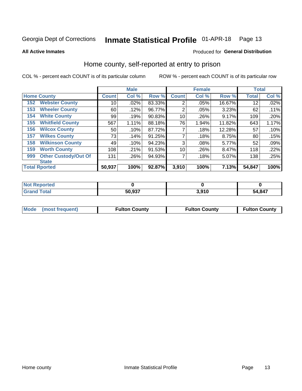#### Inmate Statistical Profile 01-APR-18 Page 13

**All Active Inmates** 

#### Produced for General Distribution

### Home county, self-reported at entry to prison

COL % - percent each COUNT is of its particular column

|     |                             |              | <b>Male</b> |        |                | <b>Female</b> |        | <b>Total</b> |       |
|-----|-----------------------------|--------------|-------------|--------|----------------|---------------|--------|--------------|-------|
|     | <b>Home County</b>          | <b>Count</b> | Col %       | Row %  | <b>Count</b>   | Col %         | Row %  | <b>Total</b> | Col % |
| 152 | <b>Webster County</b>       | 10           | .02%        | 83.33% | $\overline{2}$ | .05%          | 16.67% | 12           | .02%  |
| 153 | <b>Wheeler County</b>       | 60           | .12%        | 96.77% | 2              | .05%          | 3.23%  | 62           | .11%  |
| 154 | <b>White County</b>         | 99           | .19%        | 90.83% | 10             | .26%          | 9.17%  | 109          | .20%  |
| 155 | <b>Whitfield County</b>     | 567          | 1.11%       | 88.18% | 76             | 1.94%         | 11.82% | 643          | 1.17% |
| 156 | <b>Wilcox County</b>        | 50           | .10%        | 87.72% | 7              | .18%          | 12.28% | 57           | .10%  |
| 157 | <b>Wilkes County</b>        | 73           | .14%        | 91.25% | 7              | .18%          | 8.75%  | 80           | .15%  |
| 158 | <b>Wilkinson County</b>     | 49           | .10%        | 94.23% | 3              | .08%          | 5.77%  | 52           | .09%  |
| 159 | <b>Worth County</b>         | 108          | .21%        | 91.53% | 10             | .26%          | 8.47%  | 118          | .22%  |
| 999 | <b>Other Custody/Out Of</b> | 131          | .26%        | 94.93% | 7              | .18%          | 5.07%  | 138          | .25%  |
|     | <b>State</b>                |              |             |        |                |               |        |              |       |
|     | <b>Total Rported</b>        | 50,937       | 100%        | 92.87% | 3,910          | 100%          | 7.13%  | 54,847       | 100%  |

| Reported<br>NO1 |        |       |              |
|-----------------|--------|-------|--------------|
| <b>c</b> otal   | 50,937 | 3,910 | 54,847<br>54 |

| Mode (most frequent) | <b>Fulton County</b> | <b>Fulton County</b> | <b>Fulton County</b> |
|----------------------|----------------------|----------------------|----------------------|
|                      |                      |                      |                      |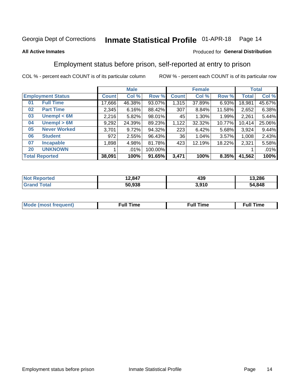#### Inmate Statistical Profile 01-APR-18 Page 14

#### **All Active Inmates**

#### Produced for General Distribution

### Employment status before prison, self-reported at entry to prison

COL % - percent each COUNT is of its particular column

|                           |              | <b>Male</b> |         |              | <b>Female</b> |        |        | <b>Total</b> |  |
|---------------------------|--------------|-------------|---------|--------------|---------------|--------|--------|--------------|--|
| <b>Employment Status</b>  | <b>Count</b> | Col %       | Row %   | <b>Count</b> | Col %         | Row %  | Total  | Col %        |  |
| <b>Full Time</b><br>01    | 17,666       | 46.38%      | 93.07%  | 1,315        | 37.89%        | 6.93%  | 18,981 | 45.67%       |  |
| <b>Part Time</b><br>02    | 2,345        | 6.16%       | 88.42%  | 307          | 8.84%         | 11.58% | 2,652  | 6.38%        |  |
| Unempl $<$ 6M<br>03       | 2,216        | 5.82%       | 98.01%  | 45           | 1.30%         | 1.99%  | 2,261  | 5.44%        |  |
| Unempl > 6M<br>04         | 9,292        | 24.39%      | 89.23%  | 1,122        | 32.32%        | 10.77% | 10,414 | 25.06%       |  |
| <b>Never Worked</b><br>05 | 3,701        | 9.72%       | 94.32%  | 223          | 6.42%         | 5.68%  | 3,924  | 9.44%        |  |
| <b>Student</b><br>06      | 972          | 2.55%       | 96.43%  | 36           | 1.04%         | 3.57%  | 1,008  | 2.43%        |  |
| 07<br><b>Incapable</b>    | ,898         | 4.98%       | 81.78%  | 423          | 12.19%        | 18.22% | 2,321  | 5.58%        |  |
| <b>UNKNOWN</b><br>20      |              | $.01\%$     | 100.00% |              |               |        |        | .01%         |  |
| <b>Total Reported</b>     | 38,091       | 100%        | 91.65%  | 3,471        | 100%          | 8.35%  | 41,562 | 100%         |  |

| <b>Not Reported</b> | 12,847 | 439   | 13,286 |
|---------------------|--------|-------|--------|
| <b>Grand Total</b>  | 50,938 | 3,910 | 54,848 |

| <b>Mode (most frequent)</b> | Full Time | <b>Full Time</b> | Time |
|-----------------------------|-----------|------------------|------|
|                             |           |                  |      |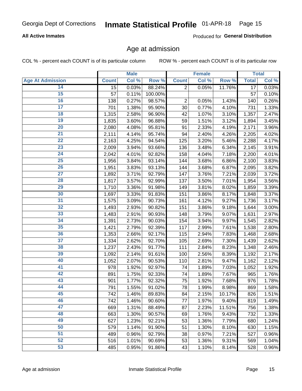#### **All Active Inmates**

Produced for General Distribution

### Age at admission

COL % - percent each COUNT is of its particular column

|                         |                 | <b>Male</b> |         |                | <b>Female</b> |        |                 | <b>Total</b> |
|-------------------------|-----------------|-------------|---------|----------------|---------------|--------|-----------------|--------------|
| <b>Age At Admission</b> | <b>Count</b>    | Col %       | Row %   | <b>Count</b>   | Col %         | Row %  | <b>Total</b>    | Col %        |
| 14                      | $\overline{15}$ | 0.03%       | 88.24%  | $\overline{2}$ | 0.05%         | 11.76% | $\overline{17}$ | 0.03%        |
| $\overline{15}$         | 57              | 0.11%       | 100.00% |                |               |        | 57              | 0.10%        |
| 16                      | 138             | 0.27%       | 98.57%  | 2              | 0.05%         | 1.43%  | 140             | 0.26%        |
| $\overline{17}$         | 701             | 1.38%       | 95.90%  | 30             | 0.77%         | 4.10%  | 731             | 1.33%        |
| $\overline{18}$         | 1,315           | 2.58%       | 96.90%  | 42             | 1.07%         | 3.10%  | 1,357           | 2.47%        |
| 19                      | 1,835           | 3.60%       | 96.88%  | 59             | 1.51%         | 3.12%  | 1,894           | 3.45%        |
| 20                      | 2,080           | 4.08%       | 95.81%  | 91             | 2.33%         | 4.19%  | 2,171           | 3.96%        |
| $\overline{21}$         | 2,111           | 4.14%       | 95.74%  | 94             | 2.40%         | 4.26%  | 2,205           | 4.02%        |
| $\overline{22}$         | 2,163           | 4.25%       | 94.54%  | 125            | 3.20%         | 5.46%  | 2,288           | 4.17%        |
| $\overline{23}$         | 2,009           | 3.94%       | 93.66%  | 136            | 3.48%         | 6.34%  | 2,145           | 3.91%        |
| 24                      | 2,042           | 4.01%       | 92.82%  | 158            | 4.04%         | 7.18%  | 2,200           | 4.01%        |
| $\overline{25}$         | 1,956           | 3.84%       | 93.14%  | 144            | 3.68%         | 6.86%  | 2,100           | 3.83%        |
| $\overline{26}$         | 1,951           | 3.83%       | 93.13%  | 144            | 3.68%         | 6.87%  | 2,095           | 3.82%        |
| $\overline{27}$         | 1,892           | 3.71%       | 92.79%  | 147            | 3.76%         | 7.21%  | 2,039           | 3.72%        |
| 28                      | 1,817           | 3.57%       | 92.99%  | 137            | 3.50%         | 7.01%  | 1,954           | 3.56%        |
| 29                      | 1,710           | 3.36%       | 91.98%  | 149            | 3.81%         | 8.02%  | 1,859           | 3.39%        |
| 30                      | 1,697           | 3.33%       | 91.83%  | 151            | 3.86%         | 8.17%  | 1,848           | 3.37%        |
| 31                      | 1,575           | 3.09%       | 90.73%  | 161            | 4.12%         | 9.27%  | 1,736           | 3.17%        |
| 32                      | 1,493           | 2.93%       | 90.82%  | 151            | 3.86%         | 9.18%  | 1,644           | 3.00%        |
| 33                      | 1,483           | 2.91%       | 90.93%  | 148            | 3.79%         | 9.07%  | 1,631           | 2.97%        |
| 34                      | 1,391           | 2.73%       | 90.03%  | 154            | 3.94%         | 9.97%  | 1,545           | 2.82%        |
| 35                      | 1,421           | 2.79%       | 92.39%  | 117            | 2.99%         | 7.61%  | 1,538           | 2.80%        |
| 36                      | 1,353           | 2.66%       | 92.17%  | 115            | 2.94%         | 7.83%  | 1,468           | 2.68%        |
| 37                      | 1,334           | 2.62%       | 92.70%  | 105            | 2.69%         | 7.30%  | 1,439           | 2.62%        |
| 38                      | 1,237           | 2.43%       | 91.77%  | 111            | 2.84%         | 8.23%  | 1,348           | 2.46%        |
| 39                      | 1,092           | 2.14%       | 91.61%  | 100            | 2.56%         | 8.39%  | 1,192           | 2.17%        |
| 40                      | 1,052           | 2.07%       | 90.53%  | 110            | 2.81%         | 9.47%  | 1,162           | 2.12%        |
| 41                      | 978             | 1.92%       | 92.97%  | 74             | 1.89%         | 7.03%  | 1,052           | 1.92%        |
| 42                      | 891             | 1.75%       | 92.33%  | 74             | 1.89%         | 7.67%  | 965             | 1.76%        |
| 43                      | 901             | 1.77%       | 92.32%  | 75             | 1.92%         | 7.68%  | 976             | 1.78%        |
| 44                      | 791             | 1.55%       | 91.02%  | 78             | 1.99%         | 8.98%  | 869             | 1.58%        |
| 45                      | 742             | 1.46%       | 89.83%  | 84             | 2.15%         | 10.17% | 826             | 1.51%        |
| 46                      | 742             | 1.46%       | 90.60%  | 77             | 1.97%         | 9.40%  | 819             | 1.49%        |
| 47                      | 669             | 1.31%       | 88.49%  | 87             | 2.23%         | 11.51% | 756             | 1.38%        |
| 48                      | 663             | 1.30%       | 90.57%  | 69             | 1.76%         | 9.43%  | 732             | 1.33%        |
| 49                      | 627             | 1.23%       | 92.21%  | 53             | 1.36%         | 7.79%  | 680             | 1.24%        |
| 50                      | 579             | 1.14%       | 91.90%  | 51             | 1.30%         | 8.10%  | 630             | 1.15%        |
| 51                      | 489             | 0.96%       | 92.79%  | 38             | 0.97%         | 7.21%  | 527             | 0.96%        |
| 52                      | 516             | 1.01%       | 90.69%  | 53             | 1.36%         | 9.31%  | 569             | 1.04%        |
| 53                      | 485             | 0.95%       | 91.86%  | 43             | 1.10%         | 8.14%  | 528             | 0.96%        |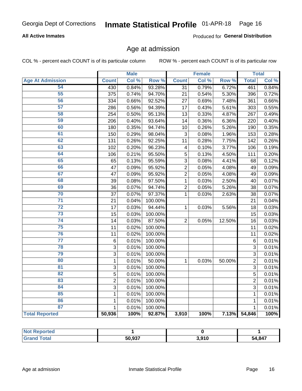#### **All Active Inmates**

Produced for General Distribution

### Age at admission

COL % - percent each COUNT is of its particular column

|                         |                | <b>Male</b> |         |                 | <b>Female</b> |        |                | <b>Total</b> |
|-------------------------|----------------|-------------|---------|-----------------|---------------|--------|----------------|--------------|
| <b>Age At Admission</b> | <b>Count</b>   | Col %       | Row %   | <b>Count</b>    | Col %         | Row %  | <b>Total</b>   | Col %        |
| 54                      | 430            | 0.84%       | 93.28%  | $\overline{31}$ | 0.79%         | 6.72%  | 461            | 0.84%        |
| 55                      | 375            | 0.74%       | 94.70%  | 21              | 0.54%         | 5.30%  | 396            | 0.72%        |
| 56                      | 334            | 0.66%       | 92.52%  | 27              | 0.69%         | 7.48%  | 361            | 0.66%        |
| 57                      | 286            | 0.56%       | 94.39%  | 17              | 0.43%         | 5.61%  | 303            | 0.55%        |
| 58                      | 254            | 0.50%       | 95.13%  | 13              | 0.33%         | 4.87%  | 267            | 0.49%        |
| 59                      | 206            | 0.40%       | 93.64%  | 14              | 0.36%         | 6.36%  | 220            | 0.40%        |
| 60                      | 180            | 0.35%       | 94.74%  | 10              | 0.26%         | 5.26%  | 190            | 0.35%        |
| 61                      | 150            | 0.29%       | 98.04%  | $\mathbf{3}$    | 0.08%         | 1.96%  | 153            | 0.28%        |
| 62                      | 131            | 0.26%       | 92.25%  | 11              | 0.28%         | 7.75%  | 142            | 0.26%        |
| 63                      | 102            | 0.20%       | 96.23%  | 4               | 0.10%         | 3.77%  | 106            | 0.19%        |
| 64                      | 106            | 0.21%       | 95.50%  | 5               | 0.13%         | 4.50%  | 111            | 0.20%        |
| 65                      | 65             | 0.13%       | 95.59%  | 3               | 0.08%         | 4.41%  | 68             | 0.12%        |
| 66                      | 47             | 0.09%       | 95.92%  | $\overline{c}$  | 0.05%         | 4.08%  | 49             | 0.09%        |
| 67                      | 47             | 0.09%       | 95.92%  | $\overline{2}$  | 0.05%         | 4.08%  | 49             | 0.09%        |
| 68                      | 39             | 0.08%       | 97.50%  | 1               | 0.03%         | 2.50%  | 40             | 0.07%        |
| 69                      | 36             | 0.07%       | 94.74%  | $\overline{2}$  | 0.05%         | 5.26%  | 38             | 0.07%        |
| 70                      | 37             | 0.07%       | 97.37%  | $\mathbf{1}$    | 0.03%         | 2.63%  | 38             | 0.07%        |
| $\overline{71}$         | 21             | 0.04%       | 100.00% |                 |               |        | 21             | 0.04%        |
| $\overline{72}$         | 17             | 0.03%       | 94.44%  | $\mathbf{1}$    | 0.03%         | 5.56%  | 18             | 0.03%        |
| 73                      | 15             | 0.03%       | 100.00% |                 |               |        | 15             | 0.03%        |
| $\overline{74}$         | 14             | 0.03%       | 87.50%  | $\overline{2}$  | 0.05%         | 12.50% | 16             | 0.03%        |
| 75                      | 11             | 0.02%       | 100.00% |                 |               |        | 11             | 0.02%        |
| 76                      | 11             | 0.02%       | 100.00% |                 |               |        | 11             | 0.02%        |
| $\overline{77}$         | 6              | 0.01%       | 100.00% |                 |               |        | 6              | 0.01%        |
| 78                      | 3              | 0.01%       | 100.00% |                 |               |        | 3              | 0.01%        |
| 79                      | 3              | 0.01%       | 100.00% |                 |               |        | 3              | 0.01%        |
| 80                      | $\mathbf 1$    | 0.01%       | 50.00%  | $\mathbf{1}$    | 0.03%         | 50.00% | $\overline{2}$ | 0.01%        |
| $\overline{81}$         | 3              | 0.01%       | 100.00% |                 |               |        | 3              | 0.01%        |
| 82                      | 5              | 0.01%       | 100.00% |                 |               |        | 5              | 0.01%        |
| 83                      | $\overline{2}$ | 0.01%       | 100.00% |                 |               |        | $\overline{2}$ | 0.01%        |
| 84                      | 3              | 0.01%       | 100.00% |                 |               |        | 3              | 0.01%        |
| 85                      | 1              | 0.01%       | 100.00% |                 |               |        | $\mathbf{1}$   | 0.01%        |
| 86                      | 1              | 0.01%       | 100.00% |                 |               |        | $\mathbf{1}$   | 0.01%        |
| 87                      | 1              | 0.01%       | 100.00% |                 |               |        | $\mathbf{1}$   | 0.01%        |
| <b>Total Reported</b>   | 50,936         | 100%        | 92.87%  | 3,910           | 100%          | 7.13%  | 54,846         | 100%         |

| <b>Not Reported</b> |        |       |        |
|---------------------|--------|-------|--------|
| ™ota⊾               | 50,937 | 3,910 | 54,847 |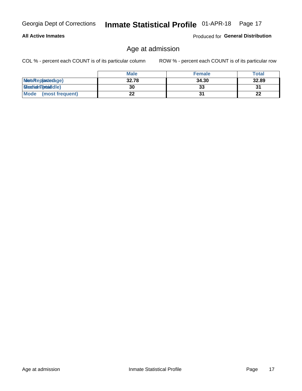#### **All Active Inmates**

Produced for General Distribution

## Age at admission

COL % - percent each COUNT is of its particular column

|                         | <b>Male</b> | <b>Female</b> | <b>Total</b> |
|-------------------------|-------------|---------------|--------------|
| MetaRep(anterage)       | 32.78       | 34.30         | 32.89        |
| <b>MeatianTotaddle)</b> | 30          | 33            | 31           |
| Mode<br>(most frequent) | 22          |               | 22           |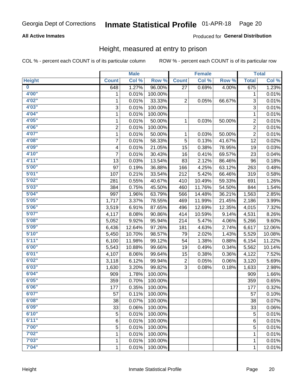#### **All Active Inmates**

#### Produced for General Distribution

### Height, measured at entry to prison

COL % - percent each COUNT is of its particular column

|                         |                | <b>Male</b> |         |              | <b>Female</b> |        |                | <b>Total</b> |
|-------------------------|----------------|-------------|---------|--------------|---------------|--------|----------------|--------------|
| <b>Height</b>           | <b>Count</b>   | Col %       | Row %   | <b>Count</b> | Col %         | Row %  | <b>Total</b>   | Col %        |
| $\overline{\mathbf{0}}$ | 648            | 1.27%       | 96.00%  | 27           | 0.69%         | 4.00%  | 675            | 1.23%        |
| 4'00"                   | 1              | 0.01%       | 100.00% |              |               |        | 1              | 0.01%        |
| 4'02"                   | 1              | 0.01%       | 33.33%  | $\mathbf 2$  | 0.05%         | 66.67% | 3              | 0.01%        |
| 4'03"                   | 3              | 0.01%       | 100.00% |              |               |        | 3              | 0.01%        |
| 4'04"                   | 1              | 0.01%       | 100.00% |              |               |        | 1              | 0.01%        |
| 4'05"                   | $\mathbf{1}$   | 0.01%       | 50.00%  | 1            | 0.03%         | 50.00% | $\overline{2}$ | 0.01%        |
| 4'06"                   | $\overline{c}$ | 0.01%       | 100.00% |              |               |        | $\overline{2}$ | 0.01%        |
| 4'07"                   | 1              | 0.01%       | 50.00%  | 1            | 0.03%         | 50.00% | $\overline{2}$ | 0.01%        |
| 4'08"                   | $\overline{7}$ | 0.01%       | 58.33%  | 5            | 0.13%         | 41.67% | 12             | 0.02%        |
| 4'09"                   | 4              | 0.01%       | 21.05%  | 15           | 0.38%         | 78.95% | 19             | 0.03%        |
| 4'10"                   | $\overline{7}$ | 0.01%       | 30.43%  | 16           | 0.41%         | 69.57% | 23             | 0.04%        |
| 4'11''                  | 13             | 0.03%       | 13.54%  | 83           | 2.12%         | 86.46% | 96             | 0.18%        |
| 5'00''                  | 97             | 0.19%       | 36.88%  | 166          | 4.25%         | 63.12% | 263            | 0.48%        |
| 5'01"                   | 107            | 0.21%       | 33.54%  | 212          | 5.42%         | 66.46% | 319            | 0.58%        |
| 5'02"                   | 281            | 0.55%       | 40.67%  | 410          | 10.49%        | 59.33% | 691            | 1.26%        |
| 5'03''                  | 384            | 0.75%       | 45.50%  | 460          | 11.76%        | 54.50% | 844            | 1.54%        |
| 5'04"                   | 997            | 1.96%       | 63.79%  | 566          | 14.48%        | 36.21% | 1,563          | 2.85%        |
| 5'05"                   | 1,717          | 3.37%       | 78.55%  | 469          | 11.99%        | 21.45% | 2,186          | 3.99%        |
| 5'06"                   | 3,519          | 6.91%       | 87.65%  | 496          | 12.69%        | 12.35% | 4,015          | 7.32%        |
| 5'07"                   | 4,117          | 8.08%       | 90.86%  | 414          | 10.59%        | 9.14%  | 4,531          | 8.26%        |
| 5'08"                   | 5,052          | 9.92%       | 95.94%  | 214          | 5.47%         | 4.06%  | 5,266          | 9.60%        |
| 5'09''                  | 6,436          | 12.64%      | 97.26%  | 181          | 4.63%         | 2.74%  | 6,617          | 12.06%       |
| 5'10''                  | 5,450          | 10.70%      | 98.57%  | 79           | 2.02%         | 1.43%  | 5,529          | 10.08%       |
| 5'11"                   | 6,100          | 11.98%      | 99.12%  | 54           | 1.38%         | 0.88%  | 6,154          | 11.22%       |
| 6'00''                  | 5,543          | 10.88%      | 99.66%  | 19           | 0.49%         | 0.34%  | 5,562          | 10.14%       |
| 6'01''                  | 4,107          | 8.06%       | 99.64%  | 15           | 0.38%         | 0.36%  | 4,122          | 7.52%        |
| 6'02"                   | 3,118          | 6.12%       | 99.94%  | 2            | 0.05%         | 0.06%  | 3,120          | 5.69%        |
| 6'03''                  | 1,630          | 3.20%       | 99.82%  | 3            | 0.08%         | 0.18%  | 1,633          | 2.98%        |
| 6'04"                   | 909            | 1.78%       | 100.00% |              |               |        | 909            | 1.66%        |
| 6'05"                   | 359            | 0.70%       | 100.00% |              |               |        | 359            | 0.65%        |
| 6'06"                   | 177            | 0.35%       | 100.00% |              |               |        | 177            | 0.32%        |
| 6'07"                   | 57             | 0.11%       | 100.00% |              |               |        | 57             | 0.10%        |
| 6'08''                  | 38             | 0.07%       | 100.00% |              |               |        | 38             | 0.07%        |
| 6'09''                  | 33             | 0.06%       | 100.00% |              |               |        | 33             | 0.06%        |
| 6'10''                  | 5              | 0.01%       | 100.00% |              |               |        | 5              | 0.01%        |
| 6'11''                  | 6              | 0.01%       | 100.00% |              |               |        | 6              | 0.01%        |
| 7'00''                  | 5              | 0.01%       | 100.00% |              |               |        | 5              | 0.01%        |
| 7'02"                   | 1              | 0.01%       | 100.00% |              |               |        | 1              | 0.01%        |
| 7'03''                  | 1              | 0.01%       | 100.00% |              |               |        | 1              | 0.01%        |
| 7'04"                   | 1              | 0.01%       | 100.00% |              |               |        | 1              | 0.01%        |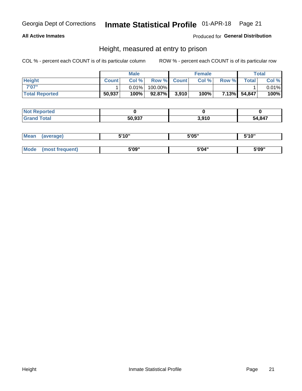#### **All Active Inmates**

#### Produced for General Distribution

### Height, measured at entry to prison

COL % - percent each COUNT is of its particular column

|                       | <b>Male</b>  |          | <b>Female</b> |             |       | Total |              |       |
|-----------------------|--------------|----------|---------------|-------------|-------|-------|--------------|-------|
| <b>Height</b>         | <b>Count</b> | Col %    |               | Row % Count | Col % | Row % | <b>Total</b> | Col % |
| 7'07"                 |              | $0.01\%$ | 100.00%       |             |       |       |              | 0.01% |
| <b>Total Reported</b> | 50,937       | 100%     | 92.87%        | 3,910       | 100%  |       | 7.13% 54,847 | 100%  |

| <b>Not Reported</b> |        |       |        |
|---------------------|--------|-------|--------|
| <b>Grand Total</b>  | 50,937 | 3,910 | 54,847 |

| <b>Mean</b> | (average)       | 5'10" | 5'05" | 5'10" |
|-------------|-----------------|-------|-------|-------|
|             |                 |       |       |       |
| Mode        | (most frequent) | 5'09" | 5'04" | 5'09" |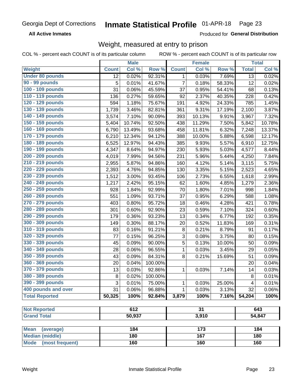**All Active Inmates** 

Produced for General Distribution

## Weight, measured at entry to prison

COL % - percent each COUNT is of its particular column ROW % - percent each COUNT is of its particular row

|                                |              | <b>Male</b> |         |                | <b>Female</b> |        |                 | <b>Total</b> |
|--------------------------------|--------------|-------------|---------|----------------|---------------|--------|-----------------|--------------|
| Weight                         | <b>Count</b> | Col %       | Row %   | <b>Count</b>   | Col %         | Row %  | <b>Total</b>    | Col %        |
| <b>Under 80 pounds</b>         | 12           | 0.02%       | 92.31%  | 1              | 0.03%         | 7.69%  | $\overline{13}$ | 0.02%        |
| 90 - 99 pounds                 | 5            | 0.01%       | 41.67%  | $\overline{7}$ | 0.18%         | 58.33% | 12              | 0.02%        |
| 100 - 109 pounds               | 31           | 0.06%       | 45.59%  | 37             | 0.95%         | 54.41% | 68              | 0.13%        |
| 110 - 119 pounds               | 136          | 0.27%       | 59.65%  | 92             | 2.37%         | 40.35% | 228             | 0.42%        |
| 120 - 129 pounds               | 594          | 1.18%       | 75.67%  | 191            | 4.92%         | 24.33% | 785             | 1.45%        |
| 130 - 139 pounds               | 1,739        | 3.46%       | 82.81%  | 361            | 9.31%         | 17.19% | 2,100           | 3.87%        |
| 140 - 149 pounds               | 3,574        | 7.10%       | 90.09%  | 393            | 10.13%        | 9.91%  | 3,967           | 7.32%        |
| 150 - 159 pounds               | 5,404        | 10.74%      | 92.50%  | 438            | 11.29%        | 7.50%  | 5,842           | 10.78%       |
| 160 - 169 pounds               | 6,790        | 13.49%      | 93.68%  | 458            | 11.81%        | 6.32%  | 7,248           | 13.37%       |
| 170 - 179 pounds               | 6,210        | 12.34%      | 94.12%  | 388            | 10.00%        | 5.88%  | 6,598           | 12.17%       |
| 180 - 189 pounds               | 6,525        | 12.97%      | 94.43%  | 385            | 9.93%         | 5.57%  | 6,910           | 12.75%       |
| 190 - 199 pounds               | 4,347        | 8.64%       | 94.97%  | 230            | 5.93%         | 5.03%  | 4,577           | 8.44%        |
| 200 - 209 pounds               | 4,019        | 7.99%       | 94.56%  | 231            | 5.96%         | 5.44%  | 4,250           | 7.84%        |
| 210 - 219 pounds               | 2,955        | 5.87%       | 94.86%  | 160            | 4.12%         | 5.14%  | 3,115           | 5.75%        |
| 220 - 229 pounds               | 2,393        | 4.76%       | 94.85%  | 130            | 3.35%         | 5.15%  | 2,523           | 4.65%        |
| 230 - 239 pounds               | 1,512        | 3.00%       | 93.45%  | 106            | 2.73%         | 6.55%  | 1,618           | 2.99%        |
| 240 - 249 pounds               | 1,217        | 2.42%       | 95.15%  | 62             | 1.60%         | 4.85%  | 1,279           | 2.36%        |
| 250 - 259 pounds               | 928          | 1.84%       | 92.99%  | 70             | 1.80%         | 7.01%  | 998             | 1.84%        |
| 260 - 269 pounds               | 551          | 1.09%       | 93.71%  | 37             | 0.95%         | 6.29%  | 588             | 1.08%        |
| 270 - 279 pounds               | 403          | 0.80%       | 95.72%  | 18             | 0.46%         | 4.28%  | 421             | 0.78%        |
| 280 - 289 pounds               | 301          | 0.60%       | 92.90%  | 23             | 0.59%         | 7.10%  | 324             | 0.60%        |
| 290 - 299 pounds               | 179          | 0.36%       | 93.23%  | 13             | 0.34%         | 6.77%  | 192             | 0.35%        |
| 300 - 309 pounds               | 149          | 0.30%       | 88.17%  | 20             | 0.52%         | 11.83% | 169             | 0.31%        |
| 310 - 319 pounds               | 83           | 0.16%       | 91.21%  | 8              | 0.21%         | 8.79%  | 91              | 0.17%        |
| 320 - 329 pounds               | 77           | 0.15%       | 96.25%  | 3              | 0.08%         | 3.75%  | 80              | 0.15%        |
| 330 - 339 pounds               | 45           | 0.09%       | 90.00%  | 5              | 0.13%         | 10.00% | 50              | 0.09%        |
| 340 - 349 pounds               | 28           | 0.06%       | 96.55%  | $\mathbf 1$    | 0.03%         | 3.45%  | 29              | 0.05%        |
| 350 - 359 pounds               | 43           | 0.09%       | 84.31%  | 8              | 0.21%         | 15.69% | 51              | 0.09%        |
| 360 - 369 pounds               | 20           | 0.04%       | 100.00% |                |               |        | 20              | 0.04%        |
| 370 - 379 pounds               | 13           | 0.03%       | 92.86%  | 1              | 0.03%         | 7.14%  | 14              | 0.03%        |
| 380 - 389 pounds               | 8            | 0.02%       | 100.00% |                |               |        | $\,8\,$         | 0.01%        |
| 390 - 399 pounds               | 3            | 0.01%       | 75.00%  | 1              | 0.03%         | 25.00% | 4               | 0.01%        |
| 400 pounds and over            | 31           | 0.06%       | 96.88%  | $\mathbf{1}$   | 0.03%         | 3.13%  | 32              | 0.06%        |
| <b>Total Reported</b>          | 50,325       | 100%        | 92.84%  | 3,879          | 100%          | 7.16%  | 54,204          | 100%         |
|                                |              |             |         |                |               |        |                 |              |
| <b>Not Reported</b>            |              | 612         |         |                | 31            |        |                 | 643          |
| <b>Grand Total</b>             |              | 50,937      |         |                | 3,910         |        |                 | 54,847       |
| <b>Mean</b><br>(average)       |              | 184         |         |                | 173           |        |                 | 184          |
| <b>Median (middle)</b>         |              | 180         |         |                | 167           |        |                 | 180          |
| <b>Mode</b><br>(most frequent) |              | 160         |         |                | 160           |        |                 | 160          |
|                                |              |             |         |                |               |        |                 |              |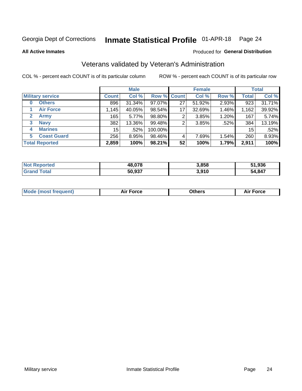#### Inmate Statistical Profile 01-APR-18 Page 24

**All Active Inmates** 

#### Produced for General Distribution

## Veterans validated by Veteran's Administration

COL % - percent each COUNT is of its particular column

|                             |                 | <b>Male</b> |             |    | <b>Female</b> |          |              | <b>Total</b> |
|-----------------------------|-----------------|-------------|-------------|----|---------------|----------|--------------|--------------|
| <b>Military service</b>     | <b>Count</b>    | Col %       | Row % Count |    | Col %         | Row %    | <b>Total</b> | Col %        |
| <b>Others</b><br>0          | 896             | 31.34%      | 97.07%      | 27 | 51.92%        | 2.93%    | 923          | 31.71%       |
| <b>Air Force</b>            | 1,145           | 40.05%      | 98.54%      | 17 | 32.69%        | 1.46%    | 1,162        | 39.92%       |
| <b>Army</b><br>$\mathbf{2}$ | 165             | $5.77\%$    | 98.80%      | 2  | 3.85%         | 1.20%    | 167          | 5.74%        |
| <b>Navy</b><br>3            | 382             | 13.36%      | 99.48%      | 2  | 3.85%         | .52%     | 384          | 13.19%       |
| <b>Marines</b><br>4         | 15 <sup>1</sup> | .52%        | 100.00%     |    |               |          | 15           | .52%         |
| <b>Coast Guard</b><br>5.    | 256             | 8.95%       | 98.46%      | 4  | 7.69%         | $1.54\%$ | 260          | 8.93%        |
| <b>Total Reported</b>       | 2,859           | 100%        | 98.21%      | 52 | 100%          | 1.79%    | 2,911        | 100%         |

| ported<br><b>NOT</b> | 48,078 | 3,858 | 51,936 |
|----------------------|--------|-------|--------|
| <b>ota</b>           | 50.937 | 3.910 | 54,847 |

|  |  | <b>Mode (most frequent)</b> | <b>Force</b><br>Aır | วthers | orce |
|--|--|-----------------------------|---------------------|--------|------|
|--|--|-----------------------------|---------------------|--------|------|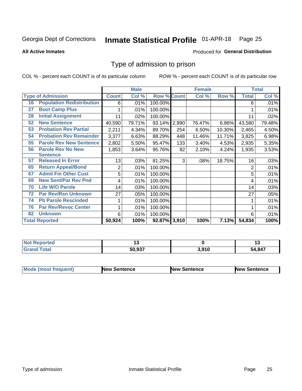#### Inmate Statistical Profile 01-APR-18 Page 25

**All Active Inmates** 

#### Produced for General Distribution

### Type of admission to prison

COL % - percent each COUNT is of its particular column

|    |                                  |                | <b>Male</b> |                    |     | <b>Female</b> |        |              | <b>Total</b> |
|----|----------------------------------|----------------|-------------|--------------------|-----|---------------|--------|--------------|--------------|
|    | <b>Type of Admission</b>         | <b>Count</b>   | Col %       | <b>Row % Count</b> |     | Col %         | Row %  | <b>Total</b> | Col %        |
| 16 | <b>Population Redistribution</b> | 6              | .01%        | 100.00%            |     |               |        | 6            | .01%         |
| 27 | <b>Boot Camp Plus</b>            |                | .01%        | 100.00%            |     |               |        |              | .01%         |
| 28 | <b>Initial Assignment</b>        | 11             | .02%        | 100.00%            |     |               |        | 11           | .02%         |
| 52 | <b>New Sentence</b>              | 40,590         | 79.71%      | 93.14% 2,990       |     | 76.47%        | 6.86%  | 43,580       | 79.48%       |
| 53 | <b>Probation Rev Partial</b>     | 2,211          | 4.34%       | 89.70%             | 254 | 6.50%         | 10.30% | 2,465        | 4.50%        |
| 54 | <b>Probation Rev Remainder</b>   | 3,377          | 6.63%       | 88.29%             | 448 | 11.46%        | 11.71% | 3,825        | 6.98%        |
| 55 | <b>Parole Rev New Sentence</b>   | 2,802          | 5.50%       | 95.47%             | 133 | 3.40%         | 4.53%  | 2,935        | 5.35%        |
| 56 | <b>Parole Rev No New</b>         | 1,853          | 3.64%       | 95.76%             | 82  | 2.10%         | 4.24%  | 1,935        | 3.53%        |
|    | <b>Sentence</b>                  |                |             |                    |     |               |        |              |              |
| 57 | <b>Released In Error</b>         | 13             | .03%        | 81.25%             | 3   | .08%          | 18.75% | 16           | .03%         |
| 65 | <b>Return Appeal/Bond</b>        | $\overline{2}$ | .01%        | 100.00%            |     |               |        | 2            | .01%         |
| 67 | <b>Admit Fm Other Cust</b>       | 5              | .01%        | 100.00%            |     |               |        | 5            | .01%         |
| 69 | <b>New Sent/Par Rev Pnd</b>      | 4              | .01%        | 100.00%            |     |               |        | 4            | .01%         |
| 70 | <b>Life W/O Parole</b>           | 14             | .03%        | 100.00%            |     |               |        | 14           | .03%         |
| 72 | <b>Par Rev/Rsn Unknown</b>       | 27             | .05%        | 100.00%            |     |               |        | 27           | .05%         |
| 74 | <b>Pb Parole Rescinded</b>       |                | .01%        | 100.00%            |     |               |        |              | .01%         |
| 76 | <b>Par Rev/Revoc Center</b>      |                | .01%        | 100.00%            |     |               |        |              | .01%         |
| 82 | <b>Unknown</b>                   | 6              | .01%        | 100.00%            |     |               |        | 6            | .01%         |
|    | <b>Total Reported</b>            | 50,924         | 100%        | 92.87% 3,910       |     | 100%          | 7.13%  | 54,834       | 100%         |

| <b>rted</b><br><b>Not</b> | $\sim$ |       | . .  |
|---------------------------|--------|-------|------|
| int                       | 50.937 | 3,910 | .847 |

| <b>Mode (most frequent)</b> | <b>New Sentence</b> | <b>New Sentence</b> | <b>New Sentence</b> |
|-----------------------------|---------------------|---------------------|---------------------|
|                             |                     |                     |                     |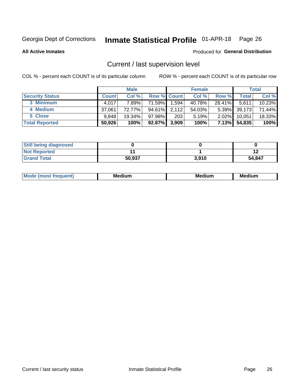## Inmate Statistical Profile 01-APR-18 Page 26

**All Active Inmates** 

#### Produced for General Distribution

## Current / last supervision level

COL % - percent each COUNT is of its particular column

|                        |              | <b>Male</b> |                    |       | <b>Female</b> |          |        | <b>Total</b> |
|------------------------|--------------|-------------|--------------------|-------|---------------|----------|--------|--------------|
| <b>Security Status</b> | <b>Count</b> | Col %       | <b>Row % Count</b> |       | Col %         | Row %    | Total  | Col %        |
| 3 Minimum              | 4.017        | 7.89%       | 71.59%             | 1,594 | 40.78%        | 28.41%   | 5,611  | $10.23\%$    |
| 4 Medium               | 37,061       | 72.77%      | 94.61%             | 2,112 | 54.03%        | $5.39\%$ | 39,173 | 71.44%       |
| 5 Close                | 9.848        | $19.34\%$   | 97.98%             | 203   | 5.19%         | $2.02\%$ | 10,051 | 18.33%       |
| <b>Total Reported</b>  | 50,926       | 100%        | 92.87%             | 3,909 | 100%          | 7.13%    | 54,835 | 100%         |

| <b>Still being diagnosed</b> |        |       |        |
|------------------------------|--------|-------|--------|
| <b>Not Reported</b>          |        |       |        |
| <b>Grand Total</b>           | 50,937 | 3,910 | 54,847 |

| M | M | . . |
|---|---|-----|
|   |   |     |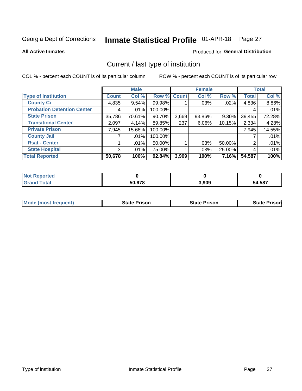#### Inmate Statistical Profile 01-APR-18 Page 27

**All Active Inmates** 

#### Produced for General Distribution

## Current / last type of institution

COL % - percent each COUNT is of its particular column

|                                   |                | <b>Male</b> |             |       | <b>Female</b> |        |              | <b>Total</b> |
|-----------------------------------|----------------|-------------|-------------|-------|---------------|--------|--------------|--------------|
| <b>Type of Institution</b>        | <b>Count</b>   | Col %       | Row % Count |       | Col %         | Row %  | <b>Total</b> | Col %        |
| <b>County Ci</b>                  | 4,835          | $9.54\%$    | 99.98%      |       | .03%          | .02%   | 4,836        | 8.86%        |
| <b>Probation Detention Center</b> | 4              | .01%        | 100.00%     |       |               |        | 4            | .01%         |
| <b>State Prison</b>               | 35,786         | 70.61%      | 90.70%      | 3,669 | 93.86%        | 9.30%  | 39,455       | 72.28%       |
| <b>Transitional Center</b>        | 2,097          | 4.14%       | 89.85%      | 237   | $6.06\%$      | 10.15% | 2,334        | 4.28%        |
| <b>Private Prison</b>             | 7,945          | 15.68%      | 100.00%     |       |               |        | 7,945        | 14.55%       |
| <b>County Jail</b>                |                | .01%        | 100.00%     |       |               |        |              | .01%         |
| <b>Rsat - Center</b>              |                | .01%        | 50.00%      |       | .03%          | 50.00% | 2            | .01%         |
| <b>State Hospital</b>             | 3 <sup>1</sup> | .01%        | 75.00%      |       | .03%          | 25.00% | 4            | .01%         |
| <b>Total Reported</b>             | 50,678         | 100%        | $92.84\%$   | 3,909 | 100%          | 7.16%  | 54,587       | 100%         |

| $^{\mathrm{H}}$ Not.<br>Reported |        |       |        |
|----------------------------------|--------|-------|--------|
| Total                            | 50.678 | 3,909 | 54,587 |

| Mode (most frequent) | <b>State Prison</b> | <b>State Prison</b> | <b>State Prisonl</b> |
|----------------------|---------------------|---------------------|----------------------|
|                      |                     |                     |                      |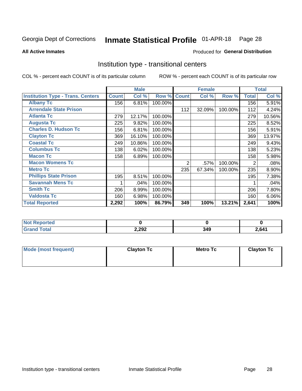#### Inmate Statistical Profile 01-APR-18 Page 28

Produced for General Distribution

#### **All Active Inmates**

## Institution type - transitional centers

COL % - percent each COUNT is of its particular column

|                                          |              | <b>Male</b> |         |              | <b>Female</b> |         |                | <b>Total</b> |
|------------------------------------------|--------------|-------------|---------|--------------|---------------|---------|----------------|--------------|
| <b>Institution Type - Trans. Centers</b> | <b>Count</b> | Col %       | Row %   | <b>Count</b> | Col %         | Row %   | <b>Total</b>   | Col %        |
| <b>Albany Tc</b>                         | 156          | 6.81%       | 100.00% |              |               |         | 156            | 5.91%        |
| <b>Arrendale State Prison</b>            |              |             |         | 112          | 32.09%        | 100.00% | 112            | 4.24%        |
| <b>Atlanta Tc</b>                        | 279          | 12.17%      | 100.00% |              |               |         | 279            | 10.56%       |
| <b>Augusta Tc</b>                        | 225          | 9.82%       | 100.00% |              |               |         | 225            | 8.52%        |
| <b>Charles D. Hudson Tc</b>              | 156          | 6.81%       | 100.00% |              |               |         | 156            | 5.91%        |
| <b>Clayton Tc</b>                        | 369          | 16.10%      | 100.00% |              |               |         | 369            | 13.97%       |
| <b>Coastal Tc</b>                        | 249          | 10.86%      | 100.00% |              |               |         | 249            | 9.43%        |
| <b>Columbus Tc</b>                       | 138          | 6.02%       | 100.00% |              |               |         | 138            | 5.23%        |
| <b>Macon Tc</b>                          | 158          | 6.89%       | 100.00% |              |               |         | 158            | 5.98%        |
| <b>Macon Womens Tc</b>                   |              |             |         | 2            | .57%          | 100.00% | $\overline{2}$ | .08%         |
| <b>Metro Tc</b>                          |              |             |         | 235          | 67.34%        | 100.00% | 235            | 8.90%        |
| <b>Phillips State Prison</b>             | 195          | 8.51%       | 100.00% |              |               |         | 195            | 7.38%        |
| <b>Savannah Mens Tc</b>                  |              | .04%        | 100.00% |              |               |         |                | .04%         |
| <b>Smith Tc</b>                          | 206          | 8.99%       | 100.00% |              |               |         | 206            | 7.80%        |
| <b>Valdosta Tc</b>                       | 160          | 6.98%       | 100.00% |              |               |         | 160            | 6.06%        |
| <b>Total Reported</b>                    | 2,292        | 100%        | 86.79%  | 349          | 100%          | 13.21%  | 2,641          | 100%         |

| ueo |       |           |     |
|-----|-------|-----------|-----|
|     | 2,292 | .<br>- 71 | 641 |

| Mode (most frequent) | <b>Clayton Tc</b> | <b>Metro Tc</b> | <b>Clayton Tc</b> |
|----------------------|-------------------|-----------------|-------------------|
|                      |                   |                 |                   |
|                      |                   |                 |                   |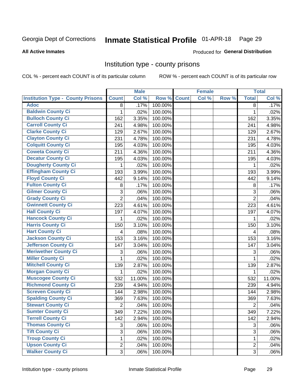## Inmate Statistical Profile 01-APR-18 Page 29

#### **All Active Inmates**

#### Produced for General Distribution

#### Institution type - county prisons

COL % - percent each COUNT is of its particular column

|                                          |                | <b>Male</b> |         |              | <b>Female</b> |       |                | <b>Total</b> |
|------------------------------------------|----------------|-------------|---------|--------------|---------------|-------|----------------|--------------|
| <b>Institution Type - County Prisons</b> | <b>Count</b>   | Col %       | Row %   | <b>Count</b> | Col %         | Row % | <b>Total</b>   | Col %        |
| <b>Adoc</b>                              | 8              | .17%        | 100.00% |              |               |       | 8              | .17%         |
| <b>Baldwin County Ci</b>                 | 1              | .02%        | 100.00% |              |               |       | 1              | .02%         |
| <b>Bulloch County Ci</b>                 | 162            | 3.35%       | 100.00% |              |               |       | 162            | 3.35%        |
| <b>Carroll County Ci</b>                 | 241            | 4.98%       | 100.00% |              |               |       | 241            | 4.98%        |
| <b>Clarke County Ci</b>                  | 129            | 2.67%       | 100.00% |              |               |       | 129            | 2.67%        |
| <b>Clayton County Ci</b>                 | 231            | 4.78%       | 100.00% |              |               |       | 231            | 4.78%        |
| <b>Colquitt County Ci</b>                | 195            | 4.03%       | 100.00% |              |               |       | 195            | 4.03%        |
| <b>Coweta County Ci</b>                  | 211            | 4.36%       | 100.00% |              |               |       | 211            | 4.36%        |
| <b>Decatur County Ci</b>                 | 195            | 4.03%       | 100.00% |              |               |       | 195            | 4.03%        |
| <b>Dougherty County Ci</b>               | 1              | .02%        | 100.00% |              |               |       | 1              | .02%         |
| <b>Effingham County Ci</b>               | 193            | 3.99%       | 100.00% |              |               |       | 193            | 3.99%        |
| <b>Floyd County Ci</b>                   | 442            | 9.14%       | 100.00% |              |               |       | 442            | 9.14%        |
| <b>Fulton County Ci</b>                  | 8              | .17%        | 100.00% |              |               |       | 8              | .17%         |
| <b>Gilmer County Ci</b>                  | 3              | .06%        | 100.00% |              |               |       | 3              | .06%         |
| <b>Grady County Ci</b>                   | $\overline{2}$ | .04%        | 100.00% |              |               |       | $\overline{2}$ | .04%         |
| <b>Gwinnett County Ci</b>                | 223            | 4.61%       | 100.00% |              |               |       | 223            | 4.61%        |
| <b>Hall County Ci</b>                    | 197            | 4.07%       | 100.00% |              |               |       | 197            | 4.07%        |
| <b>Hancock County Ci</b>                 | 1              | .02%        | 100.00% |              |               |       | 1              | .02%         |
| <b>Harris County Ci</b>                  | 150            | 3.10%       | 100.00% |              |               |       | 150            | 3.10%        |
| <b>Hart County Ci</b>                    | 4              | .08%        | 100.00% |              |               |       | 4              | .08%         |
| <b>Jackson County Ci</b>                 | 153            | 3.16%       | 100.00% |              |               |       | 153            | 3.16%        |
| <b>Jefferson County Ci</b>               | 147            | 3.04%       | 100.00% |              |               |       | 147            | 3.04%        |
| <b>Meriwether County Ci</b>              | 3              | .06%        | 100.00% |              |               |       | 3              | .06%         |
| <b>Miller County Ci</b>                  | $\mathbf{1}$   | .02%        | 100.00% |              |               |       | 1              | .02%         |
| <b>Mitchell County Ci</b>                | 139            | 2.87%       | 100.00% |              |               |       | 139            | 2.87%        |
| <b>Morgan County Ci</b>                  | 1              | .02%        | 100.00% |              |               |       | 1              | .02%         |
| <b>Muscogee County Ci</b>                | 532            | 11.00%      | 100.00% |              |               |       | 532            | 11.00%       |
| <b>Richmond County Ci</b>                | 239            | 4.94%       | 100.00% |              |               |       | 239            | 4.94%        |
| <b>Screven County Ci</b>                 | 144            | 2.98%       | 100.00% |              |               |       | 144            | 2.98%        |
| <b>Spalding County Ci</b>                | 369            | 7.63%       | 100.00% |              |               |       | 369            | 7.63%        |
| <b>Stewart County Ci</b>                 | $\overline{c}$ | .04%        | 100.00% |              |               |       | $\overline{2}$ | .04%         |
| <b>Sumter County Ci</b>                  | 349            | 7.22%       | 100.00% |              |               |       | 349            | 7.22%        |
| <b>Terrell County Ci</b>                 | 142            | 2.94%       | 100.00% |              |               |       | 142            | 2.94%        |
| <b>Thomas County Ci</b>                  | 3              | .06%        | 100.00% |              |               |       | 3              | .06%         |
| <b>Tift County Ci</b>                    | $\overline{3}$ | .06%        | 100.00% |              |               |       | $\overline{3}$ | .06%         |
| <b>Troup County Ci</b>                   | 1              | .02%        | 100.00% |              |               |       | $\mathbf 1$    | .02%         |
| <b>Upson County Ci</b>                   | $\overline{2}$ | .04%        | 100.00% |              |               |       | $\overline{2}$ | .04%         |
| <b>Walker County Ci</b>                  | 3              | .06%        | 100.00% |              |               |       | 3              | .06%         |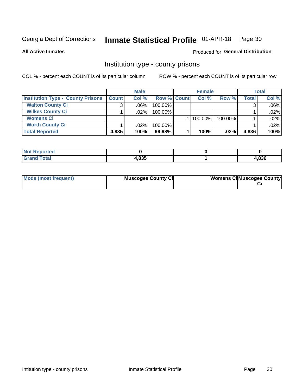## Inmate Statistical Profile 01-APR-18 Page 30

**All Active Inmates** 

#### Produced for General Distribution

#### Institution type - county prisons

COL % - percent each COUNT is of its particular column

|                                          |              | <b>Male</b> |                    | <b>Female</b> |         |              | <b>Total</b> |
|------------------------------------------|--------------|-------------|--------------------|---------------|---------|--------------|--------------|
| <b>Institution Type - County Prisons</b> | <b>Count</b> | Col%        | <b>Row % Count</b> | Col%          | Row %   | <b>Total</b> | Col %        |
| <b>Walton County Ci</b>                  | 3            | $.06\%$     | 100.00%            |               |         |              | $.06\%$      |
| <b>Wilkes County Ci</b>                  |              | $.02\%$     | 100.00%            |               |         |              | .02%         |
| <b>Womens Ci</b>                         |              |             |                    | $ 100.00\% $  | 100.00% |              | .02%         |
| <b>Worth County Ci</b>                   |              | $.02\%$     | 100.00%            |               |         |              | .02%         |
| <b>Total Reported</b>                    | 4,835        | 100%        | 99.98%             | 100%          | .02%    | 4,836        | 100%         |

| ported<br>' NOT |                |      |
|-----------------|----------------|------|
| $\sim$          | ∣ OOE<br>r,ooo | ,836 |

| Mode (most frequent) | <b>Muscogee County Ci</b> | <b>Womens Ci</b> Muscogee County |
|----------------------|---------------------------|----------------------------------|
|                      |                           |                                  |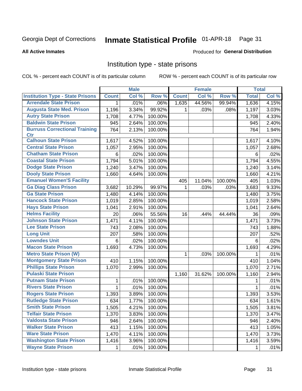#### Inmate Statistical Profile 01-APR-18 Page 31

**All Active Inmates** 

#### Produced for General Distribution

### Institution type - state prisons

COL % - percent each COUNT is of its particular column

|                                         |              | <b>Male</b> |         |              | <b>Female</b> |         | <b>Total</b> |       |
|-----------------------------------------|--------------|-------------|---------|--------------|---------------|---------|--------------|-------|
| <b>Institution Type - State Prisons</b> | <b>Count</b> | Col %       | Row %   | <b>Count</b> | Col %         | Row %   | <b>Total</b> | Col % |
| <b>Arrendale State Prison</b>           | 1            | .01%        | .06%    | 1,635        | 44.56%        | 99.94%  | 1,636        | 4.15% |
| <b>Augusta State Med. Prison</b>        | 1,196        | 3.34%       | 99.92%  | 1.           | .03%          | .08%    | 1,197        | 3.03% |
| <b>Autry State Prison</b>               | 1,708        | 4.77%       | 100.00% |              |               |         | 1,708        | 4.33% |
| <b>Baldwin State Prison</b>             | 945          | 2.64%       | 100.00% |              |               |         | 945          | 2.40% |
| <b>Burruss Correctional Training</b>    | 764          | 2.13%       | 100.00% |              |               |         | 764          | 1.94% |
| <b>Ctr</b>                              |              |             |         |              |               |         |              |       |
| <b>Calhoun State Prison</b>             | 1,617        | 4.52%       | 100.00% |              |               |         | 1,617        | 4.10% |
| <b>Central State Prison</b>             | 1,057        | 2.95%       | 100.00% |              |               |         | 1,057        | 2.68% |
| <b>Chatham State Prison</b>             | 6            | .02%        | 100.00% |              |               |         | 6            | .02%  |
| <b>Coastal State Prison</b>             | 1,794        | 5.01%       | 100.00% |              |               |         | 1,794        | 4.55% |
| <b>Dodge State Prison</b>               | 1,240        | 3.47%       | 100.00% |              |               |         | 1,240        | 3.14% |
| <b>Dooly State Prison</b>               | 1,660        | 4.64%       | 100.00% |              |               |         | 1,660        | 4.21% |
| <b>Emanuel Women'S Facility</b>         |              |             |         | 405          | 11.04%        | 100.00% | 405          | 1.03% |
| <b>Ga Diag Class Prison</b>             | 3,682        | 10.29%      | 99.97%  | 1.           | .03%          | .03%    | 3,683        | 9.33% |
| <b>Ga State Prison</b>                  | 1,480        | 4.14%       | 100.00% |              |               |         | 1,480        | 3.75% |
| <b>Hancock State Prison</b>             | 1,019        | 2.85%       | 100.00% |              |               |         | 1,019        | 2.58% |
| <b>Hays State Prison</b>                | 1,041        | 2.91%       | 100.00% |              |               |         | 1,041        | 2.64% |
| <b>Helms Facility</b>                   | 20           | .06%        | 55.56%  | 16           | .44%          | 44.44%  | 36           | .09%  |
| <b>Johnson State Prison</b>             | 1,471        | 4.11%       | 100.00% |              |               |         | 1,471        | 3.73% |
| <b>Lee State Prison</b>                 | 743          | 2.08%       | 100.00% |              |               |         | 743          | 1.88% |
| <b>Long Unit</b>                        | 207          | .58%        | 100.00% |              |               |         | 207          | .52%  |
| <b>Lowndes Unit</b>                     | 6            | .02%        | 100.00% |              |               |         | 6            | .02%  |
| <b>Macon State Prison</b>               | 1,693        | 4.73%       | 100.00% |              |               |         | 1,693        | 4.29% |
| <b>Metro State Prison (W)</b>           |              |             |         | 1            | .03%          | 100.00% | 1            | .01%  |
| <b>Montgomery State Prison</b>          | 410          | 1.15%       | 100.00% |              |               |         | 410          | 1.04% |
| <b>Phillips State Prison</b>            | 1,070        | 2.99%       | 100.00% |              |               |         | 1,070        | 2.71% |
| <b>Pulaski State Prison</b>             |              |             |         | 1,160        | 31.62%        | 100.00% | 1,160        | 2.94% |
| <b>Putnam State Prison</b>              | 1            | .01%        | 100.00% |              |               |         | 1            | .01%  |
| <b>Rivers State Prison</b>              | $\mathbf{1}$ | .01%        | 100.00% |              |               |         | 1            | .01%  |
| <b>Rogers State Prison</b>              | 1,393        | 3.89%       | 100.00% |              |               |         | 1,393        | 3.53% |
| <b>Rutledge State Prison</b>            | 634          | 1.77%       | 100.00% |              |               |         | 634          | 1.61% |
| <b>Smith State Prison</b>               | 1,505        | $4.21\%$    | 100.00% |              |               |         | 1,505        | 3.81% |
| <b>Telfair State Prison</b>             | 1,370        | 3.83%       | 100.00% |              |               |         | 1,370        | 3.47% |
| <b>Valdosta State Prison</b>            | 946          | 2.64%       | 100.00% |              |               |         | 946          | 2.40% |
| <b>Walker State Prison</b>              | 413          | 1.15%       | 100.00% |              |               |         | 413          | 1.05% |
| <b>Ware State Prison</b>                | 1,470        | 4.11%       | 100.00% |              |               |         | 1,470        | 3.73% |
| <b>Washington State Prison</b>          | 1,416        | 3.96%       | 100.00% |              |               |         | 1,416        | 3.59% |
| <b>Wayne State Prison</b>               | 1            | .01%        | 100.00% |              |               |         | 1            | .01%  |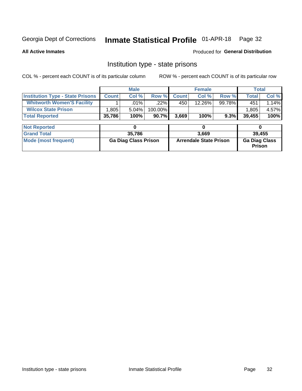## Inmate Statistical Profile 01-APR-18 Page 32

**All Active Inmates** 

Produced for General Distribution

#### Institution type - state prisons

COL % - percent each COUNT is of its particular column ROW % - percent each COUNT is of its particular row

|                                         |                             | <b>Male</b> |                               | <b>Female</b> |           |                                | <b>Total</b> |        |  |
|-----------------------------------------|-----------------------------|-------------|-------------------------------|---------------|-----------|--------------------------------|--------------|--------|--|
| <b>Institution Type - State Prisons</b> | <b>Count</b>                | Col %       | Row %                         | <b>Count</b>  | Col %     | Row %                          | <b>Total</b> | Col %  |  |
| <b>Whitworth Women'S Facility</b>       |                             | $.01\%$     | .22%                          | 450           | $12.26\%$ | 99.78%                         | 451          | 1.14%  |  |
| <b>Wilcox State Prison</b>              | .805                        | 5.04%       | 100.00%                       |               |           |                                | 1,805        | 4.57%  |  |
| <b>Total Reported</b>                   | 35,786                      | 100%        | 90.7%                         | 3,669         | 100%      | 9.3%                           | 39,455       | 100%   |  |
| <b>Not Reported</b>                     |                             | 0           |                               |               | 0         |                                | 0            |        |  |
| <b>Grand Total</b>                      |                             | 35,786      |                               |               | 3,669     |                                |              | 39.455 |  |
| <b>Mode (most frequent)</b>             | <b>Ga Diag Class Prison</b> |             | <b>Arrendale State Prison</b> |               |           | <b>Ga Diag Class</b><br>Prison |              |        |  |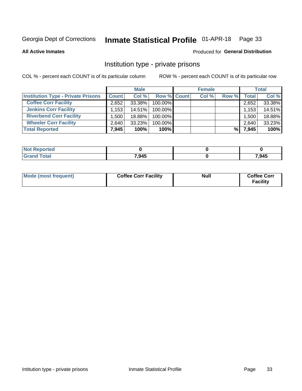## Inmate Statistical Profile 01-APR-18 Page 33

**All Active Inmates** 

#### Produced for General Distribution

### Institution type - private prisons

COL % - percent each COUNT is of its particular column

|                                           |              | <b>Male</b> |                    | <b>Female</b> |       |       | <b>Total</b> |
|-------------------------------------------|--------------|-------------|--------------------|---------------|-------|-------|--------------|
| <b>Institution Type - Private Prisons</b> | <b>Count</b> | Col %       | <b>Row % Count</b> | Col %         | Row % | Total | Col %        |
| <b>Coffee Corr Facility</b>               | 2,652        | 33.38%      | 100.00%            |               |       | 2,652 | 33.38%       |
| <b>Jenkins Corr Facility</b>              | 1,153        | $14.51\%$   | $100.00\%$         |               |       | 1,153 | 14.51%       |
| <b>Riverbend Corr Facility</b>            | ا 500. ا     | 18.88%      | 100.00%            |               |       | 1,500 | 18.88%       |
| <b>Wheeler Corr Facility</b>              | 2.640        | 33.23%      | 100.00%            |               |       | 2,640 | 33.23%       |
| <b>Total Reported</b>                     | 7.945        | 100%        | 100%               |               | %।    | 7,945 | 100%         |

| <b>Reported</b><br>' NOI |       |       |
|--------------------------|-------|-------|
| <b>Total</b>             | 7.945 | 7,945 |

| Mode (most frequent) | <b>Coffee Corr Facility</b> | <b>Null</b> | <b>Coffee Corr</b><br><b>Facility</b> |
|----------------------|-----------------------------|-------------|---------------------------------------|
|----------------------|-----------------------------|-------------|---------------------------------------|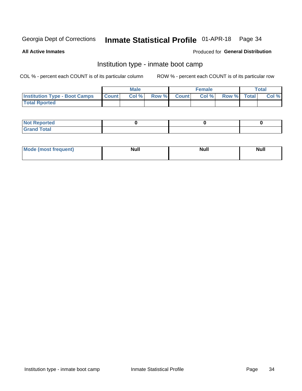#### Inmate Statistical Profile 01-APR-18 Page 34

**All Active Inmates** 

#### Produced for General Distribution

## Institution type - inmate boot camp

COL % - percent each COUNT is of its particular column

|                                      |              | <b>Male</b> |               |              | <b>Female</b> |             | <b>Total</b> |
|--------------------------------------|--------------|-------------|---------------|--------------|---------------|-------------|--------------|
| <b>Institution Type - Boot Camps</b> | <b>Count</b> | Col %       | <b>Row %I</b> | <b>Count</b> | Col %         | Row % Total | Col %        |
| <b>Total Rported</b>                 |              |             |               |              |               |             |              |

| <b>Not Reported</b>            |  |  |
|--------------------------------|--|--|
| <b>Total</b><br>C <sub>r</sub> |  |  |

| Mod<br>uamo | Nul.<br>$- - - - - -$ | <b>Null</b> | . .<br>uu.<br>------ |
|-------------|-----------------------|-------------|----------------------|
|             |                       |             |                      |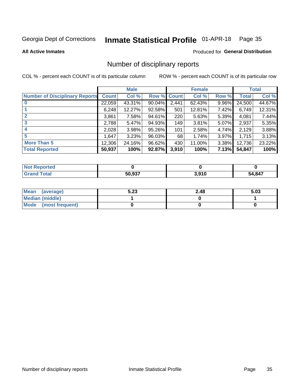#### Inmate Statistical Profile 01-APR-18 Page 35

**All Active Inmates** 

#### Produced for General Distribution

### Number of disciplinary reports

COL % - percent each COUNT is of its particular column

|                                       |              | <b>Male</b> |        |             | <b>Female</b> |       |        | <b>Total</b> |
|---------------------------------------|--------------|-------------|--------|-------------|---------------|-------|--------|--------------|
| <b>Number of Disciplinary Reports</b> | <b>Count</b> | Col %       |        | Row % Count | Col %         | Row % | Total  | Col %        |
| $\bf{0}$                              | 22,059       | 43.31%      | 90.04% | 2,441       | 62.43%        | 9.96% | 24,500 | 44.67%       |
|                                       | 6,248        | 12.27%      | 92.58% | 501         | 12.81%        | 7.42% | 6,749  | 12.31%       |
| $\mathbf{2}$                          | 3,861        | 7.58%       | 94.61% | 220         | 5.63%         | 5.39% | 4,081  | 7.44%        |
| 3                                     | 2,788        | 5.47%       | 94.93% | 149         | 3.81%         | 5.07% | 2,937  | 5.35%        |
|                                       | 2,028        | 3.98%       | 95.26% | 101         | 2.58%         | 4.74% | 2,129  | 3.88%        |
| 5                                     | 1,647        | 3.23%       | 96.03% | 68          | 1.74%         | 3.97% | 1,715  | 3.13%        |
| <b>More Than 5</b>                    | 12,306       | 24.16%      | 96.62% | 430         | 11.00%        | 3.38% | 12,736 | 23.22%       |
| <b>Total Reported</b>                 | 50,937       | 100%        | 92.87% | 3,910       | 100%          | 7.13% | 54,847 | 100%         |

| orted<br><b>NOT</b> |        |                 |             |
|---------------------|--------|-----------------|-------------|
| Total               | 50 937 | 2010<br>J.J I U | 4,847<br>54 |

| Mean (average)       | 5.23 | 2.48 | 5.03 |
|----------------------|------|------|------|
| Median (middle)      |      |      |      |
| Mode (most frequent) |      |      |      |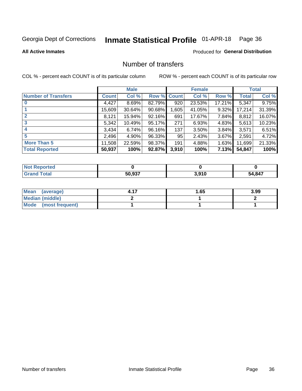## Inmate Statistical Profile 01-APR-18 Page 36

**All Active Inmates** 

#### Produced for General Distribution

## Number of transfers

COL % - percent each COUNT is of its particular column

|                            |         | <b>Male</b> |                    |       | <b>Female</b> |          |        | <b>Total</b> |
|----------------------------|---------|-------------|--------------------|-------|---------------|----------|--------|--------------|
| <b>Number of Transfers</b> | Count l | Col %       | <b>Row % Count</b> |       | Col %         | Row %    | Total  | Col %        |
|                            | 4,427   | 8.69%       | 82.79%             | 920   | 23.53%        | 17.21%   | 5,347  | 9.75%        |
|                            | 15,609  | 30.64%      | 90.68%             | ,605  | 41.05%        | 9.32%    | 17,214 | 31.39%       |
| $\mathbf{2}$               | 8,121   | 15.94%      | 92.16%             | 691   | 17.67%        | 7.84%    | 8,812  | 16.07%       |
| 3                          | 5,342   | 10.49%      | 95.17%             | 271   | 6.93%         | 4.83%    | 5,613  | 10.23%       |
| 4                          | 3.434   | 6.74%       | 96.16%             | 137   | 3.50%         | 3.84%    | 3,571  | 6.51%        |
| 5                          | 2,496   | 4.90%       | 96.33%             | 95    | 2.43%         | $3.67\%$ | 2,591  | 4.72%        |
| <b>More Than 5</b>         | 11,508  | 22.59%      | 98.37%             | 191   | 4.88%         | 1.63%    | 11,699 | 21.33%       |
| <b>Total Reported</b>      | 50,937  | 100%        | 92.87%             | 3,910 | 100%          | 7.13%    | 54,847 | 100%         |

| orted<br><b>NOT</b> |        |                 |             |
|---------------------|--------|-----------------|-------------|
| Total               | 50 937 | 2010<br>J.J I U | 4,847<br>54 |

| Mean (average)       | 1.65 | 3.99 |
|----------------------|------|------|
| Median (middle)      |      |      |
| Mode (most frequent) |      |      |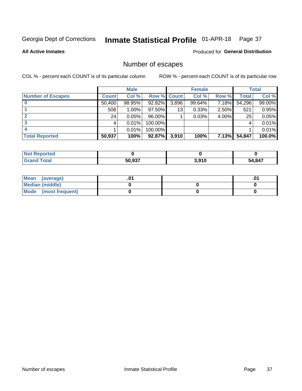## Inmate Statistical Profile 01-APR-18 Page 37

**All Active Inmates** 

#### **Produced for General Distribution**

## Number of escapes

COL % - percent each COUNT is of its particular column

|                          |              | <b>Male</b> |             |       | <b>Female</b> |              |        | <b>Total</b> |
|--------------------------|--------------|-------------|-------------|-------|---------------|--------------|--------|--------------|
| <b>Number of Escapes</b> | <b>Count</b> | Col %       | Row % Count |       | Col %         | Row %        | Total  | Col %        |
|                          | 50,400       | 98.95%      | 92.82%      | 3,896 | 99.64%        | 7.18%        | 54,296 | 99.00%       |
|                          | 508          | $1.00\%$    | 97.50%      | 13    | 0.33%         | 2.50%        | 521    | 0.95%        |
|                          | 24           | 0.05%       | 96.00%      |       | 0.03%         | 4.00%        | 25     | 0.05%        |
|                          |              | 0.01%       | 100.00%     |       |               |              |        | 0.01%        |
|                          |              | 0.01%       | 100.00%     |       |               |              |        | 0.01%        |
| <b>Total Reported</b>    | 50,937       | 100%        | 92.87%      | 3,910 | 100%          | <b>7.13%</b> | 54,847 | 100.0%       |

| <b>Not Reported</b> |                   |       |      |
|---------------------|-------------------|-------|------|
| <b>Grand Total</b>  | 50.027<br>วบ.ฯง เ | 3,910 | .847 |

| Mean (average)         |  | .0 |
|------------------------|--|----|
| <b>Median (middle)</b> |  |    |
| Mode (most frequent)   |  |    |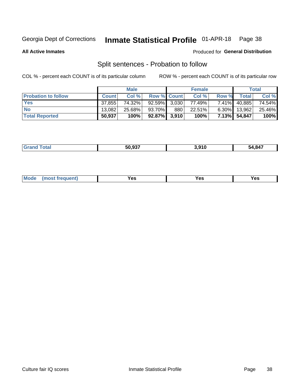#### Inmate Statistical Profile 01-APR-18 Page 38

**All Active Inmates** 

#### Produced for General Distribution

## Split sentences - Probation to follow

COL % - percent each COUNT is of its particular column

|                            |              | <b>Male</b> |                    |     | <b>Female</b> |          |              | <b>Total</b> |
|----------------------------|--------------|-------------|--------------------|-----|---------------|----------|--------------|--------------|
| <b>Probation to follow</b> | <b>Count</b> | Col%        | <b>Row % Count</b> |     | Col %         | Row %    | Total i      | Col %        |
| <b>Yes</b>                 | 37.855       | 74.32%      | $92.59\%$ 3,030    |     | 77.49%        | $7.41\%$ | 40,885       | 74.54%       |
| <b>No</b>                  | 13.082       | 25.68%      | 93.70%             | 880 | 22.51%        | $6.30\%$ | 13.962       | 25.46%       |
| <b>Total Reported</b>      | 50,937       | 100%        | $92.87\%$ 3,910    |     | 100%          |          | 7.13% 54,847 | 100%         |

| ________ | $F^{\wedge}$ $\wedge \neg$<br>50.93. | 040<br>9 I U | 54.847 |
|----------|--------------------------------------|--------------|--------|
|          |                                      |              |        |

| <b>Mode</b><br>reauent)<br>Yes<br>v^c<br>0٥<br>.<br>. .<br>$\sim$ |
|-------------------------------------------------------------------|
|-------------------------------------------------------------------|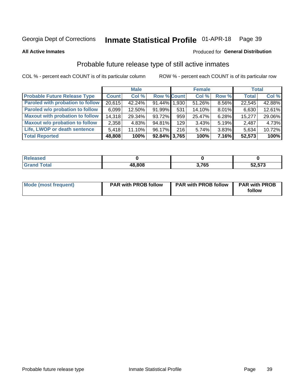#### Inmate Statistical Profile 01-APR-18 Page 39

**All Active Inmates** 

#### Produced for General Distribution

## Probable future release type of still active inmates

COL % - percent each COUNT is of its particular column

|                                         |              | <b>Male</b> |                    |     | <b>Female</b> |          | <b>Total</b> |        |
|-----------------------------------------|--------------|-------------|--------------------|-----|---------------|----------|--------------|--------|
| <b>Probable Future Release Type</b>     | <b>Count</b> | Col %       | <b>Row % Count</b> |     | Col %         | Row %    | <b>Total</b> | Col %  |
| <b>Paroled with probation to follow</b> | 20,615       | 42.24%      | 91.44% 1.930       |     | 51.26%        | 8.56%    | 22,545       | 42.88% |
| Paroled w/o probation to follow         | 6,099        | 12.50%      | 91.99%             | 531 | 14.10%        | 8.01%    | 6,630        | 12.61% |
| <b>Maxout with probation to follow</b>  | 14,318       | 29.34%      | 93.72%             | 959 | 25.47%        | 6.28%    | 15,277       | 29.06% |
| <b>Maxout w/o probation to follow</b>   | 2,358        | 4.83%       | 94.81%             | 129 | 3.43%         | $5.19\%$ | 2,487        | 4.73%  |
| Life, LWOP or death sentence            | 5.418        | 11.10%      | 96.17%             | 216 | 5.74%         | 3.83%    | 5,634        | 10.72% |
| <b>Total Reported</b>                   | 48,808       | 100%        | $92.84\%$ 3,765    |     | 100%          | 7.16%    | 52,573       | 100%   |

| eleased     |        |           |        |
|-------------|--------|-----------|--------|
| <b>otal</b> | 48,808 | 765<br>юa | 52,573 |

| <b>Mode (most frequent)</b> | <b>PAR with PROB follow</b> | <b>PAR with PROB follow</b> | <b>PAR with PROB</b> |
|-----------------------------|-----------------------------|-----------------------------|----------------------|
|                             |                             |                             | follow               |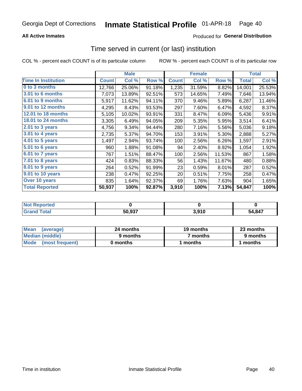### **All Active Inmates**

### Produced for General Distribution

## Time served in current (or last) institution

COL % - percent each COUNT is of its particular column

|                            |              | <b>Male</b> |        |              | <b>Female</b> |        |              | <b>Total</b> |
|----------------------------|--------------|-------------|--------|--------------|---------------|--------|--------------|--------------|
| <b>Time In Institution</b> | <b>Count</b> | Col %       | Row %  | <b>Count</b> | Col %         | Row %  | <b>Total</b> | Col %        |
| 0 to 3 months              | 12,766       | 25.06%      | 91.18% | 1,235        | 31.59%        | 8.82%  | 14,001       | 25.53%       |
| 3.01 to 6 months           | 7,073        | 13.89%      | 92.51% | 573          | 14.65%        | 7.49%  | 7,646        | 13.94%       |
| 6.01 to 9 months           | 5,917        | 11.62%      | 94.11% | 370          | 9.46%         | 5.89%  | 6,287        | 11.46%       |
| 9.01 to 12 months          | 4,295        | 8.43%       | 93.53% | 297          | 7.60%         | 6.47%  | 4,592        | 8.37%        |
| 12.01 to 18 months         | 5,105        | 10.02%      | 93.91% | 331          | 8.47%         | 6.09%  | 5,436        | 9.91%        |
| <b>18.01 to 24 months</b>  | 3,305        | 6.49%       | 94.05% | 209          | 5.35%         | 5.95%  | 3,514        | 6.41%        |
| 2.01 to 3 years            | 4,756        | 9.34%       | 94.44% | 280          | 7.16%         | 5.56%  | 5,036        | 9.18%        |
| 3.01 to 4 years            | 2,735        | 5.37%       | 94.70% | 153          | 3.91%         | 5.30%  | 2,888        | 5.27%        |
| $4.01$ to 5 years          | 1,497        | 2.94%       | 93.74% | 100          | 2.56%         | 6.26%  | 1,597        | 2.91%        |
| 5.01 to 6 years            | 960          | 1.88%       | 91.08% | 94           | 2.40%         | 8.92%  | 1,054        | 1.92%        |
| $6.01$ to 7 years          | 767          | 1.51%       | 88.47% | 100          | 2.56%         | 11.53% | 867          | 1.58%        |
| 7.01 to 8 years            | 424          | 0.83%       | 88.33% | 56           | 1.43%         | 11.67% | 480          | 0.88%        |
| $8.01$ to 9 years          | 264          | 0.52%       | 91.99% | 23           | 0.59%         | 8.01%  | 287          | 0.52%        |
| 9.01 to 10 years           | 238          | 0.47%       | 92.25% | 20           | 0.51%         | 7.75%  | 258          | 0.47%        |
| Over 10 years              | 835          | 1.64%       | 92.37% | 69           | 1.76%         | 7.63%  | 904          | 1.65%        |
| <b>Total Reported</b>      | 50,937       | 100%        | 92.87% | 3,910        | 100%          | 7.13%  | 54,847       | 100%         |

| orted<br><b>Not</b> |        |       |        |
|---------------------|--------|-------|--------|
| ota                 | 50.937 | 3,910 | 54,847 |

| <b>Mean</b><br>(average) | 24 months | 19 months | 23 months |
|--------------------------|-----------|-----------|-----------|
| Median (middle)          | 9 months  | 7 months  | 9 months  |
| Mode (most frequent)     | 0 months  | months    | 1 months  |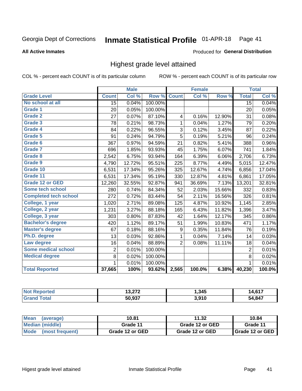#### Inmate Statistical Profile 01-APR-18 Page 41

### **All Active Inmates**

## Produced for General Distribution

## Highest grade level attained

COL % - percent each COUNT is of its particular column

|                              |                 | <b>Male</b> |         |                | <b>Female</b> |        |                 | <b>Total</b> |
|------------------------------|-----------------|-------------|---------|----------------|---------------|--------|-----------------|--------------|
| <b>Grade Level</b>           | <b>Count</b>    | Col %       | Row %   | <b>Count</b>   | Col %         | Row %  | <b>Total</b>    | Col %        |
| No school at all             | $\overline{15}$ | 0.04%       | 100.00% |                |               |        | $\overline{15}$ | 0.04%        |
| <b>Grade 1</b>               | 20              | 0.05%       | 100.00% |                |               |        | 20              | 0.05%        |
| <b>Grade 2</b>               | 27              | 0.07%       | 87.10%  | 4              | 0.16%         | 12.90% | 31              | 0.08%        |
| Grade 3                      | 78              | 0.21%       | 98.73%  | $\mathbf 1$    | 0.04%         | 1.27%  | 79              | 0.20%        |
| <b>Grade 4</b>               | 84              | 0.22%       | 96.55%  | 3              | 0.12%         | 3.45%  | 87              | 0.22%        |
| Grade 5                      | 91              | 0.24%       | 94.79%  | 5              | 0.19%         | 5.21%  | 96              | 0.24%        |
| Grade 6                      | 367             | 0.97%       | 94.59%  | 21             | 0.82%         | 5.41%  | 388             | 0.96%        |
| <b>Grade 7</b>               | 696             | 1.85%       | 93.93%  | 45             | 1.75%         | 6.07%  | 741             | 1.84%        |
| Grade 8                      | 2,542           | 6.75%       | 93.94%  | 164            | 6.39%         | 6.06%  | 2,706           | 6.73%        |
| Grade 9                      | 4,790           | 12.72%      | 95.51%  | 225            | 8.77%         | 4.49%  | 5,015           | 12.47%       |
| Grade 10                     | 6,531           | 17.34%      | 95.26%  | 325            | 12.67%        | 4.74%  | 6,856           | 17.04%       |
| Grade 11                     | 6,531           | 17.34%      | 95.19%  | 330            | 12.87%        | 4.81%  | 6,861           | 17.05%       |
| <b>Grade 12 or GED</b>       | 12,260          | 32.55%      | 92.87%  | 941            | 36.69%        | 7.13%  | 13,201          | 32.81%       |
| <b>Some tech school</b>      | 280             | 0.74%       | 84.34%  | 52             | 2.03%         | 15.66% | 332             | 0.83%        |
| <b>Completed tech school</b> | 272             | 0.72%       | 83.44%  | 54             | 2.11%         | 16.56% | 326             | 0.81%        |
| College, 1 year              | 1,020           | 2.71%       | 89.08%  | 125            | 4.87%         | 10.92% | 1,145           | 2.85%        |
| College, 2 year              | 1,231           | 3.27%       | 88.18%  | 165            | 6.43%         | 11.82% | 1,396           | 3.47%        |
| College, 3 year              | 303             | 0.80%       | 87.83%  | 42             | 1.64%         | 12.17% | 345             | 0.86%        |
| <b>Bachelor's degree</b>     | 420             | 1.12%       | 89.17%  | 51             | 1.99%         | 10.83% | 471             | 1.17%        |
| <b>Master's degree</b>       | 67              | 0.18%       | 88.16%  | 9              | 0.35%         | 11.84% | 76              | 0.19%        |
| Ph.D. degree                 | 13              | 0.03%       | 92.86%  | 1              | 0.04%         | 7.14%  | 14              | 0.03%        |
| Law degree                   | 16              | 0.04%       | 88.89%  | $\overline{2}$ | 0.08%         | 11.11% | 18              | 0.04%        |
| <b>Some medical school</b>   | $\overline{2}$  | 0.01%       | 100.00% |                |               |        | 2               | 0.01%        |
| <b>Medical degree</b>        | 8               | 0.02%       | 100.00% |                |               |        | 8               | 0.02%        |
|                              | 1               | 0.01%       | 100.00% |                |               |        | 1               | 0.01%        |
| <b>Total Reported</b>        | 37,665          | 100%        | 93.62%  | 2,565          | 100.0%        | 6.38%  | 40,230          | 100.0%       |

| הדה הו | 345, ا            | CAT |
|--------|-------------------|-----|
| EO OOZ | 2 Q1 N<br>ιu<br>. | 847 |

| Mean<br>(average)    | 10.81           | 11.32           | 10.84           |
|----------------------|-----------------|-----------------|-----------------|
| Median (middle)      | Grade 11        | Grade 12 or GED | Grade 11        |
| Mode (most frequent) | Grade 12 or GED | Grade 12 or GED | Grade 12 or GED |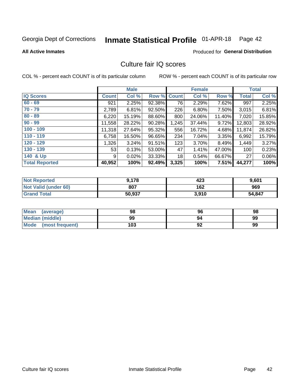# Inmate Statistical Profile 01-APR-18 Page 42

**All Active Inmates** 

### **Produced for General Distribution**

## Culture fair IQ scores

COL % - percent each COUNT is of its particular column

|                       |              | <b>Male</b> |             |       | <b>Female</b> |        |              | <b>Total</b> |
|-----------------------|--------------|-------------|-------------|-------|---------------|--------|--------------|--------------|
| <b>IQ Scores</b>      | <b>Count</b> | Col %       | Row % Count |       | Col %         | Row %  | <b>Total</b> | Col %        |
| $60 - 69$             | 921          | 2.25%       | 92.38%      | 76    | 2.29%         | 7.62%  | 997          | 2.25%        |
| $70 - 79$             | 2,789        | 6.81%       | 92.50%      | 226   | 6.80%         | 7.50%  | 3,015        | 6.81%        |
| $80 - 89$             | 6,220        | 15.19%      | 88.60%      | 800   | 24.06%        | 11.40% | 7,020        | 15.85%       |
| $90 - 99$             | 11,558       | 28.22%      | 90.28%      | 1,245 | 37.44%        | 9.72%  | 12,803       | 28.92%       |
| $100 - 109$           | 11,318       | 27.64%      | 95.32%      | 556   | 16.72%        | 4.68%  | 11,874       | 26.82%       |
| $110 - 119$           | 6,758        | 16.50%      | 96.65%      | 234   | 7.04%         | 3.35%  | 6,992        | 15.79%       |
| $120 - 129$           | 1,326        | 3.24%       | 91.51%      | 123   | 3.70%         | 8.49%  | 1,449        | 3.27%        |
| $130 - 139$           | 53           | 0.13%       | 53.00%      | 47    | 1.41%         | 47.00% | 100          | 0.23%        |
| 140 & Up              | 9            | 0.02%       | 33.33%      | 18    | 0.54%         | 66.67% | 27           | 0.06%        |
| <b>Total Reported</b> | 40,952       | 100%        | 92.49%      | 3,325 | 100%          | 7.51%  | 44,277       | 100%         |

| <b>Not Reported</b>         | 9,178  | 423   | 9,601  |
|-----------------------------|--------|-------|--------|
| <b>Not Valid (under 60)</b> | 807    | 162   | 969    |
| <b>Grand Total</b>          | 50,937 | 3,910 | 54,847 |

| <b>Mean</b><br>(average) | 98  | 96 | 98 |
|--------------------------|-----|----|----|
| <b>Median (middle)</b>   | 99  | 94 | 99 |
| Mode<br>(most frequent)  | 103 | 92 | 99 |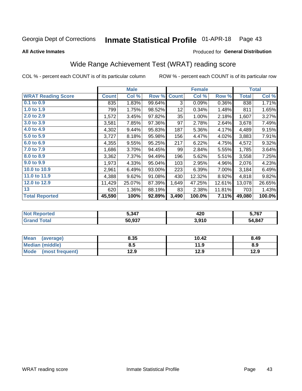#### Inmate Statistical Profile 01-APR-18 Page 43

**All Active Inmates** 

### Produced for General Distribution

## Wide Range Achievement Test (WRAT) reading score

COL % - percent each COUNT is of its particular column

|                           |              | <b>Male</b> |        |              | <b>Female</b> |        |              | <b>Total</b> |
|---------------------------|--------------|-------------|--------|--------------|---------------|--------|--------------|--------------|
| <b>WRAT Reading Score</b> | <b>Count</b> | Col %       | Row %  | <b>Count</b> | Col %         | Row %  | <b>Total</b> | Col %        |
| $0.1$ to $0.9$            | 835          | 1.83%       | 99.64% | 3            | 0.09%         | 0.36%  | 838          | 1.71%        |
| 1.0 to 1.9                | 799          | 1.75%       | 98.52% | 12           | 0.34%         | 1.48%  | 811          | 1.65%        |
| 2.0 to 2.9                | 1,572        | 3.45%       | 97.82% | 35           | 1.00%         | 2.18%  | 1,607        | 3.27%        |
| 3.0 to 3.9                | 3,581        | 7.85%       | 97.36% | 97           | 2.78%         | 2.64%  | 3,678        | 7.49%        |
| 4.0 to 4.9                | 4,302        | 9.44%       | 95.83% | 187          | 5.36%         | 4.17%  | 4,489        | 9.15%        |
| 5.0 to 5.9                | 3,727        | 8.18%       | 95.98% | 156          | 4.47%         | 4.02%  | 3,883        | 7.91%        |
| 6.0 to 6.9                | 4,355        | 9.55%       | 95.25% | 217          | 6.22%         | 4.75%  | 4,572        | 9.32%        |
| 7.0 to 7.9                | 1,686        | 3.70%       | 94.45% | 99           | 2.84%         | 5.55%  | 1,785        | 3.64%        |
| 8.0 to 8.9                | 3,362        | 7.37%       | 94.49% | 196          | 5.62%         | 5.51%  | 3,558        | 7.25%        |
| 9.0 to 9.9                | 1,973        | 4.33%       | 95.04% | 103          | 2.95%         | 4.96%  | 2,076        | 4.23%        |
| 10.0 to 10.9              | 2,961        | 6.49%       | 93.00% | 223          | 6.39%         | 7.00%  | 3,184        | 6.49%        |
| 11.0 to 11.9              | 4,388        | 9.62%       | 91.08% | 430          | 12.32%        | 8.92%  | 4,818        | 9.82%        |
| 12.0 to 12.9              | 11,429       | 25.07%      | 87.39% | 1,649        | 47.25%        | 12.61% | 13,078       | 26.65%       |
| 13                        | 620          | 1.36%       | 88.19% | 83           | 2.38%         | 11.81% | 703          | 1.43%        |
| <b>Total Reported</b>     | 45,590       | 100%        | 92.89% | 3,490        | 100.0%        | 7.11%  | 49,080       | 100.0%       |

| rtea<br>NO | 5,347  | 100<br>42U | 5,767  |
|------------|--------|------------|--------|
|            | 50,937 | 3,910      | 54,847 |

| <b>Mean</b><br>(average) | 8.35 | 10.42 | 8.49 |
|--------------------------|------|-------|------|
| Median (middle)          | 8.5  | 11.9  | 8.9  |
| Mode<br>(most frequent)  | 12.9 | 12.9  | 12.9 |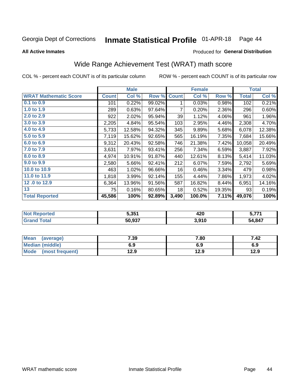#### Inmate Statistical Profile 01-APR-18 Page 44

**All Active Inmates** 

### Produced for General Distribution

## Wide Range Achievement Test (WRAT) math score

COL % - percent each COUNT is of its particular column

|                              |              | <b>Male</b> |        |              | <b>Female</b> |        |              | <b>Total</b> |
|------------------------------|--------------|-------------|--------|--------------|---------------|--------|--------------|--------------|
| <b>WRAT Mathematic Score</b> | <b>Count</b> | Col %       | Row %  | <b>Count</b> | Col %         | Row %  | <b>Total</b> | Col %        |
| $0.1$ to $0.9$               | 101          | 0.22%       | 99.02% | 1            | 0.03%         | 0.98%  | 102          | 0.21%        |
| 1.0 to 1.9                   | 289          | 0.63%       | 97.64% | 7            | 0.20%         | 2.36%  | 296          | 0.60%        |
| 2.0 to 2.9                   | 922          | 2.02%       | 95.94% | 39           | 1.12%         | 4.06%  | 961          | 1.96%        |
| 3.0 to 3.9                   | 2,205        | 4.84%       | 95.54% | 103          | 2.95%         | 4.46%  | 2,308        | 4.70%        |
| 4.0 to 4.9                   | 5,733        | 12.58%      | 94.32% | 345          | 9.89%         | 5.68%  | 6,078        | 12.38%       |
| 5.0 to 5.9                   | 7,119        | 15.62%      | 92.65% | 565          | 16.19%        | 7.35%  | 7,684        | 15.66%       |
| 6.0 to 6.9                   | 9,312        | 20.43%      | 92.58% | 746          | 21.38%        | 7.42%  | 10,058       | 20.49%       |
| 7.0 to 7.9                   | 3,631        | 7.97%       | 93.41% | 256          | 7.34%         | 6.59%  | 3,887        | 7.92%        |
| 8.0 to 8.9                   | 4,974        | 10.91%      | 91.87% | 440          | 12.61%        | 8.13%  | 5,414        | 11.03%       |
| 9.0 to 9.9                   | 2,580        | 5.66%       | 92.41% | 212          | 6.07%         | 7.59%  | 2,792        | 5.69%        |
| 10.0 to 10.9                 | 463          | 1.02%       | 96.66% | 16           | 0.46%         | 3.34%  | 479          | 0.98%        |
| 11.0 to 11.9                 | 1,818        | 3.99%       | 92.14% | 155          | 4.44%         | 7.86%  | 1,973        | 4.02%        |
| 12.0 to 12.9                 | 6,364        | 13.96%      | 91.56% | 587          | 16.82%        | 8.44%  | 6,951        | 14.16%       |
| 13                           | 75           | 0.16%       | 80.65% | 18           | 0.52%         | 19.35% | 93           | 0.19%        |
| <b>Total Reported</b>        | 45,586       | 100%        | 92.89% | 3,490        | 100.0%        | 7.11%  | 49,076       | 100%         |

| ' NOT<br>keportea | 5.351  | 420   | . 774  |
|-------------------|--------|-------|--------|
| <b>cotal</b>      | 50,937 | 3,910 | 54,847 |

| Mean (average)         | 7.39 | 7.80 | 7.42 |
|------------------------|------|------|------|
| <b>Median (middle)</b> | 6.9  | 6.9  | 6.9  |
| Mode (most frequent)   | 12.9 | 12.9 | 12.9 |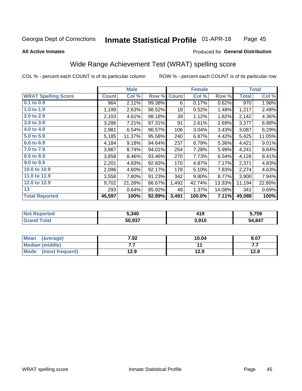#### Inmate Statistical Profile 01-APR-18 Page 45

### **All Active Inmates**

### Produced for General Distribution

## Wide Range Achievement Test (WRAT) spelling score

COL % - percent each COUNT is of its particular column

|                            |              | <b>Male</b> |        |              | <b>Female</b> |        |              | <b>Total</b> |
|----------------------------|--------------|-------------|--------|--------------|---------------|--------|--------------|--------------|
| <b>WRAT Spelling Score</b> | <b>Count</b> | Col %       | Row %  | <b>Count</b> | Col %         | Row %  | <b>Total</b> | Col %        |
| $0.1$ to $0.9$             | 964          | 2.11%       | 99.38% | 6            | 0.17%         | 0.62%  | 970          | 1.98%        |
| 1.0 to 1.9                 | 1,199        | 2.63%       | 98.52% | 18           | 0.52%         | 1.48%  | 1,217        | 2.48%        |
| 2.0 to 2.9                 | 2,103        | 4.61%       | 98.18% | 39           | 1.12%         | 1.82%  | 2,142        | 4.36%        |
| 3.0 to 3.9                 | 3,286        | 7.21%       | 97.31% | 91           | 2.61%         | 2.69%  | 3,377        | 6.88%        |
| 4.0 to 4.9                 | 2,981        | 6.54%       | 96.57% | 106          | 3.04%         | 3.43%  | 3,087        | 6.29%        |
| 5.0 to 5.9                 | 5,185        | 11.37%      | 95.58% | 240          | 6.87%         | 4.42%  | 5,425        | 11.05%       |
| 6.0 to 6.9                 | 4,184        | 9.18%       | 94.64% | 237          | 6.79%         | 5.36%  | 4,421        | 9.01%        |
| 7.0 to 7.9                 | 3,987        | 8.74%       | 94.01% | 254          | 7.28%         | 5.99%  | 4,241        | 8.64%        |
| 8.0 to 8.9                 | 3,858        | 8.46%       | 93.46% | 270          | 7.73%         | 6.54%  | 4,128        | 8.41%        |
| 9.0 to 9.9                 | 2,201        | 4.83%       | 92.83% | 170          | 4.87%         | 7.17%  | 2,371        | 4.83%        |
| 10.0 to 10.9               | 2,096        | 4.60%       | 92.17% | 178          | 5.10%         | 7.83%  | 2,274        | 4.63%        |
| 11.0 to 11.9               | 3,558        | 7.80%       | 91.23% | 342          | 9.80%         | 8.77%  | 3,900        | 7.94%        |
| 12.0 to 12.9               | 9,702        | 21.28%      | 86.67% | 1,492        | 42.74%        | 13.33% | 11,194       | 22.80%       |
| 13                         | 293          | 0.64%       | 85.92% | 48           | 1.37%         | 14.08% | 341          | 0.69%        |
| <b>Total Reported</b>      | 45,597       | 100%        | 92.89% | 3,491        | 100.0%        | 7.11%  | 49,088       | 100%         |

| Teu.<br>NO | 5,340  | 41 O<br>7 I J | 5,759  |  |
|------------|--------|---------------|--------|--|
|            | 50,937 | 3,910         | 54,847 |  |

| <b>Mean</b><br>(average) | 7.92 | 10.04 | 8.07 |
|--------------------------|------|-------|------|
| Median (middle)          | .    |       | .    |
| Mode<br>(most frequent)  | 12.9 | 12.9  | 12.9 |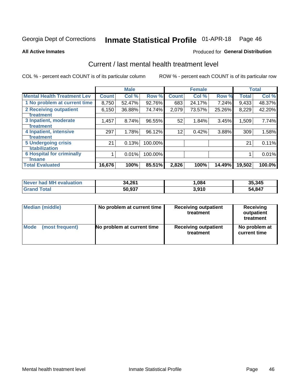# Inmate Statistical Profile 01-APR-18 Page 46

**All Active Inmates** 

### **Produced for General Distribution**

## Current / last mental health treatment level

COL % - percent each COUNT is of its particular column

|                                    |              | <b>Male</b> |         |                 | <b>Female</b> |        |              | <b>Total</b> |
|------------------------------------|--------------|-------------|---------|-----------------|---------------|--------|--------------|--------------|
| <b>Mental Health Treatment Lev</b> | <b>Count</b> | Col %       | Row %   | <b>Count</b>    | Col %         | Row %  | <b>Total</b> | Col %        |
| 1 No problem at current time       | 8,750        | 52.47%      | 92.76%  | 683             | 24.17%        | 7.24%  | 9,433        | 48.37%       |
| 2 Receiving outpatient             | 6,150        | 36.88%      | 74.74%  | 2,079           | 73.57%        | 25.26% | 8,229        | 42.20%       |
| <b>Treatment</b>                   |              |             |         |                 |               |        |              |              |
| 3 Inpatient, moderate              | 1,457        | 8.74%       | 96.55%  | 52              | 1.84%         | 3.45%  | 1,509        | 7.74%        |
| <b>Treatment</b>                   |              |             |         |                 |               |        |              |              |
| 4 Inpatient, intensive             | 297          | 1.78%       | 96.12%  | 12 <sup>2</sup> | 0.42%         | 3.88%  | 309          | 1.58%        |
| Treatment                          |              |             |         |                 |               |        |              |              |
| 5 Undergoing crisis                | 21           | 0.13%       | 100.00% |                 |               |        | 21           | 0.11%        |
| <b>stabilization</b>               |              |             |         |                 |               |        |              |              |
| <b>6 Hospital for criminally</b>   |              | 0.01%       | 100.00% |                 |               |        |              | 0.01%        |
| <b>Tinsane</b>                     |              |             |         |                 |               |        |              |              |
| <b>Total Evaluated</b>             | 16,676       | 100%        | 85.51%  | 2,826           | 100%          | 14.49% | 19,502       | 100.0%       |

| Never had MH evaluation | 34,261 | ,084  | 35,345      |
|-------------------------|--------|-------|-------------|
| $\tau$ otal             | 50,937 | 3,910 | .847<br>54. |

| Median (middle) | No problem at current time | <b>Receiving outpatient</b><br>treatment | <b>Receiving</b><br>outpatient<br>treatment |
|-----------------|----------------------------|------------------------------------------|---------------------------------------------|
| <b>Mode</b>     | No problem at current time | <b>Receiving outpatient</b>              | No problem at                               |
| (most frequent) |                            | treatment                                | current time                                |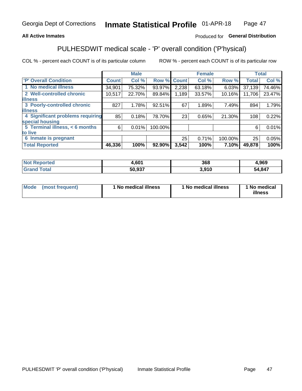### **All Active Inmates**

### Produced for General Distribution

## PULHESDWIT medical scale - 'P' overall condition ('P'hysical)

COL % - percent each COUNT is of its particular column

|                                         |              | <b>Male</b> |         |              | <b>Female</b> |         |              | <b>Total</b> |
|-----------------------------------------|--------------|-------------|---------|--------------|---------------|---------|--------------|--------------|
| 'P' Overall Condition                   | <b>Count</b> | Col %       | Row %   | <b>Count</b> | Col %         | Row %   | <b>Total</b> | Col %        |
| 1 No medical illness                    | 34,901       | 75.32%      | 93.97%  | 2,238        | 63.18%        | 6.03%   | 37,139       | 74.46%       |
| 2 Well-controlled chronic               | 10,517       | 22.70%      | 89.84%  | 1,189        | 33.57%        | 10.16%  | 11,706       | 23.47%       |
| <b>illness</b>                          |              |             |         |              |               |         |              |              |
| 3 Poorly-controlled chronic             | 827          | 1.78%       | 92.51%  | 67           | 1.89%         | 7.49%   | 894          | 1.79%        |
| <b>illness</b>                          |              |             |         |              |               |         |              |              |
| <b>4 Significant problems requiring</b> | 85           | 0.18%       | 78.70%  | 23           | 0.65%         | 21.30%  | 108          | 0.22%        |
| special housing                         |              |             |         |              |               |         |              |              |
| 5 Terminal illness, < 6 months          | 6            | 0.01%       | 100.00% |              |               |         | 6            | 0.01%        |
| to live                                 |              |             |         |              |               |         |              |              |
| 6 Inmate is pregnant                    |              |             |         | 25           | 0.71%         | 100.00% | 25           | 0.05%        |
| <b>Total Reported</b>                   | 46,336       | 100%        | 92.90%  | 3,542        | 100%          | 7.10%   | 49,878       | 100%         |

| ,601  | 368  | 0CO<br>צסע. |  |
|-------|------|-------------|--|
| דמה ה | .910 | 1,847<br>54 |  |

| Mode | (most frequent) | 1 No medical illness | 1 No medical illness | 1 No medical<br>illness |
|------|-----------------|----------------------|----------------------|-------------------------|
|------|-----------------|----------------------|----------------------|-------------------------|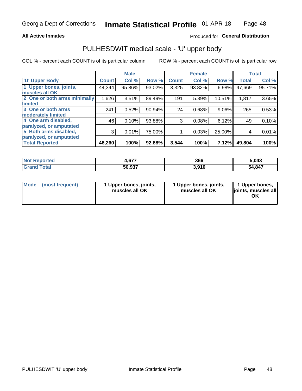### **All Active Inmates**

### Produced for General Distribution

# PULHESDWIT medical scale - 'U' upper body

COL % - percent each COUNT is of its particular column

|                              |                    | <b>Male</b> |        |              | <b>Female</b> |        |              | <b>Total</b> |
|------------------------------|--------------------|-------------|--------|--------------|---------------|--------|--------------|--------------|
| <b>U' Upper Body</b>         | Count <sup>1</sup> | Col %       | Row %  | <b>Count</b> | Col %         | Row %  | <b>Total</b> | Col %        |
| 1 Upper bones, joints,       | 44,344             | 95.86%      | 93.02% | 3,325        | 93.82%        | 6.98%  | 47,669       | 95.71%       |
| muscles all OK               |                    |             |        |              |               |        |              |              |
| 2 One or both arms minimally | 1,626              | 3.51%       | 89.49% | 191          | 5.39%         | 10.51% | 1,817        | 3.65%        |
| limited                      |                    |             |        |              |               |        |              |              |
| 3 One or both arms           | 241                | 0.52%       | 90.94% | 24           | 0.68%         | 9.06%  | 265          | 0.53%        |
| <b>moderately limited</b>    |                    |             |        |              |               |        |              |              |
| 4 One arm disabled,          | 46                 | 0.10%       | 93.88% | 3            | 0.08%         | 6.12%  | 49           | 0.10%        |
| paralyzed, or amputated      |                    |             |        |              |               |        |              |              |
| 5 Both arms disabled,        | 3                  | 0.01%       | 75.00% |              | 0.03%         | 25.00% | 4            | 0.01%        |
| paralyzed, or amputated      |                    |             |        |              |               |        |              |              |
| <b>Total Reported</b>        | 46,260             | 100%        | 92.88% | 3,544        | 100%          | 7.12%  | 49,804       | 100%         |

| <b>Not Reported</b> | $\sim$<br>7,VI I | 366   | 5,043  |
|---------------------|------------------|-------|--------|
| <b>Grand Total</b>  | 50,937           | 3,910 | 54,847 |

| Mode (most frequent) | 1 Upper bones, joints,<br>muscles all OK | 1 Upper bones, joints,<br>muscles all OK | 1 Upper bones,<br>joints, muscles all<br>ΟK |
|----------------------|------------------------------------------|------------------------------------------|---------------------------------------------|
|----------------------|------------------------------------------|------------------------------------------|---------------------------------------------|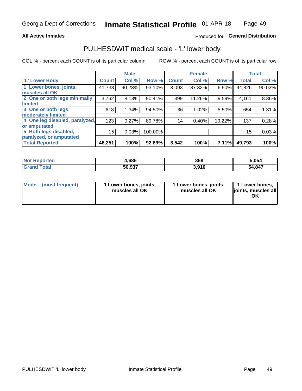### **All Active Inmates**

### Produced for General Distribution

## PULHESDWIT medical scale - 'L' lower body

COL % - percent each COUNT is of its particular column

|                                |              | <b>Male</b> |         |              | <b>Female</b> |        |                 | <b>Total</b> |
|--------------------------------|--------------|-------------|---------|--------------|---------------|--------|-----------------|--------------|
| 'L' Lower Body                 | <b>Count</b> | Col %       | Row %   | <b>Count</b> | Col %         | Row %  | <b>Total</b>    | Col %        |
| 1 Lower bones, joints,         | 41,733       | 90.23%      | 93.10%  | 3,093        | 87.32%        | 6.90%  | 44,826          | 90.02%       |
| muscles all OK                 |              |             |         |              |               |        |                 |              |
| 2 One or both legs minimally   | 3,762        | 8.13%       | 90.41%  | 399          | 11.26%        | 9.59%  | 4,161           | 8.36%        |
| limited                        |              |             |         |              |               |        |                 |              |
| 3 One or both legs             | 618          | 1.34%       | 94.50%  | 36           | 1.02%         | 5.50%  | 654             | 1.31%        |
| moderately limited             |              |             |         |              |               |        |                 |              |
| 4 One leg disabled, paralyzed, | 123          | 0.27%       | 89.78%  | 14           | 0.40%         | 10.22% | 137             | 0.28%        |
| or amputated                   |              |             |         |              |               |        |                 |              |
| 5 Both legs disabled,          | 15           | 0.03%       | 100.00% |              |               |        | 15 <sub>1</sub> | 0.03%        |
| paralyzed, or amputated        |              |             |         |              |               |        |                 |              |
| <b>Total Reported</b>          | 46,251       | 100%        | 92.89%  | 3,542        | 100%          | 7.11%  | 49,793          | 100%         |

| <b>Not Reported</b> | 1,686  | 368   | 5.054         |
|---------------------|--------|-------|---------------|
| Total               | 50,937 | 3.910 | 4,847<br>- בר |

| Mode (most frequent) | 1 Lower bones, joints,<br>muscles all OK | 1 Lower bones, joints,<br>muscles all OK | 1 Lower bones,<br>joints, muscles all<br>ΟK |
|----------------------|------------------------------------------|------------------------------------------|---------------------------------------------|
|----------------------|------------------------------------------|------------------------------------------|---------------------------------------------|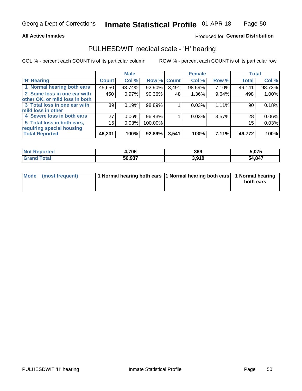### **All Active Inmates**

### Produced for General Distribution

## PULHESDWIT medical scale - 'H' hearing

COL % - percent each COUNT is of its particular column

|                                |              | <b>Male</b> |             |       | <b>Female</b> |       | <b>Total</b> |        |
|--------------------------------|--------------|-------------|-------------|-------|---------------|-------|--------------|--------|
| <b>'H' Hearing</b>             | <b>Count</b> | Col %       | Row % Count |       | Col %         | Row % | <b>Total</b> | Col %  |
| 1 Normal hearing both ears     | 45,650       | 98.74%      | 92.90%      | 3,491 | 98.59%        | 7.10% | 49,141       | 98.73% |
| 2 Some loss in one ear with    | 450          | 0.97%       | 90.36%      | 48    | 1.36%         | 9.64% | 498          | 1.00%  |
| other OK, or mild loss in both |              |             |             |       |               |       |              |        |
| 3 Total loss in one ear with   | 89           | 0.19%       | 98.89%      |       | 0.03%         | 1.11% | 90           | 0.18%  |
| mild loss in other             |              |             |             |       |               |       |              |        |
| 4 Severe loss in both ears     | 27           | 0.06%       | 96.43%      |       | 0.03%         | 3.57% | 28           | 0.06%  |
| 5 Total loss in both ears,     | 15           | 0.03%       | 100.00%     |       |               |       | 15           | 0.03%  |
| requiring special housing      |              |             |             |       |               |       |              |        |
| <b>Total Reported</b>          | 46,231       | 100%        | 92.89%      | 3,541 | 100%          | 7.11% | 49,772       | 100%   |

| <b>orted</b><br><b>NOT</b> | ,706   | 369            | 075.ز  |
|----------------------------|--------|----------------|--------|
| $F_{\alpha}$ ial<br>υιαι   | 50,937 | 2010<br>ง.ง เบ | 54,847 |

| Mode (most frequent) | 1 Normal hearing both ears 11 Normal hearing both ears 1 Normal hearing | both ears |
|----------------------|-------------------------------------------------------------------------|-----------|
|                      |                                                                         |           |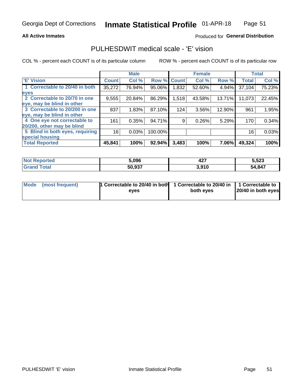### **All Active Inmates**

### Produced for General Distribution

## PULHESDWIT medical scale - 'E' vision

COL % - percent each COUNT is of its particular column

|                                 |              | <b>Male</b> |             |       | <b>Female</b> |        |              | <b>Total</b> |
|---------------------------------|--------------|-------------|-------------|-------|---------------|--------|--------------|--------------|
| <b>E' Vision</b>                | <b>Count</b> | Col %       | Row % Count |       | Col %         | Row %  | <b>Total</b> | Col %        |
| 1 Correctable to 20/40 in both  | 35,272       | 76.94%      | 95.06%      | .832  | 52.60%        | 4.94%  | 37,104       | 75.23%       |
| eyes                            |              |             |             |       |               |        |              |              |
| 2 Correctable to 20/70 in one   | 9,555        | 20.84%      | 86.29%      | 1,518 | 43.58%        | 13.71% | 11,073       | 22.45%       |
| eye, may be blind in other      |              |             |             |       |               |        |              |              |
| 3 Correctable to 20/200 in one  | 837          | 1.83%       | 87.10%      | 124   | 3.56%         | 12.90% | 961          | 1.95%        |
| eye, may be blind in other      |              |             |             |       |               |        |              |              |
| 4 One eye not correctable to    | 161          | 0.35%       | 94.71%      | 9     | 0.26%         | 5.29%  | 170          | 0.34%        |
| 20/200, other may be blind      |              |             |             |       |               |        |              |              |
| 5 Blind in both eyes, requiring | 16           | 0.03%       | 100.00%     |       |               |        | 16           | 0.03%        |
| special housing                 |              |             |             |       |               |        |              |              |
| <b>Total Reported</b>           | 45,841       | 100%        | 92.94%      | 3,483 | 100%          | 7.06%  | 49,324       | 100%         |

| วrted<br>NO | 5.096  | 407<br>421 | E EOO<br>ວ.ວ∠3 |
|-------------|--------|------------|----------------|
|             | 50.937 | 3.910      | .847<br>54     |

| Mode (most frequent) | 1 Correctable to 20/40 in both<br>eves | 1 Correctable to 20/40 in   1 Correctable to  <br>both eves | 20/40 in both eyes |
|----------------------|----------------------------------------|-------------------------------------------------------------|--------------------|
|                      |                                        |                                                             |                    |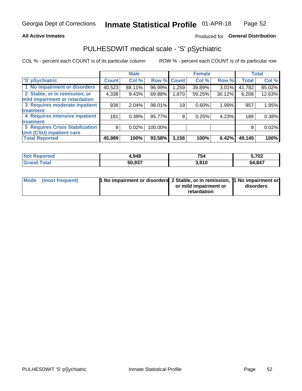### **All Active Inmates**

### Produced for General Distribution

## PULHESDWIT medical scale - 'S' pSychiatric

COL % - percent each COUNT is of its particular column

|                                        |              | <b>Male</b> |         |              | <b>Female</b> |          |              | <b>Total</b> |
|----------------------------------------|--------------|-------------|---------|--------------|---------------|----------|--------------|--------------|
| 'S' pSychiatric                        | <b>Count</b> | Col %       | Row %   | <b>Count</b> | Col %         | Row %    | <b>Total</b> | Col %        |
| 1 No impairment or disorders           | 40,523       | 88.11%      | 96.99%  | .259         | 39.89%        | $3.01\%$ | 41,782       | 85.02%       |
| 2 Stable, or in remission, or          | 4,338        | 9.43%       | 69.88%  | 1,870        | 59.25%        | 30.12%   | 6,208        | 12.63%       |
| mild impairment or retardation         |              |             |         |              |               |          |              |              |
| 3 Requires moderate inpatient          | 938          | 2.04%       | 98.01%  | 19           | 0.60%         | 1.99%    | 957          | 1.95%        |
| treatment                              |              |             |         |              |               |          |              |              |
| 4 Requires intensive inpatient         | 181          | 0.39%       | 95.77%  | 8            | 0.25%         | 4.23%    | 189          | 0.38%        |
| treatment                              |              |             |         |              |               |          |              |              |
| <b>5 Requires Crisis Stabilization</b> | 9            | 0.02%       | 100.00% |              |               |          | 9            | 0.02%        |
| Unit (CSU) inpatient care              |              |             |         |              |               |          |              |              |
| <b>Total Reported</b>                  | 45,989       | 100%        | 93.58%  | 3,156        | 100%          | 6.42%    | 49,145       | 100%         |

| <b>Not Reported</b> | 948.ا  | 754   | 5,702  |
|---------------------|--------|-------|--------|
| Total               | 50,937 | 3,910 | 54,847 |

| Mode (most frequent) | <b>t No impairment or disorders 2 Stable, or in remission, 1 No impairment or</b> |                       |           |
|----------------------|-----------------------------------------------------------------------------------|-----------------------|-----------|
|                      |                                                                                   | or mild impairment or | disorders |
|                      |                                                                                   | retardation           |           |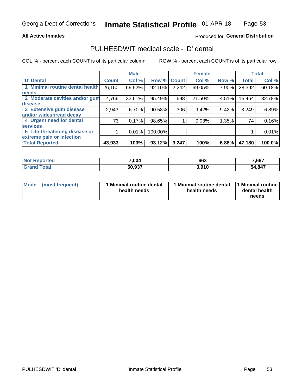### **All Active Inmates**

### Produced for General Distribution

## PULHESDWIT medical scale - 'D' dental

COL % - percent each COUNT is of its particular column

|                                 |              | <b>Male</b> |         |              | <b>Female</b> |       |              | <b>Total</b> |
|---------------------------------|--------------|-------------|---------|--------------|---------------|-------|--------------|--------------|
| <b>D'</b> Dental                | <b>Count</b> | Col %       | Row %   | <b>Count</b> | Col %         | Row % | <b>Total</b> | Col %        |
| 1 Minimal routine dental health | 26,150       | 59.52%      | 92.10%  | 2,242        | 69.05%        | 7.90% | 28,392       | 60.18%       |
| <b>needs</b>                    |              |             |         |              |               |       |              |              |
| 2 Moderate cavities and/or gum  | 14,766       | 33.61%      | 95.49%  | 698          | 21.50%        | 4.51% | 15,464       | 32.78%       |
| disease                         |              |             |         |              |               |       |              |              |
| 3 Extensive gum disease         | 2,943        | 6.70%       | 90.58%  | 306          | 9.42%         | 9.42% | 3,249        | 6.89%        |
| and/or widespread decay         |              |             |         |              |               |       |              |              |
| 4 Urgent need for dental        | 73           | 0.17%       | 98.65%  |              | 0.03%         | 1.35% | 74           | 0.16%        |
| <b>services</b>                 |              |             |         |              |               |       |              |              |
| 5 Life-threatening disease or   |              | 0.01%       | 100.00% |              |               |       |              | 0.01%        |
| extreme pain or infection       |              |             |         |              |               |       |              |              |
| <b>Total Reported</b>           | 43,933       | 100%        | 93.12%  | 3,247        | 100%          | 6.88% | 47,180       | 100.0%       |

| <b>Not Reported</b> | 7,004  | 663   | 7,667  |
|---------------------|--------|-------|--------|
| Total<br>' Grand    | 50,937 | 3,910 | 54,847 |

| 1 Minimal routine dental<br>Mode<br>(most frequent)<br>health needs | 1 Minimal routine dental 1 Minimal routine<br>health needs | dental health<br>needs |
|---------------------------------------------------------------------|------------------------------------------------------------|------------------------|
|---------------------------------------------------------------------|------------------------------------------------------------|------------------------|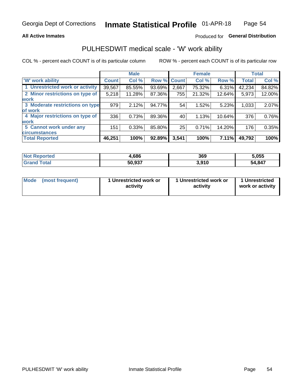### **All Active Inmates**

### Produced for General Distribution

## PULHESDWIT medical scale - 'W' work ability

COL % - percent each COUNT is of its particular column

|                                 |              | <b>Male</b> |        |             | <b>Female</b> |        |              | <b>Total</b> |
|---------------------------------|--------------|-------------|--------|-------------|---------------|--------|--------------|--------------|
| <b>W' work ability</b>          | <b>Count</b> | Col %       |        | Row % Count | Col %         | Row %  | <b>Total</b> | Col %        |
| 1 Unrestricted work or activity | 39,567       | 85.55%      | 93.69% | 2,667       | 75.32%        | 6.31%  | 42,234       | 84.82%       |
| 2 Minor restrictions on type of | 5,218        | 11.28%      | 87.36% | 755         | 21.32%        | 12.64% | 5,973        | 12.00%       |
| <b>work</b>                     |              |             |        |             |               |        |              |              |
| 3 Moderate restrictions on type | 979          | 2.12%       | 94.77% | 54          | 1.52%         | 5.23%  | 1,033        | 2.07%        |
| lof work                        |              |             |        |             |               |        |              |              |
| 4 Major restrictions on type of | 336          | 0.73%       | 89.36% | 40          | 1.13%         | 10.64% | 376          | 0.76%        |
| <b>work</b>                     |              |             |        |             |               |        |              |              |
| 5 Cannot work under any         | 151          | 0.33%       | 85.80% | 25          | 0.71%         | 14.20% | 176          | 0.35%        |
| <b>circumstances</b>            |              |             |        |             |               |        |              |              |
| <b>Total Reported</b>           | 46,251       | 100%        | 92.89% | 3,541       | 100%          | 7.11%  | 49,792       | 100%         |

| <b>Not Reported</b>   | 1,686  | 369   | 5,055  |
|-----------------------|--------|-------|--------|
| <b>Total</b><br>Grand | 50,937 | 3,910 | 54,847 |

| Mode            | 1 Unrestricted work or | 1 Unrestricted work or | 1 Unrestricted   |
|-----------------|------------------------|------------------------|------------------|
| (most frequent) | activity               | activity               | work or activity |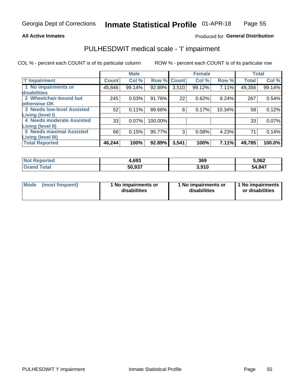### **All Active Inmates**

### Produced for General Distribution

## PULHESDWIT medical scale - 'I' impairment

COL % - percent each COUNT is of its particular column

|                                                       |              | <b>Male</b> |         |             | <b>Female</b> |        |              | <b>Total</b> |
|-------------------------------------------------------|--------------|-------------|---------|-------------|---------------|--------|--------------|--------------|
| <b>T' Impairment</b>                                  | <b>Count</b> | Col %       |         | Row % Count | Col %         | Row %  | <b>Total</b> | Col %        |
| 1 No impairments or<br>disabilities                   | 45,846       | 99.14%      | 92.89%  | 3,510       | 99.12%        | 7.11%  | 49,356       | 99.14%       |
| 2 Wheelchair-bound but<br>otherwise OK                | 245          | 0.53%       | 91.76%  | 22          | 0.62%         | 8.24%  | 267          | 0.54%        |
| <b>3 Needs low-level Assisted</b><br>Living (level I) | 52           | 0.11%       | 89.66%  | 6           | 0.17%         | 10.34% | 58           | 0.12%        |
| 4 Needs moderate Assisted<br>Living (level II)        | 33           | 0.07%       | 100.00% |             |               |        | 33           | 0.07%        |
| <b>5 Needs maximal Assisted</b>                       | 68           | 0.15%       | 95.77%  | 3           | 0.08%         | 4.23%  | 71           | 0.14%        |
| <b>Living (level III)</b><br><b>Total Reported</b>    | 46,244       | 100%        | 92.89%  | 3,541       | 100%          | 7.11%  | 49,785       | 100.0%       |

| วorted | 1.693  | 369   | 5,062  |
|--------|--------|-------|--------|
| ™otai  | 50,937 | 3.910 | 54,847 |

| Mode | (most frequent) | 1 No impairments or<br>disabilities | 1 No impairments or<br>disabilities | 1 No impairments<br>or disabilities |
|------|-----------------|-------------------------------------|-------------------------------------|-------------------------------------|
|------|-----------------|-------------------------------------|-------------------------------------|-------------------------------------|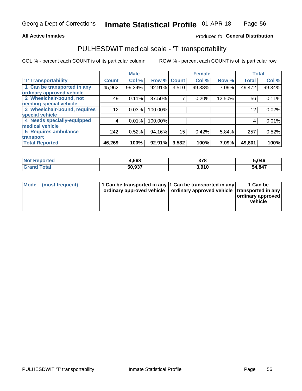### **All Active Inmates**

### Produced fo General Distribution

## PULHESDWIT medical scale - 'T' transportability

COL % - percent each COUNT is of its particular column

|                              |              | <b>Male</b> |         |              | <b>Female</b> |        |              | <b>Total</b> |
|------------------------------|--------------|-------------|---------|--------------|---------------|--------|--------------|--------------|
| <b>T' Transportability</b>   | <b>Count</b> | Col %       | Row %   | <b>Count</b> | Col %         | Row %  | <b>Total</b> | Col %        |
| 1 Can be transported in any  | 45,962       | 99.34%      | 92.91%  | 3,510        | 99.38%        | 7.09%  | 49,472       | 99.34%       |
| ordinary approved vehicle    |              |             |         |              |               |        |              |              |
| 2 Wheelchair-bound, not      | 49           | 0.11%       | 87.50%  | 7            | 0.20%         | 12.50% | 56           | 0.11%        |
| needing special vehicle      |              |             |         |              |               |        |              |              |
| 3 Wheelchair-bound, requires | 12           | 0.03%       | 100.00% |              |               |        | 12           | 0.02%        |
| special vehicle              |              |             |         |              |               |        |              |              |
| 4 Needs specially-equipped   | 4            | 0.01%       | 100.00% |              |               |        | 4            | 0.01%        |
| medical vehicle              |              |             |         |              |               |        |              |              |
| <b>5 Requires ambulance</b>  | 242          | 0.52%       | 94.16%  | 15           | 0.42%         | 5.84%  | 257          | 0.52%        |
| transport                    |              |             |         |              |               |        |              |              |
| <b>Total Reported</b>        | 46,269       | 100%        | 92.91%  | 3,532        | 100%          | 7.09%  | 49,801       | 100%         |

| <b>Not</b><br>Reported | .668   | 378   | 5,046  |
|------------------------|--------|-------|--------|
| Total<br>Grai          | 50,937 | 3.910 | 54,847 |

|  | Mode (most frequent) | 1 Can be transported in any 1 Can be transported in any<br>ordinary approved vehicle   ordinary approved vehicle   transported in any |  | 1 Can be<br>  ordinary approved  <br>vehicle |
|--|----------------------|---------------------------------------------------------------------------------------------------------------------------------------|--|----------------------------------------------|
|--|----------------------|---------------------------------------------------------------------------------------------------------------------------------------|--|----------------------------------------------|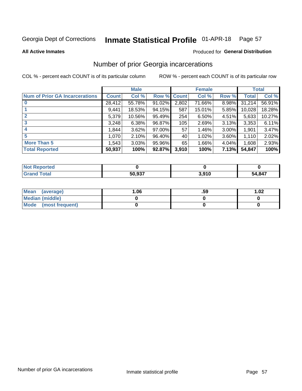#### Inmate Statistical Profile 01-APR-18 Page 57

**All Active Inmates** 

### **Produced for General Distribution**

## Number of prior Georgia incarcerations

COL % - percent each COUNT is of its particular column

|                                       |              | <b>Male</b> |             |       | <b>Female</b> |          |        | <b>Total</b> |
|---------------------------------------|--------------|-------------|-------------|-------|---------------|----------|--------|--------------|
| <b>Num of Prior GA Incarcerations</b> | <b>Count</b> | Col %       | Row % Count |       | Col %         | Row %    | Total  | Col %        |
|                                       | 28,412       | 55.78%      | 91.02%      | 2,802 | 71.66%        | 8.98%    | 31,214 | 56.91%       |
|                                       | 9,441        | 18.53%      | 94.15%      | 587   | 15.01%        | 5.85%    | 10,028 | 18.28%       |
| $\overline{2}$                        | 5,379        | 10.56%      | 95.49%      | 254   | 6.50%         | 4.51%    | 5,633  | 10.27%       |
| 3                                     | 3,248        | 6.38%       | 96.87%      | 105   | 2.69%         | 3.13%    | 3,353  | 6.11%        |
| $\boldsymbol{4}$                      | 1,844        | 3.62%       | 97.00%      | 57    | 1.46%         | $3.00\%$ | 1,901  | 3.47%        |
| 5                                     | 1,070        | 2.10%       | 96.40%      | 40    | 1.02%         | 3.60%    | 1,110  | 2.02%        |
| <b>More Than 5</b>                    | 1,543        | 3.03%       | 95.96%      | 65    | 1.66%         | 4.04%    | 1,608  | 2.93%        |
| <b>Total Reported</b>                 | 50,937       | 100%        | 92.87%      | 3,910 | 100%          | 7.13%    | 54,847 | 100%         |

| <b>Not</b><br>Reported |        |       |        |
|------------------------|--------|-------|--------|
| 'otal<br>' Gra         | 50,937 | 3,910 | 54,847 |

| Mean (average)       | 06.، | .59 | 1.02 |
|----------------------|------|-----|------|
| Median (middle)      |      |     |      |
| Mode (most frequent) |      |     |      |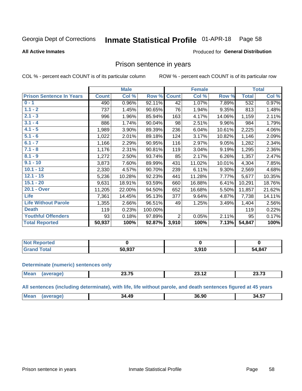#### **Inmate Statistical Profile 01-APR-18** Page 58

### **All Active Inmates**

### Produced for General Distribution

### Prison sentence in years

COL % - percent each COUNT is of its particular column

ROW % - percent each COUNT is of its particular row

|                                 |              | <b>Male</b> |         |                | <b>Female</b> |        |                  | <b>Total</b> |
|---------------------------------|--------------|-------------|---------|----------------|---------------|--------|------------------|--------------|
| <b>Prison Sentence In Years</b> | <b>Count</b> | Col %       | Row %   | <b>Count</b>   | Col %         | Row %  | <b>Total</b>     | Col %        |
| $0 - 1$                         | 490          | 0.96%       | 92.11%  | 42             | 1.07%         | 7.89%  | $\overline{532}$ | 0.97%        |
| $1.1 - 2$                       | 737          | 1.45%       | 90.65%  | 76             | 1.94%         | 9.35%  | 813              | 1.48%        |
| $2.1 - 3$                       | 996          | 1.96%       | 85.94%  | 163            | 4.17%         | 14.06% | 1,159            | 2.11%        |
| $3.1 - 4$                       | 886          | 1.74%       | 90.04%  | 98             | 2.51%         | 9.96%  | 984              | 1.79%        |
| $4.1 - 5$                       | 1,989        | 3.90%       | 89.39%  | 236            | 6.04%         | 10.61% | 2,225            | 4.06%        |
| $5.1 - 6$                       | 1,022        | 2.01%       | 89.18%  | 124            | 3.17%         | 10.82% | 1,146            | 2.09%        |
| $6.1 - 7$                       | 1,166        | 2.29%       | 90.95%  | 116            | 2.97%         | 9.05%  | 1,282            | 2.34%        |
| $7.1 - 8$                       | 1,176        | 2.31%       | 90.81%  | 119            | 3.04%         | 9.19%  | 1,295            | 2.36%        |
| $8.1 - 9$                       | 1,272        | 2.50%       | 93.74%  | 85             | 2.17%         | 6.26%  | 1,357            | 2.47%        |
| $9.1 - 10$                      | 3,873        | 7.60%       | 89.99%  | 431            | 11.02%        | 10.01% | 4,304            | 7.85%        |
| $10.1 - 12$                     | 2,330        | 4.57%       | 90.70%  | 239            | 6.11%         | 9.30%  | 2,569            | 4.68%        |
| $12.1 - 15$                     | 5,236        | 10.28%      | 92.23%  | 441            | 11.28%        | 7.77%  | 5,677            | 10.35%       |
| $15.1 - 20$                     | 9,631        | 18.91%      | 93.59%  | 660            | 16.88%        | 6.41%  | 10,291           | 18.76%       |
| 20.1 - Over                     | 11,205       | 22.00%      | 94.50%  | 652            | 16.68%        | 5.50%  | 11,857           | 21.62%       |
| <b>Life</b>                     | 7,361        | 14.45%      | 95.13%  | 377            | 9.64%         | 4.87%  | 7,738            | 14.11%       |
| <b>Life Without Parole</b>      | 1,355        | 2.66%       | 96.51%  | 49             | 1.25%         | 3.49%  | 1,404            | 2.56%        |
| <b>Death</b>                    | 119          | 0.23%       | 100.00% |                |               |        | 119              | 0.22%        |
| <b>Youthful Offenders</b>       | 93           | 0.18%       | 97.89%  | $\overline{2}$ | 0.05%         | 2.11%  | 95               | 0.17%        |
| <b>Total Reported</b>           | 50,937       | 100%        | 92.87%  | 3,910          | 100%          | 7.13%  | 54,847           | 100%         |

| <b>Reported</b><br>I NOT |        |                   |        |
|--------------------------|--------|-------------------|--------|
|                          | 50 937 | 2010<br>17<br>J.J | 54,847 |

### **Determinate (numeric) sentences only**

| <b>Mean</b><br>.-<br>0072<br>. .<br>40. IZ<br>20.IV<br>$\cdots$<br>______ |  |  |
|---------------------------------------------------------------------------|--|--|
|                                                                           |  |  |

All sentences (including determinate), with life, life without parole, and death sentences figured at 45 years

| Me: | .49<br>34. | מה מה<br>36.YL | $\overline{\phantom{a}}$<br>34.5. |
|-----|------------|----------------|-----------------------------------|
|     |            |                |                                   |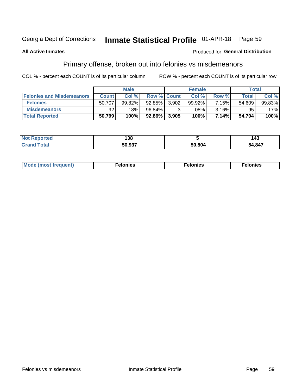#### Inmate Statistical Profile 01-APR-18 Page 59

### **All Active Inmates**

### Produced for General Distribution

## Primary offense, broken out into felonies vs misdemeanors

COL % - percent each COUNT is of its particular column

|                                  |              | <b>Male</b> |                    |       | <b>Female</b> |       | Total        |        |
|----------------------------------|--------------|-------------|--------------------|-------|---------------|-------|--------------|--------|
| <b>Felonies and Misdemeanors</b> | <b>Count</b> | Col %       | <b>Row % Count</b> |       | Col %         | Row % | <b>Total</b> | Col %  |
| <b>Felonies</b>                  | 50,707       | 99.82%      | $92.85\%$          | 3.902 | 99.92%        | 7.15% | 54,609       | 99.83% |
| <b>Misdemeanors</b>              | 92           | 18%         | 96.84%             |       | .08%          | 3.16% | 95           | .17%   |
| <b>Total Reported</b>            | 50,799       | 100%        | 92.86%             | 3,905 | 100%          | 7.14% | 54,704       | 100%   |

| ted   | A n.n<br>၊ ၁၀ |        | $\overline{\phantom{a}}$<br>43 |
|-------|---------------|--------|--------------------------------|
| ⊺ota⊾ | 50.937        | 50,804 | 54,847                         |

| M      | .    | nes | onies |
|--------|------|-----|-------|
| nuenti | ____ | .   | .     |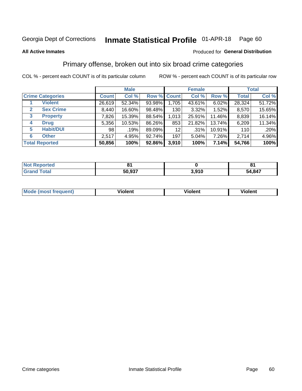#### Inmate Statistical Profile 01-APR-18 Page 60

### **All Active Inmates**

### Produced for General Distribution

## Primary offense, broken out into six broad crime categories

COL % - percent each COUNT is of its particular column

|                                 |              | <b>Male</b> |        |                 | <b>Female</b> | <b>Total</b> |              |        |
|---------------------------------|--------------|-------------|--------|-----------------|---------------|--------------|--------------|--------|
| <b>Crime Categories</b>         | <b>Count</b> | Col %       |        | Row % Count     | Col %         | Row %        | <b>Total</b> | Col %  |
| <b>Violent</b>                  | 26,619       | 52.34%      | 93.98% | 1,705           | 43.61%        | 6.02%        | 28,324       | 51.72% |
| <b>Sex Crime</b><br>2           | 8,440        | 16.60%      | 98.48% | 130             | 3.32%         | 1.52%        | 8,570        | 15.65% |
| $\mathbf{3}$<br><b>Property</b> | 7,826        | 15.39%      | 88.54% | 1,013           | 25.91%        | 11.46%       | 8,839        | 16.14% |
| <b>Drug</b><br>4                | 5,356        | 10.53%      | 86.26% | 853             | 21.82%        | 13.74%       | 6,209        | 11.34% |
| <b>Habit/DUI</b><br>5           | 98           | .19%        | 89.09% | 12 <sub>2</sub> | $.31\%$       | 10.91%       | 110          | .20%   |
| <b>Other</b><br>6               | 2,517        | 4.95%       | 92.74% | 197             | 5.04%         | 7.26%        | 2,714        | 4.96%  |
| <b>Total Reported</b>           | 50,856       | 100%        | 92.86% | 3,910           | 100%          | 7.14%        | 54,766       | 100%   |

| Reported<br>ּ הש |        |       | o      |
|------------------|--------|-------|--------|
| <b>Total</b>     | 50,937 | 3,910 | 54,847 |

| Mo<br>uent)<br>nos | .<br>/iolent | <br>Violent | - --<br><b>Tiolent</b> |
|--------------------|--------------|-------------|------------------------|
|                    |              |             |                        |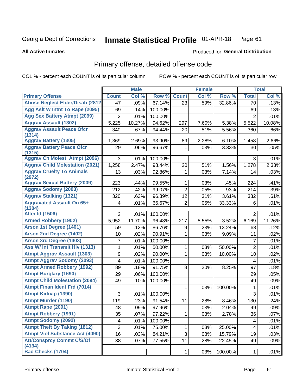#### Inmate Statistical Profile 01-APR-18 Page 61

### **All Active Inmates**

## Produced for General Distribution

## Primary offense, detailed offense code

COL % - percent each COUNT is of its particular column

|                                            |                | <b>Male</b> |         |                | <b>Female</b> |         |                | <b>Total</b> |
|--------------------------------------------|----------------|-------------|---------|----------------|---------------|---------|----------------|--------------|
| <b>Primary Offense</b>                     | <b>Count</b>   | Col %       | Row %   | <b>Count</b>   | Col %         | Row %   | <b>Total</b>   | Col %        |
| <b>Abuse Neglect Elder/Disab (2812)</b>    | 47             | .09%        | 67.14%  | 23             | .59%          | 32.86%  | 70             | .13%         |
| Agg Aslt W Intnt To Rape (2095)            | 69             | .14%        | 100.00% |                |               |         | 69             | .13%         |
| <b>Agg Sex Battery Atmpt (2099)</b>        | $\overline{2}$ | .01%        | 100.00% |                |               |         | $\overline{2}$ | .01%         |
| <b>Aggrav Assault (1302)</b>               | 5,225          | 10.27%      | 94.62%  | 297            | 7.60%         | 5.38%   | 5,522          | 10.08%       |
| <b>Aggrav Assault Peace Ofcr</b><br>(1314) | 340            | .67%        | 94.44%  | 20             | .51%          | 5.56%   | 360            | .66%         |
| <b>Aggrav Battery (1305)</b>               | 1,369          | 2.69%       | 93.90%  | 89             | 2.28%         | 6.10%   | 1,458          | 2.66%        |
| <b>Aggrav Battery Peace Ofcr</b><br>(1315) | 29             | .06%        | 96.67%  | 1              | .03%          | 3.33%   | 30             | .05%         |
| <b>Aggrav Ch Molest Atmpt (2096)</b>       | 3              | .01%        | 100.00% |                |               |         | 3              | .01%         |
| <b>Aggrav Child Molestation (2021)</b>     | 1,258          | 2.47%       | 98.44%  | 20             | .51%          | 1.56%   | 1,278          | 2.33%        |
| <b>Aggrav Cruelty To Animals</b><br>(2972) | 13             | .03%        | 92.86%  | 1              | .03%          | 7.14%   | 14             | .03%         |
| <b>Aggrav Sexual Battery (2009)</b>        | 223            | .44%        | 99.55%  | 1              | .03%          | .45%    | 224            | .41%         |
| <b>Aggrav Sodomy (2003)</b>                | 212            | .42%        | 99.07%  | $\overline{2}$ | .05%          | .93%    | 214            | .39%         |
| <b>Aggrav Stalking (1321)</b>              | 320            | .63%        | 96.39%  | 12             | .31%          | 3.61%   | 332            | .61%         |
| <b>Aggravated Assault On 65+</b><br>(1304) | $\overline{4}$ | .01%        | 66.67%  | $\overline{2}$ | .05%          | 33.33%  | 6              | .01%         |
| <b>Alter Id (1506)</b>                     | 2              | .01%        | 100.00% |                |               |         | $\overline{2}$ | .01%         |
| <b>Armed Robbery (1902)</b>                | 5,952          | 11.70%      | 96.48%  | 217            | 5.55%         | 3.52%   | 6,169          | 11.26%       |
| Arson 1st Degree (1401)                    | 59             | .12%        | 86.76%  | 9              | .23%          | 13.24%  | 68             | .12%         |
| <b>Arson 2nd Degree (1402)</b>             | 10             | .02%        | 90.91%  | 1              | .03%          | 9.09%   | 11             | .02%         |
| <b>Arson 3rd Degree (1403)</b>             | 7              | .01%        | 100.00% |                |               |         | $\overline{7}$ | .01%         |
| <b>Ass W/ Int Transmit Hiv (1313)</b>      | 1              | .01%        | 50.00%  | 1              | .03%          | 50.00%  | $\overline{2}$ | .01%         |
| <b>Atmpt Aggrav Assault (1303)</b>         | 9              | .02%        | 90.00%  | 1              | .03%          | 10.00%  | 10             | .02%         |
| <b>Atmpt Aggrav Sodomy (2093)</b>          | 4              | .01%        | 100.00% |                |               |         | $\overline{4}$ | .01%         |
| <b>Atmpt Armed Robbery (1992)</b>          | 89             | .18%        | 91.75%  | 8              | .20%          | 8.25%   | 97             | .18%         |
| <b>Atmpt Burglary (1690)</b>               | 29             | .06%        | 100.00% |                |               |         | 29             | .05%         |
| <b>Atmpt Child Molestation (2094)</b>      | 49             | .10%        | 100.00% |                |               |         | 49             | .09%         |
| <b>Atmpt Finan Ident Frd (7014)</b>        |                |             |         | 1              | .03%          | 100.00% | 1              | .01%         |
| <b>Atmpt Kidnap (1390)</b>                 | 3              | .01%        | 100.00% |                |               |         | $\overline{3}$ | .01%         |
| <b>Atmpt Murder (1190)</b>                 | 119            | .23%        | 91.54%  | 11             | .28%          | 8.46%   | 130            | .24%         |
| Atmpt Rape (2091)                          | 48             | .09%        | 97.96%  | 1              | .03%          | 2.04%   | 49             | .09%         |
| <b>Atmpt Robbery (1991)</b>                | 35             | .07%        | 97.22%  | 1              | .03%          | 2.78%   | 36             | .07%         |
| <b>Atmpt Sodomy (2092)</b>                 | 4              | .01%        | 100.00% |                |               |         | 4              | .01%         |
| <b>Atmpt Theft By Taking (1812)</b>        | 3              | .01%        | 75.00%  | 1              | .03%          | 25.00%  | 4              | .01%         |
| <b>Atmpt Viol Substance Act (4090)</b>     | 16             | .03%        | 84.21%  | 3              | .08%          | 15.79%  | 19             | .03%         |
| <b>Att/Consprcy Commt C/S/Of</b><br>(4134) | 38             | .07%        | 77.55%  | 11             | .28%          | 22.45%  | 49             | .09%         |
| <b>Bad Checks (1704)</b>                   |                |             |         | 1              | .03%          | 100.00% | $\mathbf{1}$   | .01%         |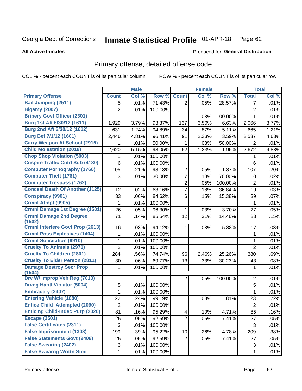#### Inmate Statistical Profile 01-APR-18 Page 62

### **All Active Inmates**

### Produced for General Distribution

## Primary offense, detailed offense code

COL % - percent each COUNT is of its particular column

|                                           |                | <b>Male</b> |         |                 | <b>Female</b> |         |                | <b>Total</b> |
|-------------------------------------------|----------------|-------------|---------|-----------------|---------------|---------|----------------|--------------|
| <b>Primary Offense</b>                    | <b>Count</b>   | Col %       | Row %   | <b>Count</b>    | Col %         | Row %   | <b>Total</b>   | Col %        |
| <b>Bail Jumping (2511)</b>                | 5              | .01%        | 71.43%  | $\overline{2}$  | .05%          | 28.57%  | 7              | .01%         |
| <b>Bigamy (2007)</b>                      | $\overline{2}$ | .01%        | 100.00% |                 |               |         | $\overline{c}$ | .01%         |
| <b>Bribery Govt Officer (2301)</b>        |                |             |         | 1               | .03%          | 100.00% | 1              | .01%         |
| Burg 1st Aft 6/30/12 (1611)               | 1,929          | 3.79%       | 93.37%  | 137             | 3.50%         | 6.63%   | 2,066          | 3.77%        |
| Burg 2nd Aft 6/30/12 (1612)               | 631            | 1.24%       | 94.89%  | 34              | .87%          | 5.11%   | 665            | 1.21%        |
| Burg Bef 7/1/12 (1601)                    | 2,446          | 4.81%       | 96.41%  | 91              | 2.33%         | 3.59%   | 2,537          | 4.63%        |
| <b>Carry Weapon At School (2915)</b>      | 1              | .01%        | 50.00%  | 1               | .03%          | 50.00%  | 2              | .01%         |
| <b>Child Molestation (2019)</b>           | 2,620          | 5.15%       | 98.05%  | 52              | 1.33%         | 1.95%   | 2,672          | 4.88%        |
| <b>Chop Shop Violation (5003)</b>         | 1              | .01%        | 100.00% |                 |               |         | 1              | .01%         |
| <b>Cnspire Traffic Cntrl Sub (4130)</b>   | 6              | .01%        | 100.00% |                 |               |         | 6              | .01%         |
| <b>Computer Pornography (1760)</b>        | 105            | .21%        | 98.13%  | $\overline{2}$  | .05%          | 1.87%   | 107            | .20%         |
| <b>Computer Theft (1761)</b>              | 3              | .01%        | 30.00%  | 7               | .18%          | 70.00%  | 10             | .02%         |
| <b>Computer Trespass (1762)</b>           |                |             |         | $\overline{2}$  | .05%          | 100.00% | $\overline{2}$ | .01%         |
| <b>Conceal Death Of Another (1125)</b>    | 12             | .02%        | 63.16%  | 7               | .18%          | 36.84%  | 19             | .03%         |
| <b>Conspiracy (9901)</b>                  | 33             | .06%        | 84.62%  | 6               | .15%          | 15.38%  | 39             | .07%         |
| Crmnl Atmpt (9905)                        | 1              | .01%        | 100.00% |                 |               |         | 1              | .01%         |
| Crmnl Damage 1st Degree (1501)            | 26             | .05%        | 96.30%  | 1               | .03%          | 3.70%   | 27             | .05%         |
| <b>Crmnl Damage 2nd Degree</b><br>(1502)  | 71             | .14%        | 85.54%  | 12              | .31%          | 14.46%  | 83             | .15%         |
| <b>Crmnl Interfere Govt Prop (2613)</b>   | 16             | .03%        | 94.12%  | 1               | .03%          | 5.88%   | 17             | .03%         |
| <b>Crmnl Poss Explosives (1404)</b>       | 1              | .01%        | 100.00% |                 |               |         | 1              | .01%         |
| <b>Crmnl Solicitation (9910)</b>          | 1              | .01%        | 100.00% |                 |               |         | 1              | .01%         |
| <b>Cruelty To Animals (2971)</b>          | $\overline{2}$ | .01%        | 100.00% |                 |               |         | $\overline{2}$ | .01%         |
| <b>Cruelty To Children (2801)</b>         | 284            | .56%        | 74.74%  | 96              | 2.46%         | 25.26%  | 380            | .69%         |
| <b>Cruelty To Elder Person (2811)</b>     | 30             | .06%        | 69.77%  | 13              | .33%          | 30.23%  | 43             | .08%         |
| <b>Damage Destroy Secr Prop</b><br>(1504) | 1              | .01%        | 100.00% |                 |               |         | $\mathbf 1$    | .01%         |
| Drv W/ Improp Veh Reg (7013)              |                |             |         | $\overline{2}$  | .05%          | 100.00% | $\mathbf 2$    | .01%         |
| <b>Drvng Habtl Violator (5004)</b>        | 5              | .01%        | 100.00% |                 |               |         | 5              | .01%         |
| <b>Embracery (2407)</b>                   | $\mathbf{1}$   | .01%        | 100.00% |                 |               |         | $\mathbf{1}$   | .01%         |
| <b>Entering Vehicle (1880)</b>            | 122            | .24%        | 99.19%  | 1               | .03%          | .81%    | 123            | .22%         |
| <b>Entice Child Attempted (2090)</b>      | $\overline{2}$ | .01%        | 100.00% |                 |               |         | $\overline{2}$ | .01%         |
| <b>Enticing Child-Indec Purp (2020)</b>   | 81             | .16%        | 95.29%  | 4               | .10%          | 4.71%   | 85             | .16%         |
| <b>Escape (2501)</b>                      | 25             | .05%        | 92.59%  | $\overline{2}$  | .05%          | 7.41%   | 27             | .05%         |
| <b>False Certificates (2311)</b>          | $\sqrt{3}$     | .01%        | 100.00% |                 |               |         | 3              | .01%         |
| <b>False Imprisonment (1308)</b>          | 199            | .39%        | 95.22%  | 10 <sub>1</sub> | .26%          | 4.78%   | 209            | .38%         |
| <b>False Statements Govt (2408)</b>       | 25             | .05%        | 92.59%  | 2 <sup>1</sup>  | .05%          | 7.41%   | 27             | .05%         |
| <b>False Swearing (2402)</b>              | 3              | .01%        | 100.00% |                 |               |         | 3              | .01%         |
| <b>False Swearng Writtn Stmt</b>          | 1              | .01%        | 100.00% |                 |               |         | $\mathbf 1$    | .01%         |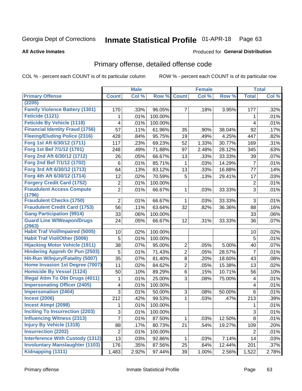#### Inmate Statistical Profile 01-APR-18 Page 63

### **All Active Inmates**

### Produced for General Distribution

## Primary offense, detailed offense code

COL % - percent each COUNT is of its particular column

|                                            |                | <b>Male</b> |         |                | <b>Female</b> |        |                | <b>Total</b> |
|--------------------------------------------|----------------|-------------|---------|----------------|---------------|--------|----------------|--------------|
| <b>Primary Offense</b>                     | <b>Count</b>   | Col %       | Row %   | <b>Count</b>   | Col %         | Row %  | <b>Total</b>   | Col %        |
| (2205)                                     |                |             |         |                |               |        |                |              |
| <b>Family Violence Battery (1301)</b>      | 170            | .33%        | 96.05%  | $\overline{7}$ | .18%          | 3.95%  | 177            | .32%         |
| Feticide (1121)                            | 1              | .01%        | 100.00% |                |               |        | 1              | .01%         |
| <b>Feticide By Vehicle (1118)</b>          | 4              | .01%        | 100.00% |                |               |        | 4              | .01%         |
| <b>Financial Identity Fraud (1756)</b>     | 57             | .11%        | 61.96%  | 35             | .90%          | 38.04% | 92             | .17%         |
| <b>Fleeing/Eluding Police (2316)</b>       | 428            | .84%        | 95.75%  | 19             | .49%          | 4.25%  | 447            | .82%         |
| Forg 1st Aft 6/30/12 (1711)                | 117            | .23%        | 69.23%  | 52             | 1.33%         | 30.77% | 169            | .31%         |
| Forg 1st Bef 7/1/12 (1701)                 | 248            | .49%        | 71.88%  | 97             | 2.48%         | 28.12% | 345            | .63%         |
| Forg 2nd Aft 6/30/12 (1712)                | 26             | .05%        | 66.67%  | 13             | .33%          | 33.33% | 39             | .07%         |
| Forg 2nd Bef 7/1/12 (1702)                 | 6              | .01%        | 85.71%  | $\mathbf{1}$   | .03%          | 14.29% | $\overline{7}$ | .01%         |
| Forg 3rd Aft 6/30/12 (1713)                | 64             | .13%        | 83.12%  | 13             | .33%          | 16.88% | 77             | .14%         |
| Forg 4th Aft 6/30/12 (1714)                | 12             | .02%        | 70.59%  | 5              | .13%          | 29.41% | 17             | .03%         |
| <b>Forgery Credit Card (1752)</b>          | $\overline{2}$ | .01%        | 100.00% |                |               |        | $\overline{2}$ | .01%         |
| <b>Fraudulent Access Compute</b><br>(1796) | $\overline{2}$ | .01%        | 66.67%  | $\mathbf 1$    | .03%          | 33.33% | 3              | .01%         |
| <b>Fraudulent Checks (1750)</b>            | 2              | .01%        | 66.67%  | $\mathbf{1}$   | .03%          | 33.33% | 3              | .01%         |
| <b>Fraudulent Credit Card (1753)</b>       | 56             | .11%        | 63.64%  | 32             | .82%          | 36.36% | 88             | .16%         |
| <b>Gang Participation (9914)</b>           | 33             | .06%        | 100.00% |                |               |        | 33             | .06%         |
| <b>Guard Line W/Weapon/Drugs</b>           | 24             | .05%        | 66.67%  | 12             | .31%          | 33.33% | 36             | .07%         |
| (2963)                                     |                |             |         |                |               |        |                |              |
| <b>Habit Traf Viol/Impaired (5005)</b>     | 10             | .02%        | 100.00% |                |               |        | 10             | .02%         |
| <b>Habit Traf Viol/Other (5006)</b>        | 5              | .01%        | 100.00% |                |               |        | 5              | .01%         |
| <b>Hijacking Motor Vehicle (1911)</b>      | 38             | .07%        | 95.00%  | $\overline{2}$ | .05%          | 5.00%  | 40             | .07%         |
| <b>Hindering Appreh Or Pun (2503)</b>      | 5              | .01%        | 71.43%  | $\overline{2}$ | .05%          | 28.57% | $\overline{7}$ | .01%         |
| Hit-Run W/Injury/Fatality (5007)           | 35             | .07%        | 81.40%  | 8              | .20%          | 18.60% | 43             | .08%         |
| Home Invasion 1st Degree (7007)            | 11             | .02%        | 84.62%  | $\overline{2}$ | .05%          | 15.38% | 13             | .02%         |
| <b>Homicide By Vessel (1124)</b>           | 50             | .10%        | 89.29%  | $6\phantom{a}$ | .15%          | 10.71% | 56             | .10%         |
| <b>Illegal Attm To Obt Drugs (4011)</b>    | 1              | .01%        | 25.00%  | 3              | .08%          | 75.00% | 4              | .01%         |
| <b>Impersonating Officer (2405)</b>        | 4              | .01%        | 100.00% |                |               |        | 4              | .01%         |
| <b>Impersonation (2404)</b>                | 3              | .01%        | 50.00%  | 3              | .08%          | 50.00% | 6              | .01%         |
| <b>Incest (2006)</b>                       | 212            | .42%        | 99.53%  | $\mathbf{1}$   | .03%          | .47%   | 213            | .39%         |
| <b>Incest Atmpt (2098)</b>                 | 1              | .01%        | 100.00% |                |               |        | 1              | .01%         |
| <b>Inciting To Insurrection (2203)</b>     | 3              | .01%        | 100.00% |                |               |        | 3              | .01%         |
| <b>Influencing Witness (2313)</b>          | 7              | .01%        | 87.50%  | 1.             | .03%          | 12.50% | 8              | .01%         |
| <b>Injury By Vehicle (1318)</b>            | 88             | .17%        | 80.73%  | 21             | .54%          | 19.27% | 109            | .20%         |
| <b>Insurrection (2202)</b>                 | 2              | .01%        | 100.00% |                |               |        | $\overline{2}$ | .01%         |
| <b>Interference With Custody (1312)</b>    | 13             | .03%        | 92.86%  | 1.             | .03%          | 7.14%  | 14             | .03%         |
| <b>Involuntary Manslaughter (1103)</b>     | 176            | .35%        | 87.56%  | 25             | .64%          | 12.44% | 201            | .37%         |
| Kidnapping (1311)                          | 1,483          | 2.92%       | 97.44%  | 39             | 1.00%         | 2.56%  | 1,522          | 2.78%        |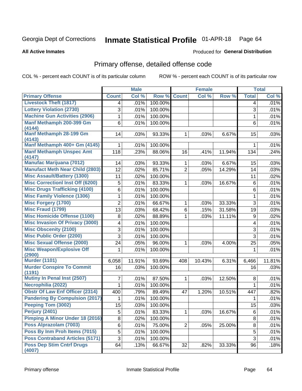#### Inmate Statistical Profile 01-APR-18 Page 64

**All Active Inmates** 

### **Produced for General Distribution**

## Primary offense, detailed offense code

COL % - percent each COUNT is of its particular column

|                                            |                         | <b>Male</b> |         |                | <b>Female</b> |        |              | <b>Total</b> |
|--------------------------------------------|-------------------------|-------------|---------|----------------|---------------|--------|--------------|--------------|
| <b>Primary Offense</b>                     | <b>Count</b>            | Col %       | Row %   | <b>Count</b>   | Col %         | Row %  | <b>Total</b> | Col %        |
| <b>Livestock Theft (1817)</b>              | 4                       | .01%        | 100.00% |                |               |        | 4            | .01%         |
| <b>Lottery Violation (2730)</b>            | 3                       | .01%        | 100.00% |                |               |        | 3            | .01%         |
| <b>Machine Gun Activities (2906)</b>       | $\mathbf 1$             | .01%        | 100.00% |                |               |        | $\mathbf{1}$ | .01%         |
| Manf Methamph 200-399 Gm                   | 6                       | .01%        | 100.00% |                |               |        | 6            | .01%         |
| (4144)                                     |                         |             |         |                |               |        |              |              |
| Manf Methamph 28-199 Gm<br>(4143)          | 14                      | .03%        | 93.33%  | 1              | .03%          | 6.67%  | 15           | .03%         |
| Manf Methamph 400+ Gm (4145)               | $\mathbf{1}$            | .01%        | 100.00% |                |               |        | $\mathbf 1$  | .01%         |
| <b>Manf Methamph Unspec Amt</b>            | 118                     | .23%        | 88.06%  | 16             | .41%          | 11.94% | 134          | .24%         |
| (4147)                                     |                         |             |         |                |               |        |              |              |
| <b>Manufac Marijuana (7012)</b>            | 14                      | .03%        | 93.33%  | $\mathbf 1$    | .03%          | 6.67%  | 15           | .03%         |
| <b>Manufact Meth Near Child (2803)</b>     | 12                      | .02%        | 85.71%  | $\overline{2}$ | .05%          | 14.29% | 14           | .03%         |
| <b>Misc Assault/Battery (1300)</b>         | 11                      | .02%        | 100.00% |                |               |        | 11           | .02%         |
| <b>Misc Correctionl Inst Off (6200)</b>    | 5                       | .01%        | 83.33%  | 1              | .03%          | 16.67% | 6            | .01%         |
| <b>Misc Drugs Trafficking (4100)</b>       | $\overline{6}$          | .01%        | 100.00% |                |               |        | 6            | .01%         |
| <b>Misc Family Violence (1306)</b>         | 1                       | .01%        | 100.00% |                |               |        | $\mathbf{1}$ | .01%         |
| <b>Misc Forgery (1700)</b>                 | $\overline{2}$          | .01%        | 66.67%  | 1              | .03%          | 33.33% | 3            | .01%         |
| <b>Misc Fraud (1799)</b>                   | 13                      | .03%        | 68.42%  | 6              | .15%          | 31.58% | 19           | .03%         |
| <b>Misc Homicide Offense (1100)</b>        | 8                       | .02%        | 88.89%  | 1              | .03%          | 11.11% | 9            | .02%         |
| <b>Misc Invasion Of Privacy (3000)</b>     | $\overline{\mathbf{4}}$ | .01%        | 100.00% |                |               |        | 4            | .01%         |
| <b>Misc Obscenity (2100)</b>               | $\overline{3}$          | .01%        | 100.00% |                |               |        | 3            | .01%         |
| <b>Misc Public Order (2200)</b>            | $\overline{3}$          | .01%        | 100.00% |                |               |        | 3            | .01%         |
| <b>Misc Sexual Offense (2000)</b>          | 24                      | .05%        | 96.00%  | 1              | .03%          | 4.00%  | 25           | .05%         |
| <b>Misc Weapon/Explosive Off</b>           | 1                       | .01%        | 100.00% |                |               |        | 1            | .01%         |
| (2900)                                     |                         |             |         |                |               |        |              |              |
| <b>Murder (1101)</b>                       | 6,058                   | 11.91%      | 93.69%  | 408            | 10.43%        | 6.31%  | 6,466        | 11.81%       |
| <b>Murder Conspire To Commit</b><br>(1191) | 16                      | .03%        | 100.00% |                |               |        | 16           | .03%         |
| <b>Mutiny In Penal Inst (2507)</b>         | 7                       | .01%        | 87.50%  | $\mathbf{1}$   | .03%          | 12.50% | 8            | .01%         |
| Necrophilia (2022)                         | $\mathbf 1$             | .01%        | 100.00% |                |               |        | $\mathbf{1}$ | .01%         |
| <b>Obstr Of Law Enf Officer (2314)</b>     | 400                     | .79%        | 89.49%  | 47             | 1.20%         | 10.51% | 447          | .82%         |
| <b>Pandering By Compulsion (2017)</b>      | 1                       | .01%        | 100.00% |                |               |        | 1            | .01%         |
| Peeping Tom (3002)                         | 15                      | .03%        | 100.00% |                |               |        | 15           | .03%         |
| Perjury (2401)                             | 5                       | .01%        | 83.33%  | 1              | .03%          | 16.67% | 6            | .01%         |
| <b>Pimping A Minor Under 18 (2016)</b>     | 8                       | .02%        | 100.00% |                |               |        | 8            | .01%         |
| Poss Alprazolam (7003)                     | 6                       | .01%        | 75.00%  | $\overline{2}$ | .05%          | 25.00% | 8            | .01%         |
| Poss By Inm Proh Items (7015)              | 5                       | .01%        | 100.00% |                |               |        | 5            | .01%         |
| <b>Poss Contraband Articles (5171)</b>     | $\overline{3}$          | .01%        | 100.00% |                |               |        | 3            | .01%         |
| <b>Poss Dep Stim Cntrf Drugs</b>           | 64                      | .13%        | 66.67%  | 32             | .82%          | 33.33% | 96           | .18%         |
| (4007)                                     |                         |             |         |                |               |        |              |              |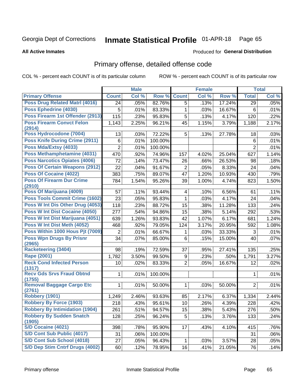#### Inmate Statistical Profile 01-APR-18 Page 65

### **All Active Inmates**

### **Produced for General Distribution**

## Primary offense, detailed offense code

COL % - percent each COUNT is of its particular column

|                                            |                | <b>Male</b> |         |                         | <b>Female</b> |        |                | <b>Total</b> |
|--------------------------------------------|----------------|-------------|---------|-------------------------|---------------|--------|----------------|--------------|
| <b>Primary Offense</b>                     | <b>Count</b>   | Col %       | Row %   | <b>Count</b>            | Col %         | Row %  | <b>Total</b>   | Col %        |
| <b>Poss Drug Related Matri (4016)</b>      | 24             | .05%        | 82.76%  | 5                       | .13%          | 17.24% | 29             | .05%         |
| Poss Ephedrine (4030)                      | 5              | .01%        | 83.33%  | 1                       | .03%          | 16.67% | 6              | .01%         |
| Poss Firearm 1st Offender (2913)           | 115            | .23%        | 95.83%  | 5                       | .13%          | 4.17%  | 120            | .22%         |
| <b>Poss Firearm Convct Felon</b>           | 1,143          | 2.25%       | 96.21%  | 45                      | 1.15%         | 3.79%  | 1,188          | 2.17%        |
| (2914)                                     |                |             |         |                         |               |        |                |              |
| Poss Hydrocodone (7004)                    | 13             | .03%        | 72.22%  | 5                       | .13%          | 27.78% | 18             | .03%         |
| <b>Poss Knife During Crime (2911)</b>      | 6              | .01%        | 100.00% |                         |               |        | 6              | .01%         |
| Poss Mda/Extsy (4033)                      | $\overline{2}$ | .01%        | 100.00% |                         |               |        | $\overline{2}$ | .01%         |
| Poss Methamphetamine (4031)                | 470            | .92%        | 74.96%  | 157                     | 4.02%         | 25.04% | 627            | 1.14%        |
| <b>Poss Narcotics Opiates (4006)</b>       | 72             | .14%        | 73.47%  | 26                      | .66%          | 26.53% | 98             | .18%         |
| <b>Poss Of Certain Weapons (2912)</b>      | 22             | .04%        | 91.67%  | $\overline{2}$          | .05%          | 8.33%  | 24             | .04%         |
| Poss Of Cocaine (4022)                     | 383            | .75%        | 89.07%  | 47                      | 1.20%         | 10.93% | 430            | .79%         |
| <b>Poss Of Firearm Dur Crime</b><br>(2910) | 784            | 1.54%       | 95.26%  | 39                      | 1.00%         | 4.74%  | 823            | 1.50%        |
| Poss Of Marijuana (4009)                   | 57             | .11%        | 93.44%  | $\overline{\mathbf{4}}$ | .10%          | 6.56%  | 61             | .11%         |
| <b>Poss Tools Commit Crime (1602)</b>      | 23             | .05%        | 95.83%  | 1                       | .03%          | 4.17%  | 24             | .04%         |
| Poss W Int Dis Other Drug (4053)           | 118            | .23%        | 88.72%  | 15                      | .38%          | 11.28% | 133            | .24%         |
| <b>Poss W Int Dist Cocaine (4050)</b>      | 277            | .54%        | 94.86%  | 15                      | .38%          | 5.14%  | 292            | .53%         |
| Poss W Int Dist Marijuana (4051)           | 639            | 1.26%       | 93.83%  | 42                      | 1.07%         | 6.17%  | 681            | 1.24%        |
| Poss W Int Dist Meth (4052)                | 468            | .92%        | 79.05%  | 124                     | 3.17%         | 20.95% | 592            | 1.08%        |
| Poss Within 1000 Hous Pjt (7009)           | $\overline{2}$ | .01%        | 66.67%  | 1                       | .03%          | 33.33% | 3              | .01%         |
| <b>Poss Wpn Drugs By Prisnr</b>            | 34             | .07%        | 85.00%  | 6                       | .15%          | 15.00% | 40             | .07%         |
| (2965)                                     |                |             |         |                         |               |        |                |              |
| <b>Racketeering (3404)</b>                 | 98             | .19%        | 72.59%  | 37                      | .95%          | 27.41% | 135            | .25%         |
| <b>Rape (2001)</b>                         | 1,782          | 3.50%       | 99.50%  | 9                       | .23%          | .50%   | 1,791          | 3.27%        |
| <b>Reck Cond Infected Person</b><br>(1317) | 10             | .02%        | 83.33%  | $\overline{2}$          | .05%          | 16.67% | 12             | .02%         |
| <b>Recv Gds Srvs Fraud Obtnd</b>           | 1              | .01%        | 100.00% |                         |               |        | 1              | .01%         |
| (1755)                                     |                |             |         |                         |               |        |                |              |
| <b>Removal Baggage Cargo Etc</b>           | 1              | .01%        | 50.00%  | 1                       | .03%          | 50.00% | $\overline{2}$ | .01%         |
| (2761)<br><b>Robbery (1901)</b>            | 1,249          | 2.46%       | 93.63%  | 85                      | 2.17%         | 6.37%  | 1,334          | 2.44%        |
| <b>Robbery By Force (1903)</b>             | 218            | .43%        | 95.61%  | 10                      | .26%          | 4.39%  | 228            | .42%         |
| <b>Robbery By Intimidation (1904)</b>      | 261            | .51%        | 94.57%  | 15                      | .38%          | 5.43%  | 276            | .50%         |
| <b>Robbery By Sudden Snatch</b>            | 128            | .25%        | 96.24%  | 5                       | .13%          | 3.76%  | 133            | .24%         |
| (1905)                                     |                |             |         |                         |               |        |                |              |
| S/D Cocaine (4021)                         | 398            | .78%        | 95.90%  | 17                      | .43%          | 4.10%  | 415            | .76%         |
| S/D Cont Sub Public (4017)                 | 31             | .06%        | 100.00% |                         |               |        | 31             | .06%         |
| S/D Cont Sub School (4018)                 | 27             | .05%        | 96.43%  | 1                       | .03%          | 3.57%  | 28             | .05%         |
| S/D Dep Stim Cntrf Drugs (4002)            | 60             | .12%        | 78.95%  | 16                      | .41%          | 21.05% | 76             | .14%         |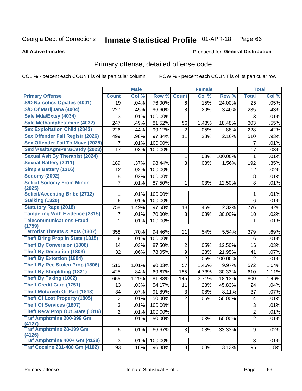#### Inmate Statistical Profile 01-APR-18 Page 66

### **All Active Inmates**

### Produced for General Distribution

## Primary offense, detailed offense code

COL % - percent each COUNT is of its particular column

|                                            |                | <b>Male</b> |         |                | <b>Female</b> |         |                | <b>Total</b> |
|--------------------------------------------|----------------|-------------|---------|----------------|---------------|---------|----------------|--------------|
| <b>Primary Offense</b>                     | <b>Count</b>   | Col %       | Row %   | <b>Count</b>   | Col %         | Row %   | <b>Total</b>   | Col %        |
| <b>S/D Narcotics Opiates (4001)</b>        | 19             | .04%        | 76.00%  | 6              | .15%          | 24.00%  | 25             | .05%         |
| S/D Of Marijuana (4004)                    | 227            | .45%        | 96.60%  | 8              | .20%          | 3.40%   | 235            | .43%         |
| Sale Mda/Extsy (4034)                      | 3              | .01%        | 100.00% |                |               |         | 3              | .01%         |
| Sale Methamphetamine (4032)                | 247            | .49%        | 81.52%  | 56             | 1.43%         | 18.48%  | 303            | .55%         |
| <b>Sex Exploitation Child (2843)</b>       | 226            | .44%        | 99.12%  | $\overline{2}$ | .05%          | .88%    | 228            | .42%         |
| <b>Sex Offender Fail Registr (2026)</b>    | 499            | .98%        | 97.84%  | 11             | .28%          | 2.16%   | 510            | .93%         |
| <b>Sex Offender Fail To Move (2028)</b>    | 7              | .01%        | 100.00% |                |               |         | 7              | .01%         |
| Sexl/Asslt/Agn/Pers/Cstdy (2023)           | 17             | .03%        | 100.00% |                |               |         | 17             | .03%         |
| <b>Sexual Aslt By Therapist (2024)</b>     |                |             |         | 1              | .03%          | 100.00% | $\mathbf{1}$   | .01%         |
| <b>Sexual Battery (2011)</b>               | 189            | .37%        | 98.44%  | 3              | .08%          | 1.56%   | 192            | .35%         |
| <b>Simple Battery (1316)</b>               | 12             | .02%        | 100.00% |                |               |         | 12             | .02%         |
| <b>Sodomy (2002)</b>                       | 8              | .02%        | 100.00% |                |               |         | 8              | .01%         |
| <b>Solicit Sodomy From Minor</b><br>(2025) | 7              | .01%        | 87.50%  | 1              | .03%          | 12.50%  | 8              | .01%         |
| <b>Solicit/Accepting Bribe (2712)</b>      | 1              | .01%        | 100.00% |                |               |         | 1              | .01%         |
| <b>Stalking (1320)</b>                     | 6              | .01%        | 100.00% |                |               |         | $6\phantom{1}$ | .01%         |
| <b>Statutory Rape (2018)</b>               | 758            | 1.49%       | 97.68%  | 18             | .46%          | 2.32%   | 776            | 1.42%        |
| <b>Tampering With Evidence (2315)</b>      | 7              | .01%        | 70.00%  | 3              | .08%          | 30.00%  | 10             | .02%         |
| <b>Telecommunications Fraud</b><br>(1759)  | 1              | .01%        | 100.00% |                |               |         | $\mathbf{1}$   | .01%         |
| <b>Terrorist Threats &amp; Acts (1307)</b> | 358            | .70%        | 94.46%  | 21             | .54%          | 5.54%   | 379            | .69%         |
| <b>Theft Bring Prop In State (1815)</b>    | 6              | .01%        | 100.00% |                |               |         | 6              | .01%         |
| <b>Theft By Conversion (1808)</b>          | 14             | .03%        | 87.50%  | $\overline{2}$ | .05%          | 12.50%  | 16             | .03%         |
| <b>Theft By Deception (1803)</b>           | 32             | .06%        | 78.05%  | 9              | .23%          | 21.95%  | 41             | .07%         |
| <b>Theft By Extortion (1804)</b>           |                |             |         | $\overline{2}$ | .05%          | 100.00% | $\overline{2}$ | .01%         |
| <b>Theft By Rec Stolen Prop (1806)</b>     | 515            | 1.01%       | 90.03%  | 57             | 1.46%         | 9.97%   | 572            | 1.04%        |
| <b>Theft By Shoplifting (1821)</b>         | 425            | .84%        | 69.67%  | 185            | 4.73%         | 30.33%  | 610            | 1.11%        |
| <b>Theft By Taking (1802)</b>              | 655            | 1.29%       | 81.88%  | 145            | 3.71%         | 18.13%  | 800            | 1.46%        |
| <b>Theft Credit Card (1751)</b>            | 13             | .03%        | 54.17%  | 11             | .28%          | 45.83%  | 24             | .04%         |
| <b>Theft Motorveh Or Part (1813)</b>       | 34             | .07%        | 91.89%  | 3              | .08%          | 8.11%   | 37             | .07%         |
| <b>Theft Of Lost Property (1805)</b>       | $\overline{c}$ | .01%        | 50.00%  | $\overline{2}$ | .05%          | 50.00%  | 4              | .01%         |
| <b>Theft Of Services (1807)</b>            | 3              | .01%        | 100.00% |                |               |         | $\overline{3}$ | .01%         |
| <b>Theft Recv Prop Out State (1816)</b>    | $\overline{2}$ | .01%        | 100.00% |                |               |         | $\overline{2}$ | .01%         |
| <b>Traf Amphtmine 200-399 Gm</b>           | 1              | .01%        | 50.00%  | 1              | .03%          | 50.00%  | $\overline{2}$ | .01%         |
| (4127)                                     |                |             |         |                |               |         |                |              |
| <b>Traf Amphtmine 28-199 Gm</b>            | 6              | .01%        | 66.67%  | 3              | .08%          | 33.33%  | 9              | .02%         |
| (4126)<br>Traf Amphtmine 400+ Gm (4128)    | 3              | .01%        | 100.00% |                |               |         | $\mathbf{3}$   | .01%         |
| <b>Traf Cocaine 201-400 Gm (4102)</b>      | 93             | .18%        | 96.88%  | 3 <sup>1</sup> | .08%          | 3.13%   | 96             | .18%         |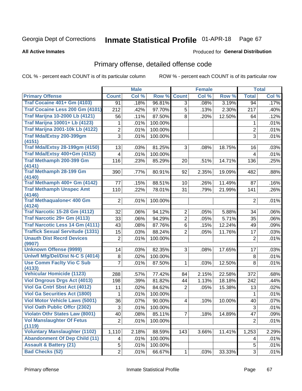#### Inmate Statistical Profile 01-APR-18 Page 67

**All Active Inmates** 

### Produced for General Distribution

## Primary offense, detailed offense code

COL % - percent each COUNT is of its particular column

|                                                |                | <b>Male</b> |         |                 | <b>Female</b> |        |                | <b>Total</b> |
|------------------------------------------------|----------------|-------------|---------|-----------------|---------------|--------|----------------|--------------|
| <b>Primary Offense</b>                         | <b>Count</b>   | Col %       | Row %   | <b>Count</b>    | Col %         | Row %  | <b>Total</b>   | Col %        |
| <b>Traf Cocaine 401+ Gm (4103)</b>             | 91             | .18%        | 96.81%  | 3               | .08%          | 3.19%  | 94             | .17%         |
| Traf Cocaine Less 200 Gm (4101)                | 212            | .42%        | 97.70%  | 5               | .13%          | 2.30%  | 217            | .40%         |
| <b>Traf Marijna 10-2000 Lb (4121)</b>          | 56             | .11%        | 87.50%  | 8               | .20%          | 12.50% | 64             | .12%         |
| <b>Traf Marijna 10001+ Lb (4123)</b>           | 1              | .01%        | 100.00% |                 |               |        | 1              | .01%         |
| <b>Traf Marijna 2001-10k Lb (4122)</b>         | $\overline{2}$ | .01%        | 100.00% |                 |               |        | $\overline{2}$ | .01%         |
| Traf Mda/Extsy 200-399gm                       | 3              | .01%        | 100.00% |                 |               |        | 3              | .01%         |
| (4151)                                         |                |             |         |                 |               |        |                |              |
| <b>Traf Mda/Extsy 28-199gm (4150)</b>          | 13             | .03%        | 81.25%  | 3               | .08%          | 18.75% | 16             | .03%         |
| Traf Mda/Extsy 400+Gm (4152)                   | 4              | .01%        | 100.00% |                 |               |        | $\overline{4}$ | .01%         |
| Traf Methamph 200-399 Gm<br>(4141)             | 116            | .23%        | 85.29%  | 20              | .51%          | 14.71% | 136            | .25%         |
| <b>Traf Methamph 28-199 Gm</b>                 | 390            | .77%        | 80.91%  | 92              | 2.35%         | 19.09% | 482            | .88%         |
| (4140)                                         |                |             |         |                 |               |        |                |              |
| Traf Methamph 400+ Gm (4142)                   | 77             | .15%        | 88.51%  | 10 <sup>°</sup> | .26%          | 11.49% | 87             | .16%         |
| <b>Traf Methamph Unspec Amt</b><br>(4146)      | 110            | .22%        | 78.01%  | 31              | .79%          | 21.99% | 141            | .26%         |
| <b>Traf Methaqualone&lt; 400 Gm</b>            | $\overline{2}$ | .01%        | 100.00% |                 |               |        | $\overline{2}$ | .01%         |
| (4124)<br><b>Traf Narcotic 15-28 Gm (4112)</b> | 32             | .06%        | 94.12%  | $\overline{2}$  | .05%          | 5.88%  | 34             | .06%         |
| Traf Narcotic 29+ Gm (4113)                    | 33             | .06%        | 94.29%  | $\overline{2}$  | .05%          | 5.71%  | 35             | .06%         |
| Traf Narcotic Less 14 Gm (4111)                | 43             | .08%        | 87.76%  | 6               | .15%          | 12.24% | 49             | .09%         |
| <b>Traffick Sexual Servitude (1331)</b>        | 15             | .03%        | 88.24%  | $\overline{2}$  | .05%          | 11.76% | 17             | .03%         |
| <b>Unauth Dist Recrd Devices</b>               | $\overline{2}$ | .01%        | 100.00% |                 |               |        | $\overline{2}$ | .01%         |
| (9907)                                         |                |             |         |                 |               |        |                |              |
| <b>Unknown Offense (9999)</b>                  | 14             | .03%        | 82.35%  | 3               | .08%          | 17.65% | 17             | .03%         |
| Uniwfl Mfg/Del/Dist N-C S (4014)               | 8              | .02%        | 100.00% |                 |               |        | 8              | .01%         |
| <b>Use Comm Facity Vio C Sub</b><br>(4133)     | 7              | .01%        | 87.50%  | 1               | .03%          | 12.50% | 8              | .01%         |
| <b>Vehicular Homicide (1123)</b>               | 288            | .57%        | 77.42%  | 84              | 2.15%         | 22.58% | 372            | .68%         |
| <b>Viol Dngrous Drgs Act (4013)</b>            | 198            | .39%        | 81.82%  | 44              | 1.13%         | 18.18% | 242            | .44%         |
| Viol Ga Cntrl Sbst Act (4012)                  | 11             | .02%        | 84.62%  | $\overline{2}$  | .05%          | 15.38% | 13             | .02%         |
| <b>Viol Ga Securities Act (1800)</b>           | 1              | .01%        | 100.00% |                 |               |        | 1              | .01%         |
| <b>Viol Motor Vehicle Laws (5001)</b>          | 36             | .07%        | 90.00%  | 4               | .10%          | 10.00% | 40             | .07%         |
| <b>Viol Oath Public Offcr (2302)</b>           | 3              | .01%        | 100.00% |                 |               |        | $\overline{3}$ | .01%         |
| <b>Violatn Othr States Law (8001)</b>          | 40             | .08%        | 85.11%  | $\overline{7}$  | .18%          | 14.89% | 47             | .09%         |
| <b>Vol Manslaughter Of Fetus</b><br>(1119)     | $\overline{2}$ | .01%        | 100.00% |                 |               |        | $\overline{2}$ | .01%         |
| <b>Voluntary Manslaughter (1102)</b>           | 1,110          | 2.18%       | 88.59%  | 143             | 3.66%         | 11.41% | 1,253          | 2.29%        |
| <b>Abandonment Of Dep Child (11)</b>           | 4              | .01%        | 100.00% |                 |               |        | 4              | .01%         |
| <b>Assault &amp; Battery (21)</b>              | 5              | .01%        | 100.00% |                 |               |        | 5              | .01%         |
| <b>Bad Checks (52)</b>                         | $\overline{2}$ | .01%        | 66.67%  | $\mathbf{1}$    | .03%          | 33.33% | 3              | .01%         |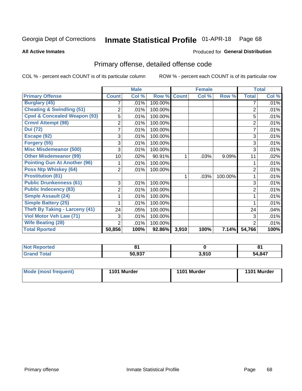#### Inmate Statistical Profile 01-APR-18 Page 68

**All Active Inmates** 

### Produced for General Distribution

## Primary offense, detailed offense code

COL % - percent each COUNT is of its particular column

|                                         |                | <b>Male</b> |         |              | <b>Female</b>             |         |                | <b>Total</b> |
|-----------------------------------------|----------------|-------------|---------|--------------|---------------------------|---------|----------------|--------------|
| <b>Primary Offense</b>                  | <b>Count</b>   | Col %       | Row %   | <b>Count</b> | $\overline{\text{Col}}$ % | Row %   | <b>Total</b>   | Col %        |
| <b>Burglary (45)</b>                    |                | .01%        | 100.00% |              |                           |         | 7              | .01%         |
| <b>Cheating &amp; Swindling (51)</b>    | $\overline{2}$ | .01%        | 100.00% |              |                           |         | $\overline{2}$ | .01%         |
| <b>Cpwl &amp; Concealed Weapon (93)</b> | 5              | .01%        | 100.00% |              |                           |         | 5              | .01%         |
| <b>Crmnl Attempt (98)</b>               | 2              | .01%        | 100.00% |              |                           |         | 2              | .01%         |
| <b>Dui</b> (72)                         |                | .01%        | 100.00% |              |                           |         |                | .01%         |
| Escape (92)                             | 3              | .01%        | 100.00% |              |                           |         | 3              | .01%         |
| Forgery (55)                            | 3              | .01%        | 100.00% |              |                           |         | 3              | .01%         |
| <b>Misc Misdemeanor (500)</b>           | 3              | .01%        | 100.00% |              |                           |         | 3              | .01%         |
| <b>Other Misdemeanor (99)</b>           | 10             | .02%        | 90.91%  | 1            | .03%                      | 9.09%   | 11             | .02%         |
| <b>Pointing Gun At Another (96)</b>     |                | .01%        | 100.00% |              |                           |         |                | .01%         |
| <b>Poss Ntp Whiskey (64)</b>            | 2              | .01%        | 100.00% |              |                           |         | $\overline{2}$ | .01%         |
| <b>Prostitution (81)</b>                |                |             |         | 1            | .03%                      | 100.00% |                | .01%         |
| <b>Public Drunkenness (61)</b>          | 3              | .01%        | 100.00% |              |                           |         | 3              | .01%         |
| <b>Public Indecency (83)</b>            | 2              | .01%        | 100.00% |              |                           |         | $\overline{2}$ | .01%         |
| <b>Simple Assault (24)</b>              |                | .01%        | 100.00% |              |                           |         |                | .01%         |
| <b>Simple Battery (25)</b>              |                | .01%        | 100.00% |              |                           |         |                | .01%         |
| <b>Theft By Taking - Larceny (41)</b>   | 24             | .05%        | 100.00% |              |                           |         | 24             | .04%         |
| Viol Motor Veh Law (71)                 | 3              | .01%        | 100.00% |              |                           |         | 3              | .01%         |
| <b>Wife Beating (28)</b>                | $\overline{2}$ | .01%        | 100.00% |              |                           |         | $\overline{2}$ | .01%         |
| <b>Total Rported</b>                    | 50,856         | 100%        | 92.86%  | 3,910        | 100%                      | 7.14%   | 54,766         | 100%         |

| 'Nor<br><b>Reported</b> | n.     |       | п.<br>. м. |
|-------------------------|--------|-------|------------|
| `otal                   | 50,937 | 3,910 | 54,847     |

| Mode (most frequent) | 1101 Murder | 1101 Murder | 1101 Murder |
|----------------------|-------------|-------------|-------------|
|                      |             |             |             |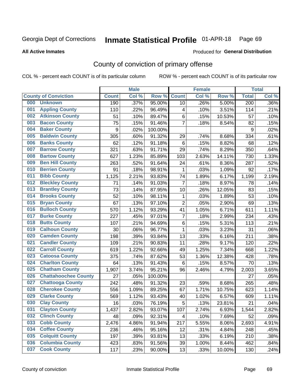# Inmate Statistical Profile 01-APR-18 Page 69

**All Active Inmates** 

### Produced for General Distribution

## County of conviction of primary offense

COL % - percent each COUNT is of its particular column

|                                    |              | <b>Male</b> |         |                | <b>Female</b> |        |                  | <b>Total</b> |
|------------------------------------|--------------|-------------|---------|----------------|---------------|--------|------------------|--------------|
| <b>County of Conviction</b>        | <b>Count</b> | Col %       | Row %   | <b>Count</b>   | Col %         | Row %  | <b>Total</b>     | Col %        |
| <b>Unknown</b><br>000              | 190          | .37%        | 95.00%  | 10             | .26%          | 5.00%  | $\overline{200}$ | .36%         |
| <b>Appling County</b><br>001       | 110          | .22%        | 96.49%  | 4              | .10%          | 3.51%  | 114              | .21%         |
| <b>Atkinson County</b><br>002      | 51           | .10%        | 89.47%  | 6              | .15%          | 10.53% | 57               | .10%         |
| <b>Bacon County</b><br>003         | 75           | .15%        | 91.46%  | $\overline{7}$ | .18%          | 8.54%  | 82               | .15%         |
| <b>Baker County</b><br>004         | 9            | .02%        | 100.00% |                |               |        | 9                | .02%         |
| <b>Baldwin County</b><br>005       | 305          | .60%        | 91.32%  | 29             | .74%          | 8.68%  | 334              | .61%         |
| <b>Banks County</b><br>006         | 62           | .12%        | 91.18%  | $\,6$          | .15%          | 8.82%  | 68               | .12%         |
| <b>Barrow County</b><br>007        | 321          | .63%        | 91.71%  | 29             | .74%          | 8.29%  | 350              | .64%         |
| <b>Bartow County</b><br>008        | 627          | 1.23%       | 85.89%  | 103            | 2.63%         | 14.11% | 730              | 1.33%        |
| <b>Ben Hill County</b><br>009      | 263          | .52%        | 91.64%  | 24             | .61%          | 8.36%  | 287              | .52%         |
| <b>Berrien County</b><br>010       | 91           | .18%        | 98.91%  | 1              | .03%          | 1.09%  | 92               | .17%         |
| <b>Bibb County</b><br>011          | 1,125        | 2.21%       | 93.83%  | 74             | 1.89%         | 6.17%  | 1,199            | 2.19%        |
| <b>Bleckley County</b><br>012      | 71           | .14%        | 91.03%  | $\overline{7}$ | .18%          | 8.97%  | 78               | .14%         |
| <b>Brantley County</b><br>013      | 73           | .14%        | 87.95%  | 10             | .26%          | 12.05% | 83               | .15%         |
| <b>Brooks County</b><br>014        | 52           | .10%        | 98.11%  | 1              | .03%          | 1.89%  | 53               | .10%         |
| 015<br><b>Bryan County</b>         | 67           | .13%        | 97.10%  | $\overline{2}$ | .05%          | 2.90%  | 69               | .13%         |
| <b>Bulloch County</b><br>016       | 570          | 1.12%       | 93.29%  | 41             | 1.05%         | 6.71%  | 611              | 1.11%        |
| <b>Burke County</b><br>017         | 227          | .45%        | 97.01%  | $\overline{7}$ | .18%          | 2.99%  | 234              | .43%         |
| <b>Butts County</b><br>018         | 107          | .21%        | 94.69%  | 6              | .15%          | 5.31%  | 113              | .21%         |
| <b>Calhoun County</b><br>019       | 30           | .06%        | 96.77%  | $\mathbf 1$    | .03%          | 3.23%  | 31               | .06%         |
| <b>Camden County</b><br>020        | 198          | .39%        | 93.84%  | 13             | .33%          | 6.16%  | 211              | .38%         |
| <b>Candler County</b><br>021       | 109          | .21%        | 90.83%  | 11             | .28%          | 9.17%  | 120              | .22%         |
| <b>Carroll County</b><br>022       | 619          | 1.22%       | 92.66%  | 49             | 1.25%         | 7.34%  | 668              | 1.22%        |
| <b>Catoosa County</b><br>023       | 375          | .74%        | 87.62%  | 53             | 1.36%         | 12.38% | 428              | .78%         |
| <b>Charlton County</b><br>024      | 64           | .13%        | 91.43%  | 6              | .15%          | 8.57%  | 70               | .13%         |
| 025<br><b>Chatham County</b>       | 1,907        | 3.74%       | 95.21%  | 96             | 2.46%         | 4.79%  | 2,003            | 3.65%        |
| <b>Chattahoochee County</b><br>026 | 27           | .05%        | 100.00% |                |               |        | 27               | .05%         |
| <b>Chattooga County</b><br>027     | 242          | .48%        | 91.32%  | 23             | .59%          | 8.68%  | 265              | .48%         |
| <b>Cherokee County</b><br>028      | 556          | 1.09%       | 89.25%  | 67             | 1.71%         | 10.75% | 623              | 1.14%        |
| <b>Clarke County</b><br>029        | 569          | 1.12%       | 93.43%  | 40             | 1.02%         | 6.57%  | 609              | 1.11%        |
| <b>Clay County</b><br>030          | 16           | .03%        | 76.19%  | 5              | .13%          | 23.81% | 21               | .04%         |
| 031<br><b>Clayton County</b>       | 1,437        | 2.82%       | 93.07%  | 107            | 2.74%         | 6.93%  | 1,544            | 2.82%        |
| <b>Clinch County</b><br>032        | 48           | .09%        | 92.31%  | 4              | .10%          | 7.69%  | 52               | .09%         |
| <b>Cobb County</b><br>033          | 2,476        | 4.86%       | 91.94%  | 217            | 5.55%         | 8.06%  | 2,693            | 4.91%        |
| <b>Coffee County</b><br>034        | 236          | .46%        | 95.16%  | 12             | .31%          | 4.84%  | 248              | .45%         |
| <b>Colquitt County</b><br>035      | 197          | .39%        | 93.81%  | 13             | .33%          | 6.19%  | 210              | .38%         |
| <b>Columbia County</b><br>036      | 423          | .83%        | 91.56%  | 39             | 1.00%         | 8.44%  | 462              | .84%         |
| <b>Cook County</b><br>037          | 117          | .23%        | 90.00%  | 13             | .33%          | 10.00% | 130              | .24%         |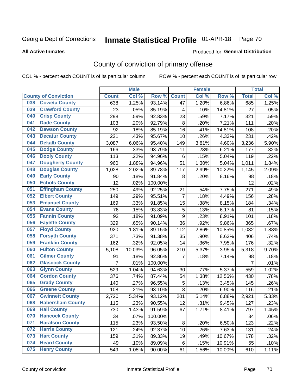# Inmate Statistical Profile 01-APR-18 Page 70

Produced for General Distribution

### **All Active Inmates**

## County of conviction of primary offense

COL % - percent each COUNT is of its particular column

|                                |                | <b>Male</b> |         |                 | <b>Female</b> |        |                | <b>Total</b> |
|--------------------------------|----------------|-------------|---------|-----------------|---------------|--------|----------------|--------------|
| <b>County of Conviction</b>    | <b>Count</b>   | Col %       | Row %   | <b>Count</b>    | Col %         | Row %  | <b>Total</b>   | Col %        |
| <b>Coweta County</b><br>038    | 638            | 1.25%       | 93.14%  | 47              | 1.20%         | 6.86%  | 685            | 1.25%        |
| <b>Crawford County</b><br>039  | 23             | .05%        | 85.19%  | 4               | .10%          | 14.81% | 27             | .05%         |
| <b>Crisp County</b><br>040     | 298            | .59%        | 92.83%  | 23              | .59%          | 7.17%  | 321            | .59%         |
| <b>Dade County</b><br>041      | 103            | .20%        | 92.79%  | 8               | .20%          | 7.21%  | 111            | .20%         |
| <b>Dawson County</b><br>042    | 92             | .18%        | 85.19%  | 16              | .41%          | 14.81% | 108            | .20%         |
| 043<br><b>Decatur County</b>   | 221            | .43%        | 95.67%  | 10              | .26%          | 4.33%  | 231            | .42%         |
| <b>Dekalb County</b><br>044    | 3,087          | 6.06%       | 95.40%  | 149             | 3.81%         | 4.60%  | 3,236          | 5.90%        |
| <b>Dodge County</b><br>045     | 166            | .33%        | 93.79%  | 11              | .28%          | 6.21%  | 177            | .32%         |
| <b>Dooly County</b><br>046     | 113            | .22%        | 94.96%  | $6\phantom{1}6$ | .15%          | 5.04%  | 119            | .22%         |
| 047<br><b>Dougherty County</b> | 960            | 1.88%       | 94.96%  | 51              | 1.30%         | 5.04%  | 1,011          | 1.84%        |
| <b>Douglas County</b><br>048   | 1,028          | 2.02%       | 89.78%  | 117             | 2.99%         | 10.22% | 1,145          | 2.09%        |
| <b>Early County</b><br>049     | 90             | .18%        | 91.84%  | 8               | .20%          | 8.16%  | 98             | .18%         |
| <b>Echols County</b><br>050    | 12             | .02%        | 100.00% |                 |               |        | 12             | .02%         |
| 051<br><b>Effingham County</b> | 250            | .49%        | 92.25%  | 21              | .54%          | 7.75%  | 271            | .49%         |
| <b>Elbert County</b><br>052    | 149            | .29%        | 95.51%  | $\overline{7}$  | .18%          | 4.49%  | 156            | .28%         |
| <b>Emanuel County</b><br>053   | 169            | .33%        | 91.85%  | 15              | .38%          | 8.15%  | 184            | .34%         |
| <b>Evans County</b><br>054     | 76             | .15%        | 93.83%  | 5               | .13%          | 6.17%  | 81             | .15%         |
| <b>Fannin County</b><br>055    | 92             | .18%        | 91.09%  | 9               | .23%          | 8.91%  | 101            | .18%         |
| <b>Fayette County</b><br>056   | 329            | .65%        | 90.14%  | 36              | .92%          | 9.86%  | 365            | .67%         |
| <b>Floyd County</b><br>057     | 920            | 1.81%       | 89.15%  | 112             | 2.86%         | 10.85% | 1,032          | 1.88%        |
| <b>Forsyth County</b><br>058   | 371            | .73%        | 91.38%  | 35              | .90%          | 8.62%  | 406            | .74%         |
| <b>Franklin County</b><br>059  | 162            | .32%        | 92.05%  | 14              | .36%          | 7.95%  | 176            | .32%         |
| <b>Fulton County</b><br>060    | 5,108          | 10.03%      | 96.05%  | 210             | 5.37%         | 3.95%  | 5,318          | 9.70%        |
| <b>Gilmer County</b><br>061    | 91             | .18%        | 92.86%  | 7               | .18%          | 7.14%  | 98             | .18%         |
| <b>Glascock County</b><br>062  | $\overline{7}$ | .01%        | 100.00% |                 |               |        | $\overline{7}$ | .01%         |
| 063<br><b>Glynn County</b>     | 529            | 1.04%       | 94.63%  | 30              | .77%          | 5.37%  | 559            | 1.02%        |
| <b>Gordon County</b><br>064    | 376            | .74%        | 87.44%  | 54              | 1.38%         | 12.56% | 430            | .78%         |
| <b>Grady County</b><br>065     | 140            | .27%        | 96.55%  | $\mathbf 5$     | .13%          | 3.45%  | 145            | .26%         |
| <b>Greene County</b><br>066    | 108            | .21%        | 93.10%  | 8               | .20%          | 6.90%  | 116            | .21%         |
| <b>Gwinnett County</b><br>067  | 2,720          | 5.34%       | 93.12%  | 201             | 5.14%         | 6.88%  | 2,921          | 5.33%        |
| <b>Habersham County</b><br>068 | 115            | .23%        | 90.55%  | 12              | .31%          | 9.45%  | 127            | .23%         |
| 069<br><b>Hall County</b>      | 730            | 1.43%       | 91.59%  | 67              | 1.71%         | 8.41%  | 797            | 1.45%        |
| <b>Hancock County</b><br>070   | 34             | .07%        | 100.00% |                 |               |        | 34             | .06%         |
| <b>Haralson County</b><br>071  | 115            | .23%        | 93.50%  | 8               | .20%          | 6.50%  | 123            | .22%         |
| <b>Harris County</b><br>072    | 121            | .24%        | 92.37%  | 10              | .26%          | 7.63%  | 131            | .24%         |
| <b>Hart County</b><br>073      | 159            | .31%        | 89.33%  | 19              | .49%          | 10.67% | 178            | .32%         |
| <b>Heard County</b><br>074     | 49             | .10%        | 89.09%  | 6               | .15%          | 10.91% | 55             | .10%         |
| <b>Henry County</b><br>075     | 549            | 1.08%       | 90.00%  | 61              | 1.56%         | 10.00% | 610            | 1.11%        |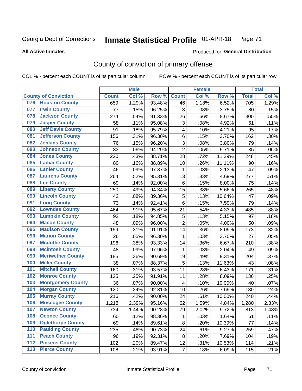# Inmate Statistical Profile 01-APR-18 Page 71

### **All Active Inmates**

### Produced for General Distribution

## County of conviction of primary offense

COL % - percent each COUNT is of its particular column

|     |                             |              | <b>Male</b> |        |                           | <b>Female</b> |        |              | <b>Total</b> |
|-----|-----------------------------|--------------|-------------|--------|---------------------------|---------------|--------|--------------|--------------|
|     | <b>County of Conviction</b> | <b>Count</b> | Col %       | Row %  | <b>Count</b>              | Col%          | Row %  | <b>Total</b> | Col %        |
| 076 | <b>Houston County</b>       | 659          | 1.29%       | 93.48% | 46                        | 1.18%         | 6.52%  | 705          | 1.29%        |
| 077 | <b>Irwin County</b>         | 77           | .15%        | 96.25% | 3                         | .08%          | 3.75%  | 80           | .15%         |
| 078 | <b>Jackson County</b>       | 274          | .54%        | 91.33% | 26                        | .66%          | 8.67%  | 300          | .55%         |
| 079 | <b>Jasper County</b>        | 58           | .11%        | 95.08% | $\ensuremath{\mathsf{3}}$ | .08%          | 4.92%  | 61           | .11%         |
| 080 | <b>Jeff Davis County</b>    | 91           | .18%        | 95.79% | 4                         | .10%          | 4.21%  | 95           | .17%         |
| 081 | <b>Jefferson County</b>     | 156          | .31%        | 96.30% | 6                         | .15%          | 3.70%  | 162          | .30%         |
| 082 | <b>Jenkins County</b>       | 76           | .15%        | 96.20% | 3                         | .08%          | 3.80%  | 79           | .14%         |
| 083 | <b>Johnson County</b>       | 33           | .06%        | 94.29% | $\overline{2}$            | .05%          | 5.71%  | 35           | .06%         |
| 084 | <b>Jones County</b>         | 220          | .43%        | 88.71% | 28                        | .72%          | 11.29% | 248          | .45%         |
| 085 | <b>Lamar County</b>         | 80           | .16%        | 88.89% | 10                        | .26%          | 11.11% | 90           | .16%         |
| 086 | <b>Lanier County</b>        | 46           | .09%        | 97.87% | 1                         | .03%          | 2.13%  | 47           | .09%         |
| 087 | <b>Laurens County</b>       | 264          | .52%        | 95.31% | 13                        | .33%          | 4.69%  | 277          | .51%         |
| 088 | <b>Lee County</b>           | 69           | .14%        | 92.00% | 6                         | .15%          | 8.00%  | 75           | .14%         |
| 089 | <b>Liberty County</b>       | 250          | .49%        | 94.34% | 15                        | .38%          | 5.66%  | 265          | .48%         |
| 090 | <b>Lincoln County</b>       | 42           | .08%        | 89.36% | $\mathbf 5$               | .13%          | 10.64% | 47           | .09%         |
| 091 | <b>Long County</b>          | 73           | .14%        | 92.41% | 6                         | .15%          | 7.59%  | 79           | .14%         |
| 092 | <b>Lowndes County</b>       | 464          | .91%        | 95.67% | 21                        | .54%          | 4.33%  | 485          | .88%         |
| 093 | <b>Lumpkin County</b>       | 92           | .18%        | 94.85% | 5                         | .13%          | 5.15%  | 97           | .18%         |
| 094 | <b>Macon County</b>         | 48           | .09%        | 96.00% | $\overline{2}$            | .05%          | 4.00%  | 50           | .09%         |
| 095 | <b>Madison County</b>       | 159          | .31%        | 91.91% | 14                        | .36%          | 8.09%  | 173          | .32%         |
| 096 | <b>Marion County</b>        | 26           | .05%        | 96.30% | $\mathbf{1}$              | .03%          | 3.70%  | 27           | .05%         |
| 097 | <b>Mcduffie County</b>      | 196          | .38%        | 93.33% | 14                        | .36%          | 6.67%  | 210          | .38%         |
| 098 | <b>Mcintosh County</b>      | 48           | .09%        | 97.96% | $\mathbf 1$               | .03%          | 2.04%  | 49           | .09%         |
| 099 | <b>Meriwether County</b>    | 185          | .36%        | 90.69% | 19                        | .49%          | 9.31%  | 204          | .37%         |
| 100 | <b>Miller County</b>        | 38           | .07%        | 88.37% | $\mathbf 5$               | .13%          | 11.63% | 43           | .08%         |
| 101 | <b>Mitchell County</b>      | 160          | .31%        | 93.57% | 11                        | .28%          | 6.43%  | 171          | .31%         |
| 102 | <b>Monroe County</b>        | 125          | .25%        | 91.91% | 11                        | .28%          | 8.09%  | 136          | .25%         |
| 103 | <b>Montgomery County</b>    | 36           | .07%        | 90.00% | $\overline{\mathbf{4}}$   | .10%          | 10.00% | 40           | .07%         |
| 104 | <b>Morgan County</b>        | 120          | .24%        | 92.31% | 10                        | .26%          | 7.69%  | 130          | .24%         |
| 105 | <b>Murray County</b>        | 216          | .42%        | 90.00% | 24                        | .61%          | 10.00% | 240          | .44%         |
| 106 | <b>Muscogee County</b>      | 1,218        | 2.39%       | 95.16% | 62                        | 1.59%         | 4.84%  | 1,280        | 2.33%        |
| 107 | <b>Newton County</b>        | 734          | 1.44%       | 90.28% | 79                        | 2.02%         | 9.72%  | 813          | 1.48%        |
| 108 | <b>Oconee County</b>        | 60           | .12%        | 98.36% | 1                         | .03%          | 1.64%  | 61           | .11%         |
| 109 | <b>Oglethorpe County</b>    | 69           | .14%        | 89.61% | 8                         | .20%          | 10.39% | 77           | .14%         |
| 110 | <b>Paulding County</b>      | 235          | .46%        | 90.73% | 24                        | .61%          | 9.27%  | 259          | .47%         |
| 111 | <b>Peach County</b>         | 96           | .19%        | 92.31% | 8                         | .20%          | 7.69%  | 104          | .19%         |
| 112 | <b>Pickens County</b>       | 102          | .20%        | 89.47% | 12                        | .31%          | 10.53% | 114          | .21%         |
| 113 | <b>Pierce County</b>        | 108          | .21%        | 93.91% | $\overline{7}$            | .18%          | 6.09%  | 115          | .21%         |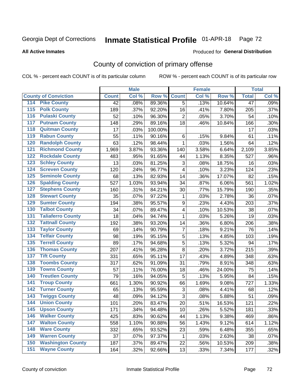# Inmate Statistical Profile 01-APR-18 Page 72

### **All Active Inmates**

### Produced for General Distribution

## County of conviction of primary offense

COL % - percent each COUNT is of its particular column

|                                          |              | <b>Male</b> |         |                         | <b>Female</b> |        |                 | <b>Total</b> |
|------------------------------------------|--------------|-------------|---------|-------------------------|---------------|--------|-----------------|--------------|
| <b>County of Conviction</b>              | <b>Count</b> | Col %       | Row %   | <b>Count</b>            | Col %         | Row %  | <b>Total</b>    | Col %        |
| 114 Pike County                          | 42           | .08%        | 89.36%  | $\overline{5}$          | .13%          | 10.64% | $\overline{47}$ | .09%         |
| <b>Polk County</b><br>$\overline{115}$   | 189          | .37%        | 92.20%  | 16                      | .41%          | 7.80%  | 205             | .37%         |
| <b>Pulaski County</b><br>116             | 52           | .10%        | 96.30%  | $\overline{2}$          | .05%          | 3.70%  | 54              | .10%         |
| 117<br><b>Putnam County</b>              | 148          | .29%        | 89.16%  | 18                      | .46%          | 10.84% | 166             | .30%         |
| <b>Quitman County</b><br>118             | 17           | .03%        | 100.00% |                         |               |        | 17              | .03%         |
| <b>Rabun County</b><br>119               | 55           | .11%        | 90.16%  | 6                       | .15%          | 9.84%  | 61              | .11%         |
| <b>Randolph County</b><br>120            | 63           | .12%        | 98.44%  | 1                       | .03%          | 1.56%  | 64              | .12%         |
| <b>Richmond County</b><br>121            | 1,969        | 3.87%       | 93.36%  | 140                     | 3.58%         | 6.64%  | 2,109           | 3.85%        |
| <b>Rockdale County</b><br>122            | 483          | .95%        | 91.65%  | 44                      | 1.13%         | 8.35%  | 527             | .96%         |
| <b>Schley County</b><br>123              | 13           | .03%        | 81.25%  | 3                       | .08%          | 18.75% | 16              | .03%         |
| <b>Screven County</b><br>124             | 120          | .24%        | 96.77%  | 4                       | .10%          | 3.23%  | 124             | .23%         |
| <b>Seminole County</b><br>125            | 68           | .13%        | 82.93%  | 14                      | .36%          | 17.07% | 82              | .15%         |
| 126<br><b>Spalding County</b>            | 527          | 1.03%       | 93.94%  | 34                      | .87%          | 6.06%  | 561             | 1.02%        |
| <b>Stephens County</b><br>127            | 160          | .31%        | 84.21%  | 30                      | .77%          | 15.79% | 190             | .35%         |
| <b>Stewart County</b><br>128             | 35           | .07%        | 97.22%  | $\mathbf{1}$            | .03%          | 2.78%  | 36              | .07%         |
| <b>Sumter County</b><br>129              | 194          | .38%        | 95.57%  | 9                       | .23%          | 4.43%  | 203             | .37%         |
| <b>Talbot County</b><br>130              | 34           | .07%        | 89.47%  | $\overline{\mathbf{4}}$ | .10%          | 10.53% | 38              | .07%         |
| <b>Taliaferro County</b><br>131          | 18           | .04%        | 94.74%  | $\mathbf{1}$            | .03%          | 5.26%  | 19              | .03%         |
| <b>Tattnall County</b><br>132            | 192          | .38%        | 93.20%  | 14                      | .36%          | 6.80%  | 206             | .38%         |
| <b>Taylor County</b><br>133              | 69           | .14%        | 90.79%  | $\overline{7}$          | .18%          | 9.21%  | 76              | .14%         |
| <b>Telfair County</b><br>134             | 98           | .19%        | 95.15%  | 5                       | .13%          | 4.85%  | 103             | .19%         |
| <b>Terrell County</b><br>135             | 89           | .17%        | 94.68%  | $\sqrt{5}$              | .13%          | 5.32%  | 94              | .17%         |
| <b>Thomas County</b><br>136              | 207          | .41%        | 96.28%  | 8                       | .20%          | 3.72%  | 215             | .39%         |
| <b>Tift County</b><br>137                | 331          | .65%        | 95.11%  | 17                      | .43%          | 4.89%  | 348             | .63%         |
| <b>Toombs County</b><br>138              | 317          | .62%        | 91.09%  | 31                      | .79%          | 8.91%  | 348             | .63%         |
| <b>Towns County</b><br>139               | 57           | .11%        | 76.00%  | 18                      | .46%          | 24.00% | 75              | .14%         |
| <b>Treutlen County</b><br>140            | 79           | .16%        | 94.05%  | 5                       | .13%          | 5.95%  | 84              | .15%         |
| <b>Troup County</b><br>141               | 661          | 1.30%       | 90.92%  | 66                      | 1.69%         | 9.08%  | 727             | 1.33%        |
| <b>Turner County</b><br>142              | 65           | .13%        | 95.59%  | 3                       | .08%          | 4.41%  | 68              | .12%         |
| <b>Twiggs County</b><br>$\overline{143}$ | 48           | .09%        | 94.12%  | 3                       | .08%          | 5.88%  | 51              | .09%         |
| <b>Union County</b><br>144               | 101          | .20%        | 83.47%  | 20                      | .51%          | 16.53% | 121             | .22%         |
| 145<br><b>Upson County</b>               | 171          | .34%        | 94.48%  | 10                      | .26%          | 5.52%  | 181             | .33%         |
| <b>Walker County</b><br>146              | 425          | .83%        | 90.62%  | 44                      | 1.13%         | 9.38%  | 469             | .86%         |
| <b>Walton County</b><br>147              | 558          | 1.10%       | 90.88%  | 56                      | 1.43%         | 9.12%  | 614             | 1.12%        |
| <b>Ware County</b><br>148                | 332          | .65%        | 93.52%  | 23                      | .59%          | 6.48%  | 355             | .65%         |
| <b>Warren County</b><br>149              | 37           | .07%        | 97.37%  | 1                       | .03%          | 2.63%  | 38              | .07%         |
| <b>Washington County</b><br>150          | 187          | .37%        | 89.47%  | 22                      | .56%          | 10.53% | 209             | .38%         |
| <b>Wayne County</b><br>151               | 164          | .32%        | 92.66%  | 13                      | .33%          | 7.34%  | 177             | .32%         |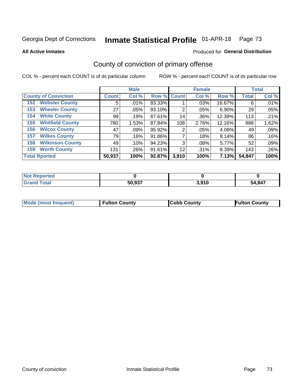# Inmate Statistical Profile 01-APR-18 Page 73

**All Active Inmates** 

### Produced for General Distribution

## County of conviction of primary offense

COL % - percent each COUNT is of its particular column

|                                |              | <b>Male</b> |             |       | <b>Female</b> |        |              | <b>Total</b> |
|--------------------------------|--------------|-------------|-------------|-------|---------------|--------|--------------|--------------|
| <b>County of Conviction</b>    | <b>Count</b> | Col %       | Row % Count |       | Col %         | Row %  | <b>Total</b> | Col %        |
| <b>Webster County</b><br>152   | 5            | .01%        | 83.33%      |       | .03%          | 16.67% | 6            | .01%         |
| <b>Wheeler County</b><br>153   | 27           | .05%        | 93.10%      | 2     | .05%          | 6.90%  | 29           | .05%         |
| <b>White County</b><br>154     | 99           | .19%        | 87.61%      | 14    | .36%          | 12.39% | 113          | .21%         |
| <b>Whitfield County</b><br>155 | 780          | 1.53%       | 87.84%      | 108   | 2.76%         | 12.16% | 888          | 1.62%        |
| <b>Wilcox County</b><br>156    | 47           | $.09\%$     | 95.92%      | 2     | .05%          | 4.08%  | 49           | .09%         |
| <b>Wilkes County</b><br>157    | 79           | .16%        | 91.86%      |       | .18%          | 8.14%  | 86           | .16%         |
| <b>Wilkinson County</b><br>158 | 49           | .10%        | 94.23%      | 3     | .08%          | 5.77%  | 52           | .09%         |
| <b>Worth County</b><br>159     | 131          | .26%        | 91.61%      | 12    | .31%          | 8.39%  | 143          | .26%         |
| <b>Total Rported</b>           | 50,937       | 100%        | 92.87%      | 3,910 | 100%          | 7.13%  | 54,847       | 100%         |

| <b>Not Reported</b> |        |       |        |
|---------------------|--------|-------|--------|
| <b>Grand Total</b>  | 50,937 | 3,910 | 54,847 |

| Mode (most frequent) | <b>Fulton County</b> | <b>Cobb County</b> | <b>Fulton County</b> |
|----------------------|----------------------|--------------------|----------------------|
|                      |                      |                    |                      |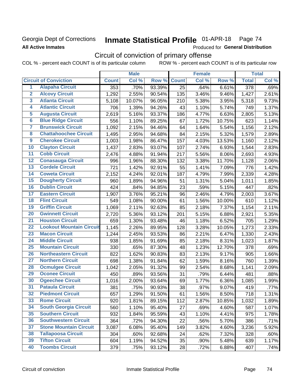## Georgia Dept of Corrections **All Active Inmates**

#### Inmate Statistical Profile 01-APR-18 Page 74

Produced for General Distribution

# Circuit of conviction of primary offense

COL % - percent each COUNT is of its particular column ROW % - percent each COUNT is of its particular row

|                         |                                 |              | <b>Male</b> |        |              | <b>Female</b> |        |                  | <b>Total</b> |
|-------------------------|---------------------------------|--------------|-------------|--------|--------------|---------------|--------|------------------|--------------|
|                         | <b>Circuit of Conviction</b>    | <b>Count</b> | Col %       | Row %  | <b>Count</b> | Col %         | Row %  | <b>Total</b>     | Col %        |
| 1                       | <b>Alapaha Circuit</b>          | 353          | .70%        | 93.39% | 25           | .64%          | 6.61%  | $\overline{378}$ | .69%         |
| $\overline{2}$          | <b>Alcovy Circuit</b>           | 1,292        | 2.55%       | 90.54% | 135          | 3.46%         | 9.46%  | 1,427            | 2.61%        |
| $\overline{\mathbf{3}}$ | <b>Atlanta Circuit</b>          | 5,108        | 10.07%      | 96.05% | 210          | 5.38%         | 3.95%  | 5,318            | 9.73%        |
| 4                       | <b>Atlantic Circuit</b>         | 706          | 1.39%       | 94.26% | 43           | 1.10%         | 5.74%  | 749              | 1.37%        |
| 5                       | <b>Augusta Circuit</b>          | 2,619        | 5.16%       | 93.37% | 186          | 4.77%         | 6.63%  | 2,805            | 5.13%        |
| $\overline{6}$          | <b>Blue Ridge Circuit</b>       | 556          | 1.10%       | 89.25% | 67           | 1.72%         | 10.75% | 623              | 1.14%        |
| $\overline{\mathbf{7}}$ | <b>Brunswick Circuit</b>        | 1,092        | 2.15%       | 94.46% | 64           | 1.64%         | 5.54%  | 1,156            | 2.12%        |
| $\overline{\mathbf{8}}$ | <b>Chattahoochee Circuit</b>    | 1,495        | 2.95%       | 94.68% | 84           | 2.15%         | 5.32%  | 1,579            | 2.89%        |
| $\overline{9}$          | <b>Cherokee Circuit</b>         | 1,003        | 1.98%       | 86.47% | 157          | 4.03%         | 13.53% | 1,160            | 2.12%        |
| 10                      | <b>Clayton Circuit</b>          | 1,437        | 2.83%       | 93.07% | 107          | 2.74%         | 6.93%  | 1,544            | 2.83%        |
| $\overline{11}$         | <b>Cobb Circuit</b>             | 2,476        | 4.88%       | 91.94% | 217          | 5.56%         | 8.06%  | 2,693            | 4.93%        |
| $\overline{12}$         | <b>Conasauga Circuit</b>        | 996          | 1.96%       | 88.30% | 132          | 3.38%         | 11.70% | 1,128            | 2.06%        |
| 13                      | <b>Cordele Circuit</b>          | 721          | 1.42%       | 92.91% | 55           | 1.41%         | 7.09%  | 776              | 1.42%        |
| 14                      | <b>Coweta Circuit</b>           | 2,152        | 4.24%       | 92.01% | 187          | 4.79%         | 7.99%  | 2,339            | 4.28%        |
| 15                      | <b>Dougherty Circuit</b>        | 960          | 1.89%       | 94.96% | 51           | 1.31%         | 5.04%  | 1,011            | 1.85%        |
| 16                      | <b>Dublin Circuit</b>           | 424          | .84%        | 94.85% | 23           | .59%          | 5.15%  | 447              | .82%         |
| 17                      | <b>Eastern Circuit</b>          | 1,907        | 3.76%       | 95.21% | 96           | 2.46%         | 4.79%  | 2,003            | 3.67%        |
| 18                      | <b>Flint Circuit</b>            | 549          | 1.08%       | 90.00% | 61           | 1.56%         | 10.00% | 610              | 1.12%        |
| 19                      | <b>Griffin Circuit</b>          | 1,069        | 2.11%       | 92.63% | 85           | 2.18%         | 7.37%  | 1,154            | 2.11%        |
| 20                      | <b>Gwinnett Circuit</b>         | 2,720        | 5.36%       | 93.12% | 201          | 5.15%         | 6.88%  | 2,921            | 5.35%        |
| $\overline{21}$         | <b>Houston Circuit</b>          | 659          | 1.30%       | 93.48% | 46           | 1.18%         | 6.52%  | 705              | 1.29%        |
| $\overline{22}$         | <b>Lookout Mountain Circuit</b> | 1,145        | 2.26%       | 89.95% | 128          | 3.28%         | 10.05% | 1,273            | 2.33%        |
| 23                      | <b>Macon Circuit</b>            | 1,244        | 2.45%       | 93.53% | 86           | 2.21%         | 6.47%  | 1,330            | 2.43%        |
| $\overline{24}$         | <b>Middle Circuit</b>           | 938          | 1.85%       | 91.69% | 85           | 2.18%         | 8.31%  | 1,023            | 1.87%        |
| 25                      | <b>Mountain Circuit</b>         | 330          | .65%        | 87.30% | 48           | 1.23%         | 12.70% | 378              | .69%         |
| 26                      | <b>Northeastern Circuit</b>     | 822          | 1.62%       | 90.83% | 83           | 2.13%         | 9.17%  | 905              | 1.66%        |
| $\overline{27}$         | <b>Northern Circuit</b>         | 698          | 1.38%       | 91.84% | 62           | 1.59%         | 8.16%  | 760              | 1.39%        |
| 28                      | <b>Ocmulgee Circuit</b>         | 1,042        | 2.05%       | 91.32% | 99           | 2.54%         | 8.68%  | 1,141            | 2.09%        |
| 29                      | <b>Oconee Circuit</b>           | 450          | .89%        | 93.56% | 31           | .79%          | 6.44%  | 481              | .88%         |
| 30                      | <b>Ogeechee Circuit</b>         | 1,016        | 2.00%       | 93.64% | 69           | 1.77%         | 6.36%  | 1,085            | 1.99%        |
| $\overline{31}$         | <b>Pataula Circuit</b>          | 381          | .75%        | 90.93% | 38           | .97%          | 9.07%  | 419              | .77%         |
| 32                      | <b>Piedmont Circuit</b>         | 657          | 1.29%       | 91.50% | 61           | 1.56%         | 8.50%  | 718              | 1.31%        |
| 33                      | <b>Rome Circuit</b>             | 920          | 1.81%       | 89.15% | 112          | 2.87%         | 10.85% | 1,032            | 1.89%        |
| 34                      | <b>South Georgia Circuit</b>    | 560          | 1.10%       | 95.40% | 27           | .69%          | 4.60%  | 587              | 1.07%        |
| 35                      | <b>Southern Circuit</b>         | 932          | 1.84%       | 95.59% | 43           | 1.10%         | 4.41%  | 975              | 1.78%        |
| 36                      | <b>Southwestern Circuit</b>     | 364          | .72%        | 94.30% | 22           | .56%          | 5.70%  | 386              | .71%         |
| 37                      | <b>Stone Mountain Circuit</b>   | 3,087        | 6.08%       | 95.40% | 149          | 3.82%         | 4.60%  | 3,236            | 5.92%        |
| 38                      | <b>Tallapoosa Circuit</b>       | 304          | .60%        | 92.68% | 24           | .62%          | 7.32%  | 328              | .60%         |
| 39                      | <b>Tifton Circuit</b>           | 604          | 1.19%       | 94.52% | 35           | .90%          | 5.48%  | 639              | 1.17%        |
| 40                      | <b>Toombs Circuit</b>           | 379          | .75%        | 93.12% | 28           | .72%          | 6.88%  | 407              | .74%         |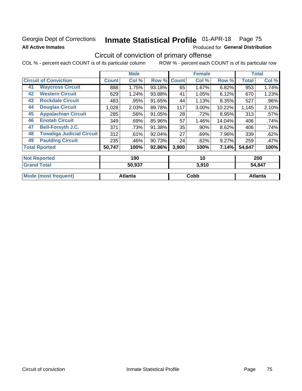## Georgia Dept of Corrections **All Active Inmates**

#### Inmate Statistical Profile 01-APR-18 Page 75

Produced for General Distribution

# Circuit of conviction of primary offense

COL % - percent each COUNT is of its particular column ROW % - percent each COUNT is of its particular row

|                                                 |                                  |              | <b>Male</b> |        |              | <b>Female</b> |        |              | <b>Total</b> |
|-------------------------------------------------|----------------------------------|--------------|-------------|--------|--------------|---------------|--------|--------------|--------------|
|                                                 | <b>Circuit of Conviction</b>     | <b>Count</b> | Col %       | Row %  | <b>Count</b> | Col %         | Row %  | <b>Total</b> | Col %        |
| 41                                              | <b>Waycross Circuit</b>          | 888          | 1.75%       | 93.18% | 65           | 1.67%         | 6.82%  | 953          | 1.74%        |
| 42                                              | <b>Western Circuit</b>           | 629          | 1.24%       | 93.88% | 41           | 1.05%         | 6.12%  | 670          | 1.23%        |
| 43                                              | <b>Rockdale Circuit</b>          | 483          | .95%        | 91.65% | 44           | 1.13%         | 8.35%  | 527          | $.96\%$      |
| 44                                              | <b>Douglas Circuit</b>           | 1,028        | 2.03%       | 89.78% | 117          | 3.00%         | 10.22% | 1,145        | 2.10%        |
| 45                                              | <b>Appalachian Circuit</b>       | 285          | .56%        | 91.05% | 28           | .72%          | 8.95%  | 313          | .57%         |
| 46                                              | <b>Enotah Circuit</b>            | 349          | .69%        | 85.96% | 57           | 1.46%         | 14.04% | 406          | .74%         |
| 47                                              | <b>Bell-Forsyth J.C.</b>         | 371          | .73%        | 91.38% | 35           | .90%          | 8.62%  | 406          | .74%         |
| 48                                              | <b>Towaliga Judicial Circuit</b> | 312          | .61%        | 92.04% | 27           | .69%          | 7.96%  | 339          | .62%         |
| 49                                              | <b>Paulding Circuit</b>          | 235          | .46%        | 90.73% | 24           | .62%          | 9.27%  | 259          | .47%         |
|                                                 | <b>Total Rported</b>             | 50,747       | 100%        | 92.86% | 3,900        | 100%          | 7.14%  | 54,647       | 100%         |
| .<br>$\sim$ $\sim$<br>$\overline{a}$<br>$- - -$ |                                  |              |             |        |              |               |        |              |              |

| <b>Not Reported</b>  | 190     | 10    | 200            |  |
|----------------------|---------|-------|----------------|--|
| <b>Grand Total</b>   | 50,937  | 3,910 | 54,847         |  |
|                      |         |       |                |  |
| Mode (most frequent) | Atlanta | Cobb  | <b>Atlanta</b> |  |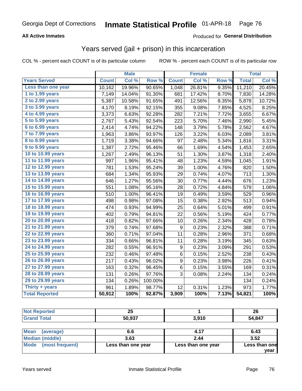### **All Active Inmates**

### Produced for **General Distribution**

## Years served (jail + prison) in this incarceration

|                              |              | <b>Male</b> |         |                  | <b>Female</b> |                  |              | <b>Total</b> |
|------------------------------|--------------|-------------|---------|------------------|---------------|------------------|--------------|--------------|
| <b>Years Served</b>          | <b>Count</b> | Col %       | Row %   | <b>Count</b>     | Col %         | Row <sub>%</sub> | <b>Total</b> | Col %        |
| Less than one year           | 10,162       | 19.96%      | 90.65%  | 1,048            | 26.81%        | 9.35%            | 11,210       | 20.45%       |
| 1 to 1.99 years              | 7,149        | 14.04%      | 91.30%  | 681              | 17.42%        | 8.70%            | 7,830        | 14.28%       |
| $2$ to 2.99 years            | 5,387        | 10.58%      | 91.65%  | 491              | 12.56%        | 8.35%            | 5,878        | 10.72%       |
| $3$ to $3.99$ years          | 4,170        | 8.19%       | 92.15%  | 355              | 9.08%         | 7.85%            | 4,525        | 8.25%        |
| $\overline{4}$ to 4.99 years | 3,373        | 6.63%       | 92.28%  | 282              | 7.21%         | 7.72%            | 3,655        | 6.67%        |
| 5 to 5.99 years              | 2,767        | 5.43%       | 92.54%  | 223              | 5.70%         | 7.46%            | 2,990        | 5.45%        |
| 6 to 6.99 years              | 2,414        | 4.74%       | 94.22%  | 148              | 3.79%         | 5.78%            | 2,562        | 4.67%        |
| 7 to 7.99 years              | 1,963        | 3.86%       | 93.97%  | 126              | 3.22%         | 6.03%            | 2,089        | 3.81%        |
| <b>8 to 8.99 years</b>       | 1,719        | 3.38%       | 94.66%  | 97               | 2.48%         | 5.34%            | 1,816        | 3.31%        |
| 9 to 9.99 years              | 1,387        | 2.72%       | 95.46%  | 66               | 1.69%         | 4.54%            | 1,453        | 2.65%        |
| 10 to 10.99 years            | 1,267        | 2.49%       | 96.13%  | 51               | 1.30%         | 3.87%            | 1,318        | 2.40%        |
| 11 to 11.99 years            | 997          | 1.96%       | 95.41%  | 48               | 1.23%         | 4.59%            | 1,045        | 1.91%        |
| 12 to 12.99 years            | 781          | 1.53%       | 95.24%  | 39               | 1.00%         | 4.76%            | 820          | 1.50%        |
| 13 to 13.99 years            | 684          | 1.34%       | 95.93%  | 29               | 0.74%         | 4.07%            | 713          | 1.30%        |
| 14 to 14.99 years            | 646          | 1.27%       | 95.56%  | 30               | 0.77%         | 4.44%            | 676          | 1.23%        |
| 15 to 15.99 years            | 551          | 1.08%       | 95.16%  | 28               | 0.72%         | 4.84%            | 579          | 1.06%        |
| 16 to 16.99 years            | 510          | 1.00%       | 96.41%  | 19               | 0.49%         | 3.59%            | 529          | 0.96%        |
| 17 to 17.99 years            | 498          | 0.98%       | 97.08%  | 15               | 0.38%         | 2.92%            | 513          | 0.94%        |
| 18 to 18.99 years            | 474          | 0.93%       | 94.99%  | 25               | 0.64%         | 5.01%            | 499          | 0.91%        |
| 19 to 19.99 years            | 402          | 0.79%       | 94.81%  | 22               | 0.56%         | 5.19%            | 424          | 0.77%        |
| 20 to 20.99 years            | 418          | 0.82%       | 97.66%  | 10               | 0.26%         | 2.34%            | 428          | 0.78%        |
| 21 to 21.99 years            | 379          | 0.74%       | 97.68%  | 9                | 0.23%         | 2.32%            | 388          | 0.71%        |
| 22 to 22.99 years            | 360          | 0.71%       | 97.04%  | 11               | 0.28%         | 2.96%            | 371          | 0.68%        |
| 23 to 23.99 years            | 334          | 0.66%       | 96.81%  | 11               | 0.28%         | 3.19%            | 345          | 0.63%        |
| 24 to 24.99 years            | 282          | 0.55%       | 96.91%  | 9                | 0.23%         | 3.09%            | 291          | 0.53%        |
| 25 to 25.99 years            | 232          | 0.46%       | 97.48%  | 6                | 0.15%         | 2.52%            | 238          | 0.43%        |
| 26 to 26.99 years            | 217          | 0.43%       | 96.02%  | $\boldsymbol{9}$ | 0.23%         | 3.98%            | 226          | 0.41%        |
| 27 to 27.99 years            | 163          | 0.32%       | 96.45%  | $\,6$            | 0.15%         | 3.55%            | 169          | 0.31%        |
| 28 to 28.99 years            | 131          | 0.26%       | 97.76%  | 3                | 0.08%         | 2.24%            | 134          | 0.24%        |
| 29 to 29.99 years            | 134          | 0.26%       | 100.00% |                  |               |                  | 134          | 0.24%        |
| Thirty + years               | 961          | 1.89%       | 98.77%  | 12               | 0.31%         | 1.23%            | 973          | 1.77%        |
| <b>Total Reported</b>        | 50,912       | 100%        | 92.87%  | 3,909            | 100%          | 7.13%            | 54,821       | 100%         |

| $\sim$ $\sim$<br>ΔJ |       | 26    |
|---------------------|-------|-------|
| $E0$ 007            | 2.010 | 4,847 |

| ∣Mean<br>(average)   | 6.6                | 4.17               | 6.43          |
|----------------------|--------------------|--------------------|---------------|
| Median (middle)      | 3.63               | 2.44               | 3.52          |
| Mode (most frequent) | Less than one year | Less than one year | Less than one |
|                      |                    |                    | vear          |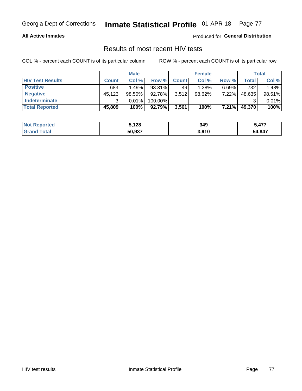### **All Active Inmates**

Produced for **General Distribution**

## Results of most recent HIV tests

|                         |              | <b>Male</b> |         |              | <b>Female</b> |          |        | Total  |
|-------------------------|--------------|-------------|---------|--------------|---------------|----------|--------|--------|
| <b>HIV Test Results</b> | <b>Count</b> | Col %       | Row %I  | <b>Count</b> | Col %         | Row %    | Total  | Col %  |
| <b>Positive</b>         | 683          | 1.49%       | 93.31%  | 49           | 1.38%         | $6.69\%$ | 732    | 1.48%  |
| <b>Negative</b>         | 45,123       | 98.50%      | 92.78%  | 3,512        | $98.62\%$     | 7.22%    | 48,635 | 98.51% |
| Indeterminate           | າ            | 0.01%       | 100.00% |              |               |          |        | 0.01%  |
| <b>Total Reported</b>   | 45,809       | 100%        | 92.79%  | 3,561        | 100%          | 7.21%    | 49,370 | 100%   |

| <b>Not Reported</b>          | 5,128  | 349   | 477<br>5,47. |
|------------------------------|--------|-------|--------------|
| <b>Total</b><br><b>Grand</b> | 50,937 | 3,910 | 54,847       |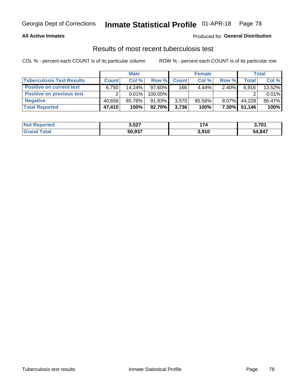### **All Active Inmates**

## Produced for **General Distribution**

## Results of most recent tuberculosis test

|                                  | <b>Male</b>  |          |           | <b>Female</b> |           |          | Total  |        |
|----------------------------------|--------------|----------|-----------|---------------|-----------|----------|--------|--------|
| <b>Tuberculosis Test Results</b> | <b>Count</b> | Col%     | Row %     | <b>Count</b>  | Col %     | Row %    | Total  | Col %  |
| <b>Positive on current test</b>  | 6.750        | 14.24%   | $97.60\%$ | 166           | $4.44\%$  | $2.40\%$ | 6,916  | 13.52% |
| <b>Positive on previous test</b> | ົ            | $0.01\%$ | 100.00%   |               |           |          |        | 0.01%  |
| <b>Negative</b>                  | 40.658       | 85.76%   | $91.93\%$ | 3,570         | $95.56\%$ | $8.07\%$ | 44.228 | 86.47% |
| <b>Total Reported</b>            | 47,410       | 100%     | $92.70\%$ | 3,736         | 100%      | $7.30\%$ | 51,146 | 100%   |

| <b>Not Reported</b> | 3,527  | 74    | 3,701  |
|---------------------|--------|-------|--------|
| Total               | 50,937 | 3,910 | 54,847 |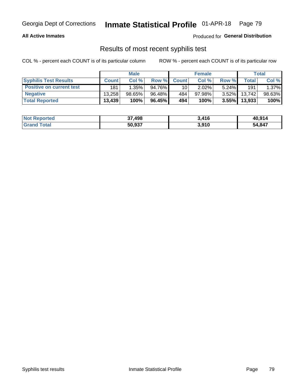### **All Active Inmates**

Produced for **General Distribution**

## Results of most recent syphilis test

|                                 | <b>Male</b>  |           |        | <b>Female</b>   |           |          | Total  |        |
|---------------------------------|--------------|-----------|--------|-----------------|-----------|----------|--------|--------|
| <b>Syphilis Test Results</b>    | <b>Count</b> | Col%      | Row %  | <b>Count</b>    | Col %     | Row %    | Total  | Col %  |
| <b>Positive on current test</b> | 181          | $1.35\%$  | 94.76% | 10 <sub>1</sub> | $2.02\%$  | $5.24\%$ | 191    | 1.37%  |
| <b>Negative</b>                 | 13.258       | $98.65\%$ | 96.48% | 484             | $97.98\%$ | $3.52\%$ | 13.742 | 98.63% |
| <b>Total Reported</b>           | 13,439       | 100%      | 96.45% | 494             | 100%      | $3.55\%$ | 13,933 | 100%   |

| <b>Not Reported</b> | 37,498 | 3,416 | 40,914 |
|---------------------|--------|-------|--------|
| <b>Grand Total</b>  | 50,937 | 3,910 | 54,847 |